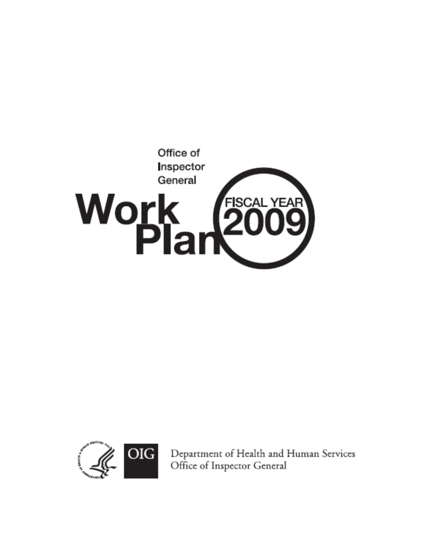



Department of Health and Human Services Office of Inspector General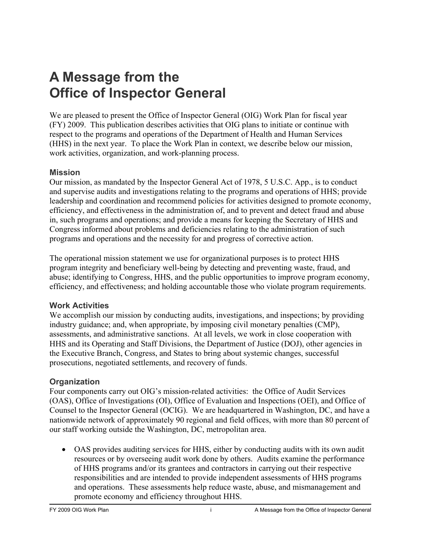# <span id="page-2-0"></span>**A Message from the Office of Inspector General**

We are pleased to present the Office of Inspector General (OIG) Work Plan for fiscal year (FY) 2009. This publication describes activities that OIG plans to initiate or continue with respect to the programs and operations of the Department of Health and Human Services (HHS) in the next year. To place the Work Plan in context, we describe below our mission, work activities, organization, and work-planning process.

### **Mission**

Our mission, as mandated by the Inspector General Act of 1978, 5 U.S.C. App., is to conduct and supervise audits and investigations relating to the programs and operations of HHS; provide leadership and coordination and recommend policies for activities designed to promote economy, efficiency, and effectiveness in the administration of, and to prevent and detect fraud and abuse in, such programs and operations; and provide a means for keeping the Secretary of HHS and Congress informed about problems and deficiencies relating to the administration of such programs and operations and the necessity for and progress of corrective action.

The operational mission statement we use for organizational purposes is to protect HHS program integrity and beneficiary well-being by detecting and preventing waste, fraud, and abuse; identifying to Congress, HHS, and the public opportunities to improve program economy, efficiency, and effectiveness; and holding accountable those who violate program requirements.

### **Work Activities**

We accomplish our mission by conducting audits, investigations, and inspections; by providing industry guidance; and, when appropriate, by imposing civil monetary penalties (CMP), assessments, and administrative sanctions. At all levels, we work in close cooperation with HHS and its Operating and Staff Divisions, the Department of Justice (DOJ), other agencies in the Executive Branch, Congress, and States to bring about systemic changes, successful prosecutions, negotiated settlements, and recovery of funds.

### **Organization**

Four components carry out OIG's mission-related activities: the Office of Audit Services (OAS), Office of Investigations (OI), Office of Evaluation and Inspections (OEI), and Office of Counsel to the Inspector General (OCIG). We are headquartered in Washington, DC, and have a nationwide network of approximately 90 regional and field offices, with more than 80 percent of our staff working outside the Washington, DC, metropolitan area.

• OAS provides auditing services for HHS, either by conducting audits with its own audit resources or by overseeing audit work done by others. Audits examine the performance of HHS programs and/or its grantees and contractors in carrying out their respective responsibilities and are intended to provide independent assessments of HHS programs and operations. These assessments help reduce waste, abuse, and mismanagement and promote economy and efficiency throughout HHS.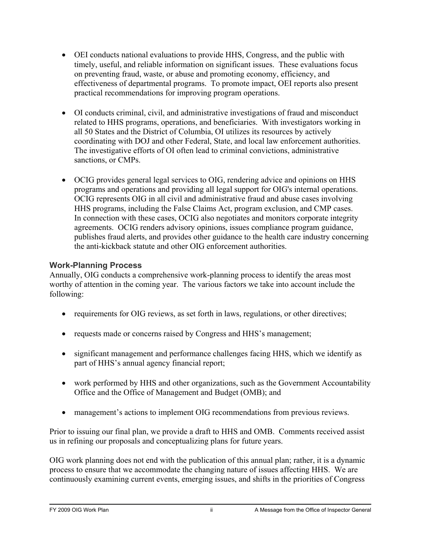- <span id="page-3-0"></span>• OEI conducts national evaluations to provide HHS, Congress, and the public with timely, useful, and reliable information on significant issues. These evaluations focus on preventing fraud, waste, or abuse and promoting economy, efficiency, and effectiveness of departmental programs. To promote impact, OEI reports also present practical recommendations for improving program operations.
- OI conducts criminal, civil, and administrative investigations of fraud and misconduct related to HHS programs, operations, and beneficiaries. With investigators working in all 50 States and the District of Columbia, OI utilizes its resources by actively coordinating with DOJ and other Federal, State, and local law enforcement authorities. The investigative efforts of OI often lead to criminal convictions, administrative sanctions, or CMPs.
- OCIG provides general legal services to OIG, rendering advice and opinions on HHS programs and operations and providing all legal support for OIG's internal operations. OCIG represents OIG in all civil and administrative fraud and abuse cases involving HHS programs, including the False Claims Act, program exclusion, and CMP cases. In connection with these cases, OCIG also negotiates and monitors corporate integrity agreements. OCIG renders advisory opinions, issues compliance program guidance, publishes fraud alerts, and provides other guidance to the health care industry concerning the anti-kickback statute and other OIG enforcement authorities.

### **Work-Planning Process**

Annually, OIG conducts a comprehensive work-planning process to identify the areas most worthy of attention in the coming year. The various factors we take into account include the following:

- requirements for OIG reviews, as set forth in laws, regulations, or other directives;
- requests made or concerns raised by Congress and HHS's management;
- significant management and performance challenges facing HHS, which we identify as part of HHS's annual agency financial report;
- work performed by HHS and other organizations, such as the Government Accountability Office and the Office of Management and Budget (OMB); and
- management's actions to implement OIG recommendations from previous reviews.

Prior to issuing our final plan, we provide a draft to HHS and OMB. Comments received assist us in refining our proposals and conceptualizing plans for future years.

OIG work planning does not end with the publication of this annual plan; rather, it is a dynamic process to ensure that we accommodate the changing nature of issues affecting HHS. We are continuously examining current events, emerging issues, and shifts in the priorities of Congress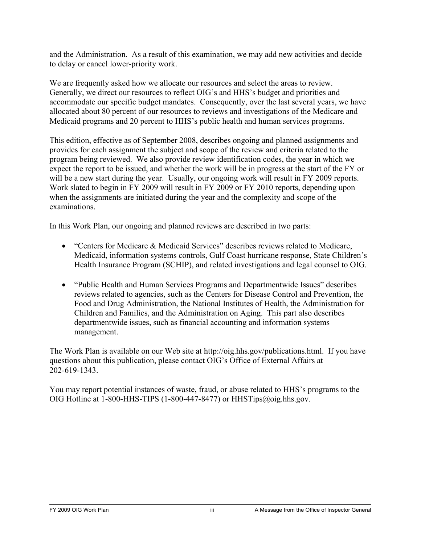and the Administration. As a result of this examination, we may add new activities and decide to delay or cancel lower-priority work.

We are frequently asked how we allocate our resources and select the areas to review. Generally, we direct our resources to reflect OIG's and HHS's budget and priorities and accommodate our specific budget mandates. Consequently, over the last several years, we have allocated about 80 percent of our resources to reviews and investigations of the Medicare and Medicaid programs and 20 percent to HHS's public health and human services programs.

This edition, effective as of September 2008, describes ongoing and planned assignments and provides for each assignment the subject and scope of the review and criteria related to the program being reviewed. We also provide review identification codes, the year in which we expect the report to be issued, and whether the work will be in progress at the start of the FY or will be a new start during the year. Usually, our ongoing work will result in FY 2009 reports. Work slated to begin in FY 2009 will result in FY 2009 or FY 2010 reports, depending upon when the assignments are initiated during the year and the complexity and scope of the examinations.

In this Work Plan, our ongoing and planned reviews are described in two parts:

- "Centers for Medicare & Medicaid Services" describes reviews related to Medicare, Medicaid, information systems controls, Gulf Coast hurricane response, State Children's Health Insurance Program (SCHIP), and related investigations and legal counsel to OIG.
- "Public Health and Human Services Programs and Departmentwide Issues" describes reviews related to agencies, such as the Centers for Disease Control and Prevention, the Food and Drug Administration, the National Institutes of Health, the Administration for Children and Families, and the Administration on Aging. This part also describes departmentwide issues, such as financial accounting and information systems management.

The Work Plan is available on our Web site at http://oig.hhs.gov/publications.html. If you have questions about this publication, please contact OIG's Office of External Affairs at 202-619-1343.

You may report potential instances of waste, fraud, or abuse related to HHS's programs to the OIG Hotline at 1-800-HHS-TIPS (1-800-447-8477) or HHSTips@oig.hhs.gov.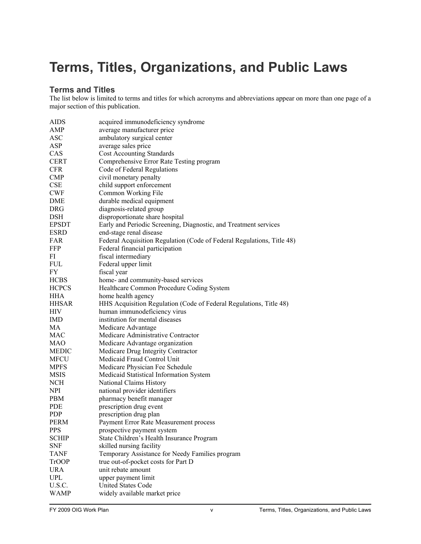# <span id="page-6-0"></span>**Terms, Titles, Organizations, and Public Laws**

#### **Terms and Titles**

The list below is limited to terms and titles for which acronyms and abbreviations appear on more than one page of a major section of this publication.

| <b>AIDS</b>  | acquired immunodeficiency syndrome                                     |
|--------------|------------------------------------------------------------------------|
| AMP          | average manufacturer price                                             |
| <b>ASC</b>   | ambulatory surgical center                                             |
| <b>ASP</b>   | average sales price                                                    |
| CAS          | <b>Cost Accounting Standards</b>                                       |
| <b>CERT</b>  | Comprehensive Error Rate Testing program                               |
| <b>CFR</b>   | Code of Federal Regulations                                            |
| <b>CMP</b>   | civil monetary penalty                                                 |
| <b>CSE</b>   | child support enforcement                                              |
| <b>CWF</b>   | Common Working File                                                    |
| DME          | durable medical equipment                                              |
| <b>DRG</b>   | diagnosis-related group                                                |
| <b>DSH</b>   | disproportionate share hospital                                        |
| <b>EPSDT</b> | Early and Periodic Screening, Diagnostic, and Treatment services       |
| <b>ESRD</b>  | end-stage renal disease                                                |
| FAR          | Federal Acquisition Regulation (Code of Federal Regulations, Title 48) |
| <b>FFP</b>   | Federal financial participation                                        |
| FI           | fiscal intermediary                                                    |
| <b>FUL</b>   |                                                                        |
|              | Federal upper limit                                                    |
| FY           | fiscal year                                                            |
| <b>HCBS</b>  | home- and community-based services                                     |
| <b>HCPCS</b> | Healthcare Common Procedure Coding System                              |
| <b>HHA</b>   | home health agency                                                     |
| <b>HHSAR</b> | HHS Acquisition Regulation (Code of Federal Regulations, Title 48)     |
| <b>HIV</b>   | human immunodeficiency virus                                           |
| IMD          | institution for mental diseases                                        |
| MA           | Medicare Advantage                                                     |
| <b>MAC</b>   | Medicare Administrative Contractor                                     |
| MAO          | Medicare Advantage organization                                        |
| <b>MEDIC</b> | Medicare Drug Integrity Contractor                                     |
| MFCU         | Medicaid Fraud Control Unit                                            |
| <b>MPFS</b>  | Medicare Physician Fee Schedule                                        |
| <b>MSIS</b>  | Medicaid Statistical Information System                                |
| <b>NCH</b>   | National Claims History                                                |
| <b>NPI</b>   | national provider identifiers                                          |
| <b>PBM</b>   | pharmacy benefit manager                                               |
| <b>PDE</b>   | prescription drug event                                                |
| <b>PDP</b>   | prescription drug plan                                                 |
| <b>PERM</b>  | Payment Error Rate Measurement process                                 |
| <b>PPS</b>   | prospective payment system                                             |
| <b>SCHIP</b> | State Children's Health Insurance Program                              |
| <b>SNF</b>   | skilled nursing facility                                               |
| <b>TANF</b>  | Temporary Assistance for Needy Families program                        |
| <b>TrOOP</b> | true out-of-pocket costs for Part D                                    |
| <b>URA</b>   | unit rebate amount                                                     |
| <b>UPL</b>   | upper payment limit                                                    |
| U.S.C.       | <b>United States Code</b>                                              |
| <b>WAMP</b>  | widely available market price                                          |
|              |                                                                        |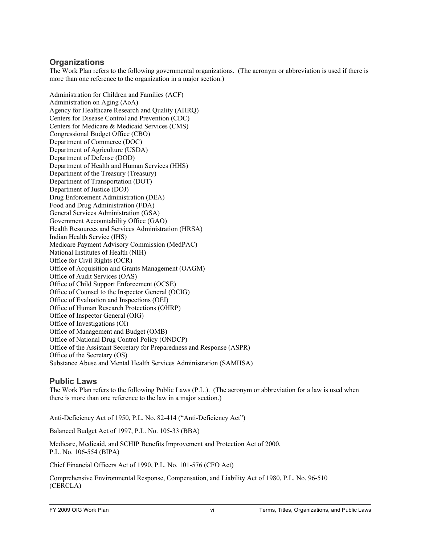#### <span id="page-7-0"></span>**Organizations**

The Work Plan refers to the following governmental organizations. (The acronym or abbreviation is used if there is more than one reference to the organization in a major section.)

Administration for Children and Families (ACF) Administration on Aging (AoA) Agency for Healthcare Research and Quality (AHRQ) Centers for Disease Control and Prevention (CDC) Centers for Medicare & Medicaid Services (CMS) Congressional Budget Office (CBO) Department of Commerce (DOC) Department of Agriculture (USDA) Department of Defense (DOD) Department of Health and Human Services (HHS) Department of the Treasury (Treasury) Department of Transportation (DOT) Department of Justice (DOJ) Drug Enforcement Administration (DEA) Food and Drug Administration (FDA) General Services Administration (GSA) Government Accountability Office (GAO) Health Resources and Services Administration (HRSA) Indian Health Service (IHS) Medicare Payment Advisory Commission (MedPAC) National Institutes of Health (NIH) Office for Civil Rights (OCR) Office of Acquisition and Grants Management (OAGM) Office of Audit Services (OAS) Office of Child Support Enforcement (OCSE) Office of Counsel to the Inspector General (OCIG) Office of Evaluation and Inspections (OEI) Office of Human Research Protections (OHRP) Office of Inspector General (OIG) Office of Investigations (OI) Office of Management and Budget (OMB) Office of National Drug Control Policy (ONDCP) Office of the Assistant Secretary for Preparedness and Response (ASPR) Office of the Secretary (OS) Substance Abuse and Mental Health Services Administration (SAMHSA)

#### **Public Laws**

The Work Plan refers to the following Public Laws (P.L.). (The acronym or abbreviation for a law is used when there is more than one reference to the law in a major section.)

Anti-Deficiency Act of 1950, P.L. No. 82-414 ("Anti-Deficiency Act")

Balanced Budget Act of 1997, P.L. No. 105-33 (BBA)

Medicare, Medicaid, and SCHIP Benefits Improvement and Protection Act of 2000, P.L. No. 106-554 (BIPA)

Chief Financial Officers Act of 1990, P.L. No. 101-576 (CFO Act)

Comprehensive Environmental Response, Compensation, and Liability Act of 1980, P.L. No. 96-510 (CERCLA)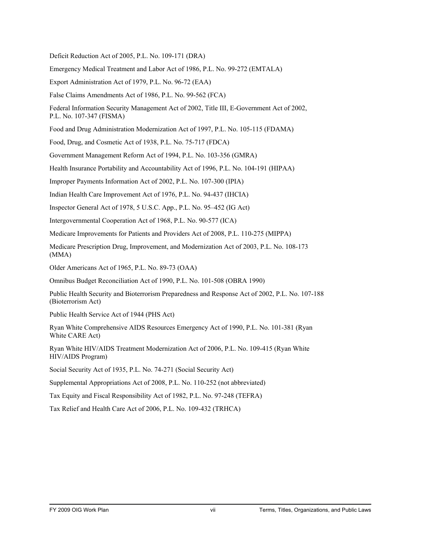Deficit Reduction Act of 2005, P.L. No. 109-171 (DRA)

Emergency Medical Treatment and Labor Act of 1986, P.L. No. 99-272 (EMTALA)

Export Administration Act of 1979, P.L. No. 96-72 (EAA)

False Claims Amendments Act of 1986, P.L. No. 99-562 (FCA)

Federal Information Security Management Act of 2002, Title III, E-Government Act of 2002, P.L. No. 107-347 (FISMA)

Food and Drug Administration Modernization Act of 1997, P.L. No. 105-115 (FDAMA)

Food, Drug, and Cosmetic Act of 1938, P.L. No. 75-717 (FDCA)

Government Management Reform Act of 1994, P.L. No. 103-356 (GMRA)

Health Insurance Portability and Accountability Act of 1996, P.L. No. 104-191 (HIPAA)

Improper Payments Information Act of 2002, P.L. No. 107-300 (IPIA)

Indian Health Care Improvement Act of 1976, P.L. No. 94-437 (IHCIA)

Inspector General Act of 1978, 5 U.S.C. App., P.L. No. 95–452 (IG Act)

Intergovernmental Cooperation Act of 1968, P.L. No. 90-577 (ICA)

Medicare Improvements for Patients and Providers Act of 2008, P.L. 110-275 (MIPPA)

Medicare Prescription Drug, Improvement, and Modernization Act of 2003, P.L. No. 108-173 (MMA)

Older Americans Act of 1965, P.L. No. 89-73 (OAA)

Omnibus Budget Reconciliation Act of 1990, P.L. No. 101-508 (OBRA 1990)

Public Health Security and Bioterrorism Preparedness and Response Act of 2002, P.L. No. 107-188 (Bioterrorism Act)

Public Health Service Act of 1944 (PHS Act)

Ryan White Comprehensive AIDS Resources Emergency Act of 1990, P.L. No. 101-381 (Ryan White CARE Act)

Ryan White HIV/AIDS Treatment Modernization Act of 2006, P.L. No. 109-415 (Ryan White HIV/AIDS Program)

Social Security Act of 1935, P.L. No. 74-271 (Social Security Act)

Supplemental Appropriations Act of 2008, P.L. No. 110-252 (not abbreviated)

Tax Equity and Fiscal Responsibility Act of 1982, P.L. No. 97-248 (TEFRA)

Tax Relief and Health Care Act of 2006, P.L. No. 109-432 (TRHCA)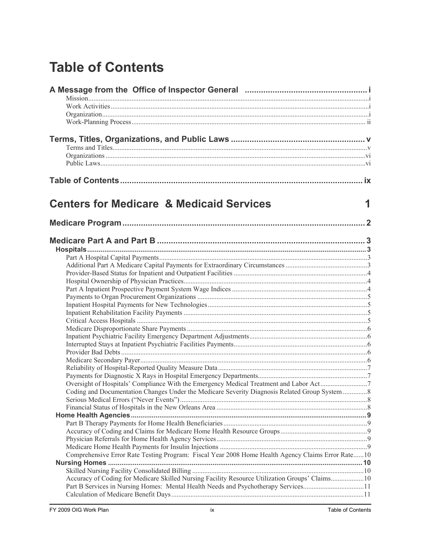# <span id="page-10-0"></span>**Table of Contents**

| <b>Centers for Medicare &amp; Medicaid Services</b><br>1<br>Coding and Documentation Changes Under the Medicare Severity Diagnosis Related Group System  8<br>Comprehensive Error Rate Testing Program: Fiscal Year 2008 Home Health Agency Claims Error Rate10<br>Accuracy of Coding for Medicare Skilled Nursing Facility Resource Utilization Groups' Claims10<br>Part B Services in Nursing Homes: Mental Health Needs and Psychotherapy Services11 |  |
|---------------------------------------------------------------------------------------------------------------------------------------------------------------------------------------------------------------------------------------------------------------------------------------------------------------------------------------------------------------------------------------------------------------------------------------------------------|--|
|                                                                                                                                                                                                                                                                                                                                                                                                                                                         |  |
|                                                                                                                                                                                                                                                                                                                                                                                                                                                         |  |
|                                                                                                                                                                                                                                                                                                                                                                                                                                                         |  |
|                                                                                                                                                                                                                                                                                                                                                                                                                                                         |  |
|                                                                                                                                                                                                                                                                                                                                                                                                                                                         |  |
|                                                                                                                                                                                                                                                                                                                                                                                                                                                         |  |
|                                                                                                                                                                                                                                                                                                                                                                                                                                                         |  |
|                                                                                                                                                                                                                                                                                                                                                                                                                                                         |  |
|                                                                                                                                                                                                                                                                                                                                                                                                                                                         |  |
|                                                                                                                                                                                                                                                                                                                                                                                                                                                         |  |
|                                                                                                                                                                                                                                                                                                                                                                                                                                                         |  |
|                                                                                                                                                                                                                                                                                                                                                                                                                                                         |  |
|                                                                                                                                                                                                                                                                                                                                                                                                                                                         |  |
|                                                                                                                                                                                                                                                                                                                                                                                                                                                         |  |
|                                                                                                                                                                                                                                                                                                                                                                                                                                                         |  |
|                                                                                                                                                                                                                                                                                                                                                                                                                                                         |  |
|                                                                                                                                                                                                                                                                                                                                                                                                                                                         |  |
|                                                                                                                                                                                                                                                                                                                                                                                                                                                         |  |
|                                                                                                                                                                                                                                                                                                                                                                                                                                                         |  |
|                                                                                                                                                                                                                                                                                                                                                                                                                                                         |  |
|                                                                                                                                                                                                                                                                                                                                                                                                                                                         |  |
|                                                                                                                                                                                                                                                                                                                                                                                                                                                         |  |
|                                                                                                                                                                                                                                                                                                                                                                                                                                                         |  |
|                                                                                                                                                                                                                                                                                                                                                                                                                                                         |  |
|                                                                                                                                                                                                                                                                                                                                                                                                                                                         |  |
|                                                                                                                                                                                                                                                                                                                                                                                                                                                         |  |
|                                                                                                                                                                                                                                                                                                                                                                                                                                                         |  |
|                                                                                                                                                                                                                                                                                                                                                                                                                                                         |  |
|                                                                                                                                                                                                                                                                                                                                                                                                                                                         |  |
|                                                                                                                                                                                                                                                                                                                                                                                                                                                         |  |
|                                                                                                                                                                                                                                                                                                                                                                                                                                                         |  |
|                                                                                                                                                                                                                                                                                                                                                                                                                                                         |  |
|                                                                                                                                                                                                                                                                                                                                                                                                                                                         |  |
|                                                                                                                                                                                                                                                                                                                                                                                                                                                         |  |
|                                                                                                                                                                                                                                                                                                                                                                                                                                                         |  |
|                                                                                                                                                                                                                                                                                                                                                                                                                                                         |  |
|                                                                                                                                                                                                                                                                                                                                                                                                                                                         |  |
|                                                                                                                                                                                                                                                                                                                                                                                                                                                         |  |
|                                                                                                                                                                                                                                                                                                                                                                                                                                                         |  |
|                                                                                                                                                                                                                                                                                                                                                                                                                                                         |  |
|                                                                                                                                                                                                                                                                                                                                                                                                                                                         |  |
|                                                                                                                                                                                                                                                                                                                                                                                                                                                         |  |
|                                                                                                                                                                                                                                                                                                                                                                                                                                                         |  |
|                                                                                                                                                                                                                                                                                                                                                                                                                                                         |  |
|                                                                                                                                                                                                                                                                                                                                                                                                                                                         |  |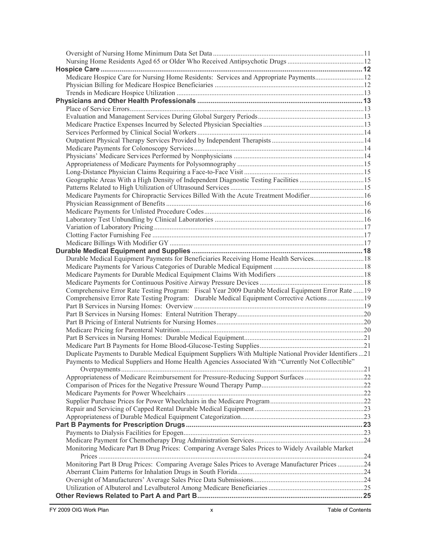| Medicare Hospice Care for Nursing Home Residents: Services and Appropriate Payments12                    |  |
|----------------------------------------------------------------------------------------------------------|--|
|                                                                                                          |  |
|                                                                                                          |  |
|                                                                                                          |  |
|                                                                                                          |  |
|                                                                                                          |  |
|                                                                                                          |  |
|                                                                                                          |  |
|                                                                                                          |  |
|                                                                                                          |  |
|                                                                                                          |  |
|                                                                                                          |  |
| Geographic Areas With a High Density of Independent Diagnostic Testing Facilities 15                     |  |
|                                                                                                          |  |
| Medicare Payments for Chiropractic Services Billed With the Acute Treatment Modifier 16                  |  |
|                                                                                                          |  |
|                                                                                                          |  |
|                                                                                                          |  |
|                                                                                                          |  |
|                                                                                                          |  |
|                                                                                                          |  |
|                                                                                                          |  |
| Durable Medical Equipment Payments for Beneficiaries Receiving Home Health Services18                    |  |
|                                                                                                          |  |
|                                                                                                          |  |
|                                                                                                          |  |
| Comprehensive Error Rate Testing Program: Fiscal Year 2009 Durable Medical Equipment Error Rate  19      |  |
| Comprehensive Error Rate Testing Program: Durable Medical Equipment Corrective Actions19                 |  |
|                                                                                                          |  |
|                                                                                                          |  |
|                                                                                                          |  |
|                                                                                                          |  |
|                                                                                                          |  |
|                                                                                                          |  |
| Duplicate Payments to Durable Medical Equipment Suppliers With Multiple National Provider Identifiers 21 |  |
| Payments to Medical Suppliers and Home Health Agencies Associated With "Currently Not Collectible"       |  |
|                                                                                                          |  |
| Appropriateness of Medicare Reimbursement for Pressure-Reducing Support Surfaces 22                      |  |
|                                                                                                          |  |
|                                                                                                          |  |
|                                                                                                          |  |
|                                                                                                          |  |
|                                                                                                          |  |
|                                                                                                          |  |
|                                                                                                          |  |
|                                                                                                          |  |
| Monitoring Medicare Part B Drug Prices: Comparing Average Sales Prices to Widely Available Market        |  |
|                                                                                                          |  |
| Monitoring Part B Drug Prices: Comparing Average Sales Prices to Average Manufacturer Prices 24          |  |
|                                                                                                          |  |
|                                                                                                          |  |
|                                                                                                          |  |
|                                                                                                          |  |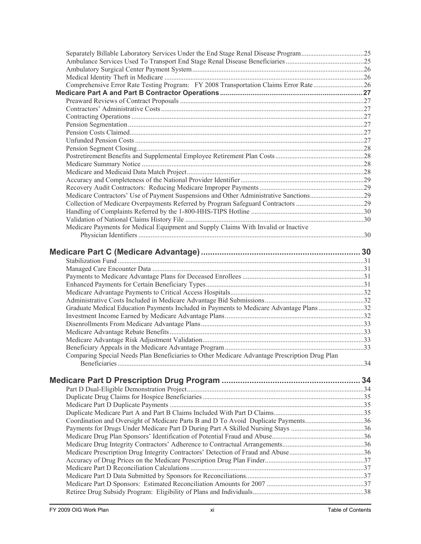| Separately Billable Laboratory Services Under the End Stage Renal Disease Program25           |  |
|-----------------------------------------------------------------------------------------------|--|
|                                                                                               |  |
|                                                                                               |  |
|                                                                                               |  |
| Comprehensive Error Rate Testing Program: FY 2008 Transportation Claims Error Rate26          |  |
|                                                                                               |  |
|                                                                                               |  |
|                                                                                               |  |
|                                                                                               |  |
|                                                                                               |  |
|                                                                                               |  |
|                                                                                               |  |
|                                                                                               |  |
|                                                                                               |  |
|                                                                                               |  |
|                                                                                               |  |
|                                                                                               |  |
|                                                                                               |  |
| Medicare Contractors' Use of Payment Suspensions and Other Administrative Sanctions29         |  |
|                                                                                               |  |
|                                                                                               |  |
|                                                                                               |  |
| Medicare Payments for Medical Equipment and Supply Claims With Invalid or Inactive            |  |
|                                                                                               |  |
|                                                                                               |  |
|                                                                                               |  |
|                                                                                               |  |
|                                                                                               |  |
|                                                                                               |  |
|                                                                                               |  |
|                                                                                               |  |
|                                                                                               |  |
|                                                                                               |  |
|                                                                                               |  |
| Graduate Medical Education Payments Included in Payments to Medicare Advantage Plans 32       |  |
|                                                                                               |  |
|                                                                                               |  |
|                                                                                               |  |
|                                                                                               |  |
|                                                                                               |  |
| Comparing Special Needs Plan Beneficiaries to Other Medicare Advantage Prescription Drug Plan |  |
|                                                                                               |  |
|                                                                                               |  |
|                                                                                               |  |
|                                                                                               |  |
|                                                                                               |  |
|                                                                                               |  |
|                                                                                               |  |
| Coordination and Oversight of Medicare Parts B and D To Avoid Duplicate Payments36            |  |
|                                                                                               |  |
|                                                                                               |  |
|                                                                                               |  |
|                                                                                               |  |
|                                                                                               |  |
|                                                                                               |  |
|                                                                                               |  |
|                                                                                               |  |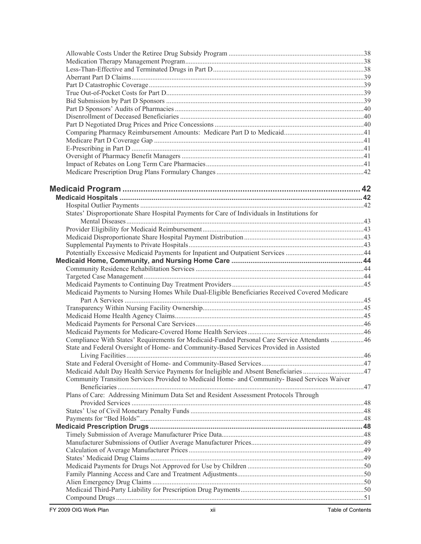| States' Disproportionate Share Hospital Payments for Care of Individuals in Institutions for   |  |
|------------------------------------------------------------------------------------------------|--|
|                                                                                                |  |
|                                                                                                |  |
|                                                                                                |  |
|                                                                                                |  |
|                                                                                                |  |
|                                                                                                |  |
|                                                                                                |  |
|                                                                                                |  |
| Medicaid Payments to Nursing Homes While Dual-Eligible Beneficiaries Received Covered Medicare |  |
|                                                                                                |  |
|                                                                                                |  |
|                                                                                                |  |
|                                                                                                |  |
|                                                                                                |  |
| Compliance With States' Requirements for Medicaid-Funded Personal Care Service Attendants 46   |  |
| State and Federal Oversight of Home- and Community-Based Services Provided in Assisted         |  |
|                                                                                                |  |
|                                                                                                |  |
| Medicaid Adult Day Health Service Payments for Ineligible and Absent Beneficiaries 47          |  |
| Community Transition Services Provided to Medicaid Home- and Community- Based Services Waiver  |  |
|                                                                                                |  |
| Plans of Care: Addressing Minimum Data Set and Resident Assessment Protocols Through           |  |
|                                                                                                |  |
|                                                                                                |  |
|                                                                                                |  |
|                                                                                                |  |
|                                                                                                |  |
|                                                                                                |  |
|                                                                                                |  |
|                                                                                                |  |
|                                                                                                |  |
|                                                                                                |  |
|                                                                                                |  |
|                                                                                                |  |
|                                                                                                |  |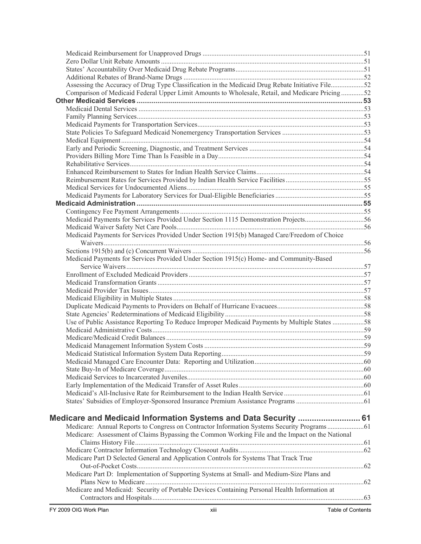| Assessing the Accuracy of Drug Type Classification in the Medicaid Drug Rebate Initiative File52 |                   |
|--------------------------------------------------------------------------------------------------|-------------------|
| Comparison of Medicaid Federal Upper Limit Amounts to Wholesale, Retail, and Medicare Pricing52  |                   |
|                                                                                                  |                   |
|                                                                                                  |                   |
|                                                                                                  |                   |
|                                                                                                  |                   |
|                                                                                                  |                   |
|                                                                                                  |                   |
|                                                                                                  |                   |
|                                                                                                  |                   |
|                                                                                                  |                   |
|                                                                                                  |                   |
|                                                                                                  |                   |
|                                                                                                  |                   |
|                                                                                                  |                   |
|                                                                                                  |                   |
|                                                                                                  |                   |
| Medicaid Payments for Services Provided Under Section 1115 Demonstration Projects56              |                   |
|                                                                                                  |                   |
| Medicaid Payments for Services Provided Under Section 1915(b) Managed Care/Freedom of Choice     |                   |
|                                                                                                  |                   |
|                                                                                                  |                   |
| Medicaid Payments for Services Provided Under Section 1915(c) Home- and Community-Based          |                   |
|                                                                                                  |                   |
|                                                                                                  |                   |
|                                                                                                  |                   |
|                                                                                                  |                   |
|                                                                                                  |                   |
|                                                                                                  |                   |
| Use of Public Assistance Reporting To Reduce Improper Medicaid Payments by Multiple States 58    |                   |
|                                                                                                  |                   |
|                                                                                                  |                   |
|                                                                                                  |                   |
|                                                                                                  |                   |
|                                                                                                  |                   |
|                                                                                                  |                   |
|                                                                                                  |                   |
|                                                                                                  |                   |
|                                                                                                  |                   |
|                                                                                                  |                   |
|                                                                                                  |                   |
|                                                                                                  |                   |
|                                                                                                  |                   |
| Medicare: Assessment of Claims Bypassing the Common Working File and the Impact on the National  |                   |
|                                                                                                  |                   |
|                                                                                                  |                   |
| Medicare Part D Selected General and Application Controls for Systems That Track True            |                   |
|                                                                                                  |                   |
| Medicare Part D: Implementation of Supporting Systems at Small- and Medium-Size Plans and        |                   |
|                                                                                                  |                   |
| Medicare and Medicaid: Security of Portable Devices Containing Personal Health Information at    |                   |
|                                                                                                  |                   |
| FY 2009 OIG Work Plan<br>xiii                                                                    | Table of Contents |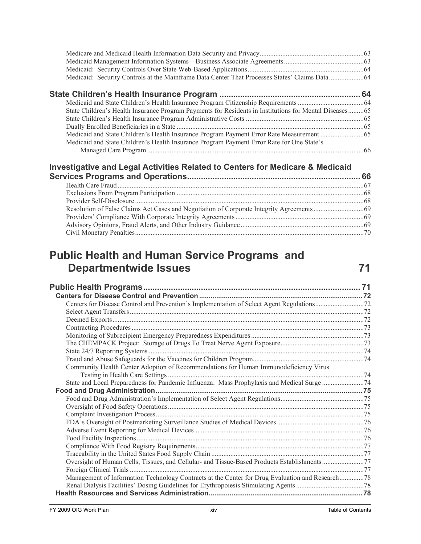| State Children's Health Insurance Program Payments for Residents in Institutions for Mental Diseases65 |  |
|--------------------------------------------------------------------------------------------------------|--|
|                                                                                                        |  |
|                                                                                                        |  |
|                                                                                                        |  |
| Medicaid and State Children's Health Insurance Program Payment Error Rate for One State's              |  |
|                                                                                                        |  |

# **[Investigative and Legal Activities Related to Centers for Medicare & Medicaid](#page-83-0)**

# **[Public Health and Human Service Programs and](#page-88-0)  [Departmentwide Issues 71](#page-88-0)**

| Community Health Center Adoption of Recommendations for Human Immunodeficiency Virus            |  |
|-------------------------------------------------------------------------------------------------|--|
|                                                                                                 |  |
|                                                                                                 |  |
|                                                                                                 |  |
|                                                                                                 |  |
|                                                                                                 |  |
|                                                                                                 |  |
|                                                                                                 |  |
|                                                                                                 |  |
|                                                                                                 |  |
|                                                                                                 |  |
|                                                                                                 |  |
| Oversight of Human Cells, Tissues, and Cellular- and Tissue-Based Products Establishments77     |  |
|                                                                                                 |  |
| Management of Information Technology Contracts at the Center for Drug Evaluation and Research78 |  |
|                                                                                                 |  |
|                                                                                                 |  |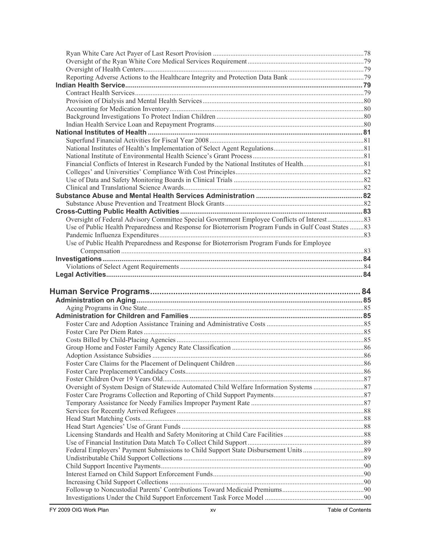| Oversight of Federal Advisory Committee Special Government Employee Conflicts of Interest83           |  |
|-------------------------------------------------------------------------------------------------------|--|
| Use of Public Health Preparedness and Response for Bioterrorism Program Funds in Gulf Coast States 83 |  |
|                                                                                                       |  |
| Use of Public Health Preparedness and Response for Bioterrorism Program Funds for Employee            |  |
|                                                                                                       |  |
|                                                                                                       |  |
|                                                                                                       |  |
|                                                                                                       |  |
|                                                                                                       |  |
|                                                                                                       |  |
|                                                                                                       |  |
|                                                                                                       |  |
|                                                                                                       |  |
|                                                                                                       |  |
|                                                                                                       |  |
|                                                                                                       |  |
|                                                                                                       |  |
|                                                                                                       |  |
|                                                                                                       |  |
|                                                                                                       |  |
|                                                                                                       |  |
|                                                                                                       |  |
|                                                                                                       |  |
|                                                                                                       |  |
|                                                                                                       |  |
|                                                                                                       |  |
|                                                                                                       |  |
|                                                                                                       |  |
|                                                                                                       |  |
|                                                                                                       |  |
|                                                                                                       |  |
|                                                                                                       |  |
|                                                                                                       |  |
|                                                                                                       |  |
|                                                                                                       |  |
|                                                                                                       |  |
|                                                                                                       |  |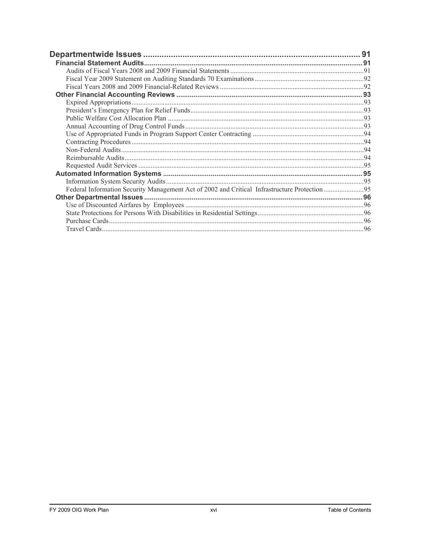| Federal Information Security Management Act of 2002 and Critical Infrastructure Protection 95 |  |
|-----------------------------------------------------------------------------------------------|--|
|                                                                                               |  |
|                                                                                               |  |
|                                                                                               |  |
|                                                                                               |  |
|                                                                                               |  |
|                                                                                               |  |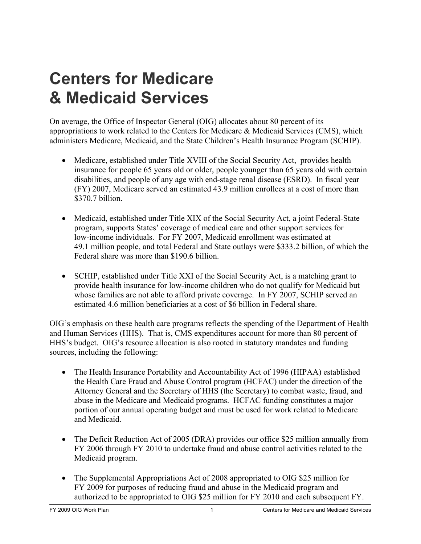# <span id="page-18-0"></span>**Centers for Medicare & Medicaid Services**

On average, the Office of Inspector General (OIG) allocates about 80 percent of its appropriations to work related to the Centers for Medicare & Medicaid Services (CMS), which administers Medicare, Medicaid, and the State Children's Health Insurance Program (SCHIP).

- Medicare, established under Title XVIII of the Social Security Act, provides health insurance for people 65 years old or older, people younger than 65 years old with certain disabilities, and people of any age with end-stage renal disease (ESRD). In fiscal year (FY) 2007, Medicare served an estimated 43.9 million enrollees at a cost of more than \$370.7 billion.
- Medicaid, established under Title XIX of the Social Security Act, a joint Federal-State program, supports States' coverage of medical care and other support services for low-income individuals. For FY 2007, Medicaid enrollment was estimated at 49.1 million people, and total Federal and State outlays were \$333.2 billion, of which the Federal share was more than \$190.6 billion.
- SCHIP, established under Title XXI of the Social Security Act, is a matching grant to provide health insurance for low-income children who do not qualify for Medicaid but whose families are not able to afford private coverage. In FY 2007, SCHIP served an estimated 4.6 million beneficiaries at a cost of \$6 billion in Federal share.

OIG's emphasis on these health care programs reflects the spending of the Department of Health and Human Services (HHS). That is, CMS expenditures account for more than 80 percent of HHS's budget. OIG's resource allocation is also rooted in statutory mandates and funding sources, including the following:

- The Health Insurance Portability and Accountability Act of 1996 (HIPAA) established the Health Care Fraud and Abuse Control program (HCFAC) under the direction of the Attorney General and the Secretary of HHS (the Secretary) to combat waste, fraud, and abuse in the Medicare and Medicaid programs. HCFAC funding constitutes a major portion of our annual operating budget and must be used for work related to Medicare and Medicaid.
- The Deficit Reduction Act of 2005 (DRA) provides our office \$25 million annually from FY 2006 through FY 2010 to undertake fraud and abuse control activities related to the Medicaid program.
- The Supplemental Appropriations Act of 2008 appropriated to OIG \$25 million for FY 2009 for purposes of reducing fraud and abuse in the Medicaid program and authorized to be appropriated to OIG \$25 million for FY 2010 and each subsequent FY.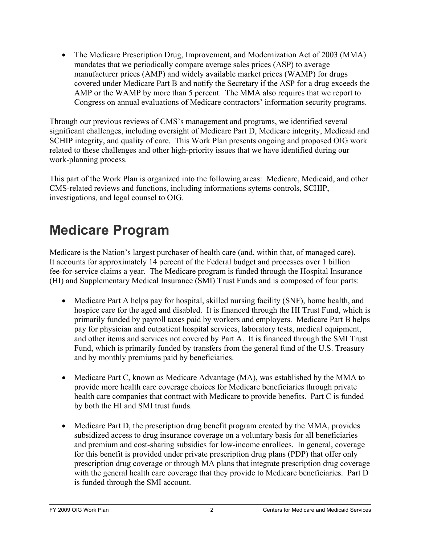<span id="page-19-0"></span>• The Medicare Prescription Drug, Improvement, and Modernization Act of 2003 (MMA) mandates that we periodically compare average sales prices (ASP) to average manufacturer prices (AMP) and widely available market prices (WAMP) for drugs covered under Medicare Part B and notify the Secretary if the ASP for a drug exceeds the AMP or the WAMP by more than 5 percent. The MMA also requires that we report to Congress on annual evaluations of Medicare contractors' information security programs.

Through our previous reviews of CMS's management and programs, we identified several significant challenges, including oversight of Medicare Part D, Medicare integrity, Medicaid and SCHIP integrity, and quality of care. This Work Plan presents ongoing and proposed OIG work related to these challenges and other high-priority issues that we have identified during our work-planning process.

This part of the Work Plan is organized into the following areas: Medicare, Medicaid, and other CMS-related reviews and functions, including informations sytems controls, SCHIP, investigations, and legal counsel to OIG.

# **Medicare Program**

Medicare is the Nation's largest purchaser of health care (and, within that, of managed care). It accounts for approximately 14 percent of the Federal budget and processes over 1 billion fee-for-service claims a year. The Medicare program is funded through the Hospital Insurance (HI) and Supplementary Medical Insurance (SMI) Trust Funds and is composed of four parts:

- Medicare Part A helps pay for hospital, skilled nursing facility (SNF), home health, and hospice care for the aged and disabled. It is financed through the HI Trust Fund, which is primarily funded by payroll taxes paid by workers and employers. Medicare Part B helps pay for physician and outpatient hospital services, laboratory tests, medical equipment, and other items and services not covered by Part A. It is financed through the SMI Trust Fund, which is primarily funded by transfers from the general fund of the U.S. Treasury and by monthly premiums paid by beneficiaries.
- Medicare Part C, known as Medicare Advantage (MA), was established by the MMA to provide more health care coverage choices for Medicare beneficiaries through private health care companies that contract with Medicare to provide benefits. Part C is funded by both the HI and SMI trust funds.
- Medicare Part D, the prescription drug benefit program created by the MMA, provides subsidized access to drug insurance coverage on a voluntary basis for all beneficiaries and premium and cost-sharing subsidies for low-income enrollees. In general, coverage for this benefit is provided under private prescription drug plans (PDP) that offer only prescription drug coverage or through MA plans that integrate prescription drug coverage with the general health care coverage that they provide to Medicare beneficiaries. Part D is funded through the SMI account.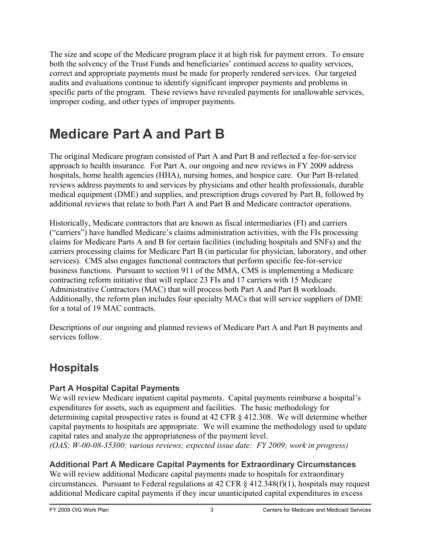<span id="page-20-0"></span>The size and scope of the Medicare program place it at high risk for payment errors. To ensure both the solvency of the Trust Funds and beneficiaries' continued access to quality services, correct and appropriate payments must be made for properly rendered services. Our targeted audits and evaluations continue to identify significant improper payments and problems in specific parts of the program. These reviews have revealed payments for unallowable services, improper coding, and other types of improper payments.

# **Medicare Part A and Part B**

The original Medicare program consisted of Part A and Part B and reflected a fee-for-service approach to health insurance. For Part A, our ongoing and new reviews in FY 2009 address hospitals, home health agencies (HHA), nursing homes, and hospice care. Our Part B-related reviews address payments to and services by physicians and other health professionals, durable medical equipment (DME) and supplies, and prescription drugs covered by Part B, followed by additional reviews that relate to both Part A and Part B and Medicare contractor operations.

Historically, Medicare contractors that are known as fiscal intermediaries (FI) and carriers ("carriers") have handled Medicare's claims administration activities, with the FIs processing claims for Medicare Parts A and B for certain facilities (including hospitals and SNFs) and the carriers processing claims for Medicare Part B (in particular for physician, laboratory, and other services). CMS also engages functional contractors that perform specific fee-for-service business functions. Pursuant to section 911 of the MMA, CMS is implementing a Medicare contracting reform initiative that will replace 23 FIs and 17 carriers with 15 Medicare Administrative Contractors (MAC) that will process both Part A and Part B workloads. Additionally, the reform plan includes four specialty MACs that will service suppliers of DME for a total of 19 MAC contracts.

Descriptions of our ongoing and planned reviews of Medicare Part A and Part B payments and services follow.

# **Hospitals**

# **Part A Hospital Capital Payments**

We will review Medicare inpatient capital payments. Capital payments reimburse a hospital's expenditures for assets, such as equipment and facilities. The basic methodology for determining capital prospective rates is found at 42 CFR § 412.308. We will determine whether capital payments to hospitals are appropriate. We will examine the methodology used to update capital rates and analyze the appropriateness of the payment level.

*(OAS; W-00-08-35300; various reviews; expected issue date: FY 2009; work in progress)* 

# **Additional Part A Medicare Capital Payments for Extraordinary Circumstances**

We will review additional Medicare capital payments made to hospitals for extraordinary circumstances. Pursuant to Federal regulations at 42 CFR § 412.348(f)(1), hospitals may request additional Medicare capital payments if they incur unanticipated capital expenditures in excess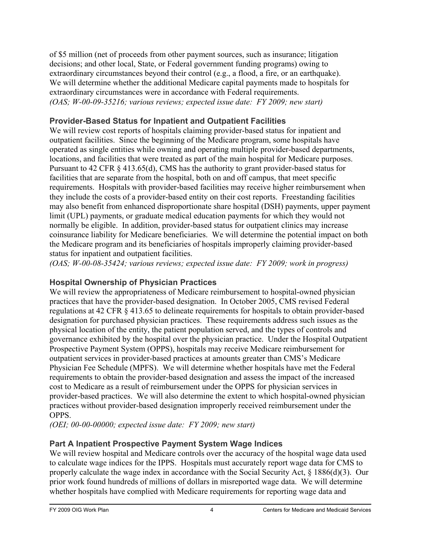<span id="page-21-0"></span>of \$5 million (net of proceeds from other payment sources, such as insurance; litigation decisions; and other local, State, or Federal government funding programs) owing to extraordinary circumstances beyond their control (e.g., a flood, a fire, or an earthquake). We will determine whether the additional Medicare capital payments made to hospitals for extraordinary circumstances were in accordance with Federal requirements. *(OAS; W-00-09-35216; various reviews; expected issue date: FY 2009; new start)* 

# **Provider-Based Status for Inpatient and Outpatient Facilities**

We will review cost reports of hospitals claiming provider-based status for inpatient and outpatient facilities. Since the beginning of the Medicare program, some hospitals have operated as single entities while owning and operating multiple provider-based departments, locations, and facilities that were treated as part of the main hospital for Medicare purposes. Pursuant to 42 CFR § 413.65(d), CMS has the authority to grant provider-based status for facilities that are separate from the hospital, both on and off campus, that meet specific requirements. Hospitals with provider-based facilities may receive higher reimbursement when they include the costs of a provider-based entity on their cost reports. Freestanding facilities may also benefit from enhanced disproportionate share hospital (DSH) payments, upper payment limit (UPL) payments, or graduate medical education payments for which they would not normally be eligible. In addition, provider-based status for outpatient clinics may increase coinsurance liability for Medicare beneficiaries. We will determine the potential impact on both the Medicare program and its beneficiaries of hospitals improperly claiming provider-based status for inpatient and outpatient facilities.

*(OAS; W-00-08-35424; various reviews; expected issue date: FY 2009; work in progress)* 

# **Hospital Ownership of Physician Practices**

We will review the appropriateness of Medicare reimbursement to hospital-owned physician practices that have the provider-based designation. In October 2005, CMS revised Federal regulations at 42 CFR § 413.65 to delineate requirements for hospitals to obtain provider-based designation for purchased physician practices. These requirements address such issues as the physical location of the entity, the patient population served, and the types of controls and governance exhibited by the hospital over the physician practice. Under the Hospital Outpatient Prospective Payment System (OPPS), hospitals may receive Medicare reimbursement for outpatient services in provider-based practices at amounts greater than CMS's Medicare Physician Fee Schedule (MPFS). We will determine whether hospitals have met the Federal requirements to obtain the provider-based designation and assess the impact of the increased cost to Medicare as a result of reimbursement under the OPPS for physician services in provider-based practices. We will also determine the extent to which hospital-owned physician practices without provider-based designation improperly received reimbursement under the OPPS.

*(OEI; 00-00-00000; expected issue date: FY 2009; new start)* 

# **Part A Inpatient Prospective Payment System Wage Indices**

We will review hospital and Medicare controls over the accuracy of the hospital wage data used to calculate wage indices for the IPPS. Hospitals must accurately report wage data for CMS to properly calculate the wage index in accordance with the Social Security Act, § 1886(d)(3). Our prior work found hundreds of millions of dollars in misreported wage data. We will determine whether hospitals have complied with Medicare requirements for reporting wage data and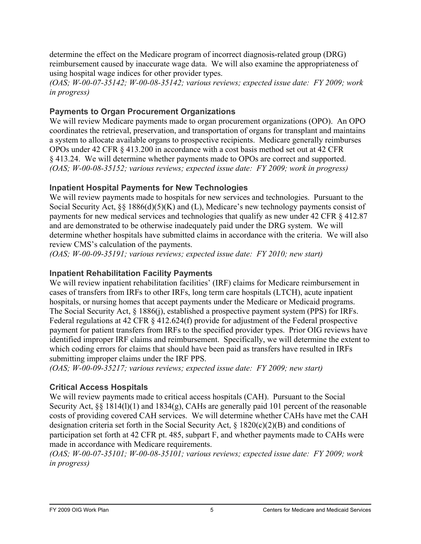<span id="page-22-0"></span>determine the effect on the Medicare program of incorrect diagnosis-related group (DRG) reimbursement caused by inaccurate wage data. We will also examine the appropriateness of using hospital wage indices for other provider types.

*(OAS; W-00-07-35142; W-00-08-35142; various reviews; expected issue date: FY 2009; work in progress)* 

### **Payments to Organ Procurement Organizations**

We will review Medicare payments made to organ procurement organizations (OPO). An OPO coordinates the retrieval, preservation, and transportation of organs for transplant and maintains a system to allocate available organs to prospective recipients. Medicare generally reimburses OPOs under 42 CFR § 413.200 in accordance with a cost basis method set out at 42 CFR § 413.24. We will determine whether payments made to OPOs are correct and supported. *(OAS; W-00-08-35152; various reviews; expected issue date: FY 2009; work in progress)* 

### **Inpatient Hospital Payments for New Technologies**

We will review payments made to hospitals for new services and technologies. Pursuant to the Social Security Act, §§ 1886(d)(5)(K) and (L), Medicare's new technology payments consist of payments for new medical services and technologies that qualify as new under 42 CFR § 412.87 and are demonstrated to be otherwise inadequately paid under the DRG system. We will determine whether hospitals have submitted claims in accordance with the criteria. We will also review CMS's calculation of the payments.

*(OAS; W-00-09-35191; various reviews; expected issue date: FY 2010; new start)* 

#### **Inpatient Rehabilitation Facility Payments**

We will review inpatient rehabilitation facilities' (IRF) claims for Medicare reimbursement in cases of transfers from IRFs to other IRFs, long term care hospitals (LTCH), acute inpatient hospitals, or nursing homes that accept payments under the Medicare or Medicaid programs. The Social Security Act, § 1886(j), established a prospective payment system (PPS) for IRFs. Federal regulations at 42 CFR § 412.624(f) provide for adjustment of the Federal prospective payment for patient transfers from IRFs to the specified provider types. Prior OIG reviews have identified improper IRF claims and reimbursement. Specifically, we will determine the extent to which coding errors for claims that should have been paid as transfers have resulted in IRFs submitting improper claims under the IRF PPS.

*(OAS; W-00-09-35217; various reviews; expected issue date: FY 2009; new start)* 

### **Critical Access Hospitals**

We will review payments made to critical access hospitals (CAH). Pursuant to the Social Security Act, §§ 1814(1)(1) and 1834(g), CAHs are generally paid 101 percent of the reasonable costs of providing covered CAH services. We will determine whether CAHs have met the CAH designation criteria set forth in the Social Security Act, § 1820(c)(2)(B) and conditions of participation set forth at 42 CFR pt. 485, subpart F, and whether payments made to CAHs were made in accordance with Medicare requirements.

*(OAS; W-00-07-35101; W-00-08-35101; various reviews; expected issue date: FY 2009; work in progress)*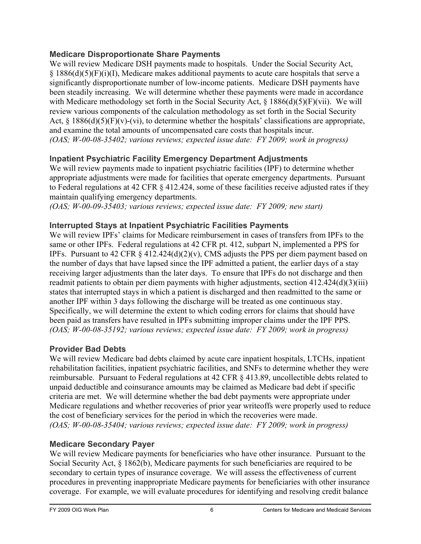### <span id="page-23-0"></span>**Medicare Disproportionate Share Payments**

We will review Medicare DSH payments made to hospitals. Under the Social Security Act,  $\S$  1886(d)(5)(F)(i)(I), Medicare makes additional payments to acute care hospitals that serve a significantly disproportionate number of low-income patients. Medicare DSH payments have been steadily increasing. We will determine whether these payments were made in accordance with Medicare methodology set forth in the Social Security Act, § 1886(d)(5)(F)(vii). We will review various components of the calculation methodology as set forth in the Social Security Act,  $\S$  1886(d)(5)(F)(v)-(vi), to determine whether the hospitals' classifications are appropriate, and examine the total amounts of uncompensated care costs that hospitals incur. *(OAS; W-00-08-35402; various reviews; expected issue date: FY 2009; work in progress)* 

# **Inpatient Psychiatric Facility Emergency Department Adjustments**

We will review payments made to inpatient psychiatric facilities (IPF) to determine whether appropriate adjustments were made for facilities that operate emergency departments. Pursuant to Federal regulations at 42 CFR § 412.424, some of these facilities receive adjusted rates if they maintain qualifying emergency departments.

*(OAS; W-00-09-35403; various reviews; expected issue date: FY 2009; new start)* 

# **Interrupted Stays at Inpatient Psychiatric Facilities Payments**

We will review IPFs' claims for Medicare reimbursement in cases of transfers from IPFs to the same or other IPFs. Federal regulations at 42 CFR pt. 412, subpart N, implemented a PPS for IPFs. Pursuant to 42 CFR  $\S$  412.424(d)(2)(v), CMS adjusts the PPS per diem payment based on the number of days that have lapsed since the IPF admitted a patient, the earlier days of a stay receiving larger adjustments than the later days. To ensure that IPFs do not discharge and then readmit patients to obtain per diem payments with higher adjustments, section 412.424(d)(3)(iii) states that interrupted stays in which a patient is discharged and then readmitted to the same or another IPF within 3 days following the discharge will be treated as one continuous stay. Specifically, we will determine the extent to which coding errors for claims that should have been paid as transfers have resulted in IPFs submitting improper claims under the IPF PPS. *(OAS; W-00-08-35192; various reviews; expected issue date: FY 2009; work in progress)* 

# **Provider Bad Debts**

We will review Medicare bad debts claimed by acute care inpatient hospitals, LTCHs, inpatient rehabilitation facilities, inpatient psychiatric facilities, and SNFs to determine whether they were reimbursable. Pursuant to Federal regulations at 42 CFR § 413.89, uncollectible debts related to unpaid deductible and coinsurance amounts may be claimed as Medicare bad debt if specific criteria are met. We will determine whether the bad debt payments were appropriate under Medicare regulations and whether recoveries of prior year writeoffs were properly used to reduce the cost of beneficiary services for the period in which the recoveries were made. *(OAS; W-00-08-35404; various reviews; expected issue date: FY 2009; work in progress)* 

# **Medicare Secondary Payer**

We will review Medicare payments for beneficiaries who have other insurance. Pursuant to the Social Security Act, § 1862(b), Medicare payments for such beneficiaries are required to be secondary to certain types of insurance coverage. We will assess the effectiveness of current procedures in preventing inappropriate Medicare payments for beneficiaries with other insurance coverage. For example, we will evaluate procedures for identifying and resolving credit balance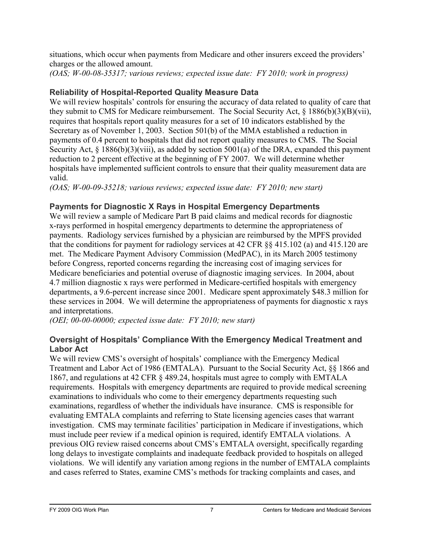<span id="page-24-0"></span>situations, which occur when payments from Medicare and other insurers exceed the providers' charges or the allowed amount.

*(OAS; W-00-08-35317; various reviews; expected issue date: FY 2010; work in progress)* 

# **Reliability of Hospital-Reported Quality Measure Data**

We will review hospitals' controls for ensuring the accuracy of data related to quality of care that they submit to CMS for Medicare reimbursement. The Social Security Act, § 1886(b)(3)(B)(vii), requires that hospitals report quality measures for a set of 10 indicators established by the Secretary as of November 1, 2003. Section 501(b) of the MMA established a reduction in payments of 0.4 percent to hospitals that did not report quality measures to CMS. The Social Security Act, § 1886(b)(3)(viii), as added by section 5001(a) of the DRA, expanded this payment reduction to 2 percent effective at the beginning of FY 2007. We will determine whether hospitals have implemented sufficient controls to ensure that their quality measurement data are valid.

*(OAS; W-00-09-35218; various reviews; expected issue date: FY 2010; new start)* 

# **Payments for Diagnostic X Rays in Hospital Emergency Departments**

We will review a sample of Medicare Part B paid claims and medical records for diagnostic x-rays performed in hospital emergency departments to determine the appropriateness of payments. Radiology services furnished by a physician are reimbursed by the MPFS provided that the conditions for payment for radiology services at 42 CFR §§ 415.102 (a) and 415.120 are met. The Medicare Payment Advisory Commission (MedPAC), in its March 2005 testimony before Congress, reported concerns regarding the increasing cost of imaging services for Medicare beneficiaries and potential overuse of diagnostic imaging services. In 2004, about 4.7 million diagnostic x rays were performed in Medicare-certified hospitals with emergency departments, a 9.6-percent increase since 2001. Medicare spent approximately \$48.3 million for these services in 2004. We will determine the appropriateness of payments for diagnostic x rays and interpretations.

*(OEI; 00-00-00000; expected issue date: FY 2010; new start)* 

# **Oversight of Hospitals' Compliance With the Emergency Medical Treatment and Labor Act**

We will review CMS's oversight of hospitals' compliance with the Emergency Medical Treatment and Labor Act of 1986 (EMTALA). Pursuant to the Social Security Act, §§ 1866 and 1867, and regulations at 42 CFR § 489.24, hospitals must agree to comply with EMTALA requirements. Hospitals with emergency departments are required to provide medical screening examinations to individuals who come to their emergency departments requesting such examinations, regardless of whether the individuals have insurance. CMS is responsible for evaluating EMTALA complaints and referring to State licensing agencies cases that warrant investigation. CMS may terminate facilities' participation in Medicare if investigations, which must include peer review if a medical opinion is required, identify EMTALA violations. A previous OIG review raised concerns about CMS's EMTALA oversight, specifically regarding long delays to investigate complaints and inadequate feedback provided to hospitals on alleged violations. We will identify any variation among regions in the number of EMTALA complaints and cases referred to States, examine CMS's methods for tracking complaints and cases, and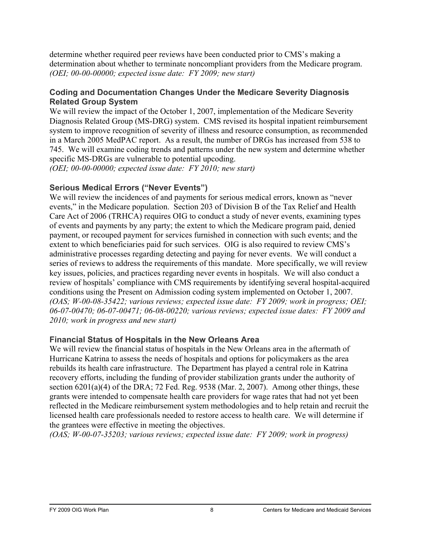<span id="page-25-0"></span>determine whether required peer reviews have been conducted prior to CMS's making a determination about whether to terminate noncompliant providers from the Medicare program. *(OEI; 00-00-00000; expected issue date: FY 2009; new start)* 

#### **Coding and Documentation Changes Under the Medicare Severity Diagnosis Related Group System**

We will review the impact of the October 1, 2007, implementation of the Medicare Severity Diagnosis Related Group (MS-DRG) system. CMS revised its hospital inpatient reimbursement system to improve recognition of severity of illness and resource consumption, as recommended in a March 2005 MedPAC report. As a result, the number of DRGs has increased from 538 to 745. We will examine coding trends and patterns under the new system and determine whether specific MS-DRGs are vulnerable to potential upcoding. *(OEI; 00-00-00000; expected issue date: FY 2010; new start)* 

#### **Serious Medical Errors ("Never Events")**

We will review the incidences of and payments for serious medical errors, known as "never events," in the Medicare population. Section 203 of Division B of the Tax Relief and Health Care Act of 2006 (TRHCA) requires OIG to conduct a study of never events, examining types of events and payments by any party; the extent to which the Medicare program paid, denied payment, or recouped payment for services furnished in connection with such events; and the extent to which beneficiaries paid for such services. OIG is also required to review CMS's administrative processes regarding detecting and paying for never events. We will conduct a series of reviews to address the requirements of this mandate. More specifically, we will review key issues, policies, and practices regarding never events in hospitals. We will also conduct a review of hospitals' compliance with CMS requirements by identifying several hospital-acquired conditions using the Present on Admission coding system implemented on October 1, 2007. *(OAS; W-00-08-35422; various reviews; expected issue date: FY 2009; work in progress; OEI; 06-07-00470; 06-07-00471; 06-08-00220; various reviews; expected issue dates: FY 2009 and 2010; work in progress and new start)* 

#### **Financial Status of Hospitals in the New Orleans Area**

We will review the financial status of hospitals in the New Orleans area in the aftermath of Hurricane Katrina to assess the needs of hospitals and options for policymakers as the area rebuilds its health care infrastructure. The Department has played a central role in Katrina recovery efforts, including the funding of provider stabilization grants under the authority of section  $6201(a)(4)$  of the DRA; 72 Fed. Reg. 9538 (Mar. 2, 2007). Among other things, these grants were intended to compensate health care providers for wage rates that had not yet been reflected in the Medicare reimbursement system methodologies and to help retain and recruit the licensed health care professionals needed to restore access to health care. We will determine if the grantees were effective in meeting the objectives.

*(OAS; W-00-07-35203; various reviews; expected issue date: FY 2009; work in progress)*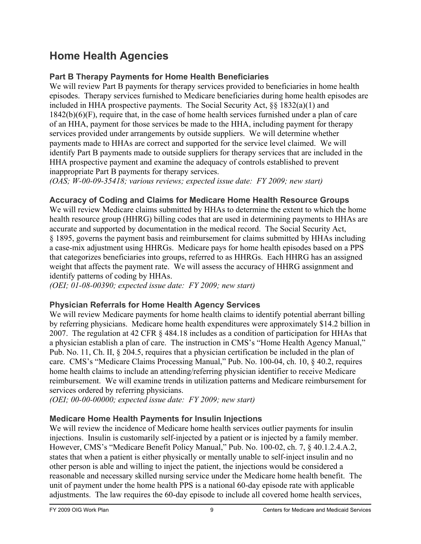# <span id="page-26-0"></span>**Home Health Agencies**

# **Part B Therapy Payments for Home Health Beneficiaries**

We will review Part B payments for therapy services provided to beneficiaries in home health episodes. Therapy services furnished to Medicare beneficiaries during home health episodes are included in HHA prospective payments. The Social Security Act, §§ 1832(a)(1) and 1842(b)(6)(F), require that, in the case of home health services furnished under a plan of care of an HHA, payment for those services be made to the HHA, including payment for therapy services provided under arrangements by outside suppliers. We will determine whether payments made to HHAs are correct and supported for the service level claimed. We will identify Part B payments made to outside suppliers for therapy services that are included in the HHA prospective payment and examine the adequacy of controls established to prevent inappropriate Part B payments for therapy services.

*(OAS; W-00-09-35418; various reviews; expected issue date: FY 2009; new start)* 

### **Accuracy of Coding and Claims for Medicare Home Health Resource Groups**

We will review Medicare claims submitted by HHAs to determine the extent to which the home health resource group (HHRG) billing codes that are used in determining payments to HHAs are accurate and supported by documentation in the medical record. The Social Security Act, § 1895, governs the payment basis and reimbursement for claims submitted by HHAs including a case-mix adjustment using HHRGs. Medicare pays for home health episodes based on a PPS that categorizes beneficiaries into groups, referred to as HHRGs. Each HHRG has an assigned weight that affects the payment rate. We will assess the accuracy of HHRG assignment and identify patterns of coding by HHAs.

*(OEI; 01-08-00390; expected issue date: FY 2009; new start)* 

### **Physician Referrals for Home Health Agency Services**

We will review Medicare payments for home health claims to identify potential aberrant billing by referring physicians. Medicare home health expenditures were approximately \$14.2 billion in 2007. The regulation at 42 CFR § 484.18 includes as a condition of participation for HHAs that a physician establish a plan of care. The instruction in CMS's "Home Health Agency Manual," Pub. No. 11, Ch. II, § 204.5, requires that a physician certification be included in the plan of care. CMS's "Medicare Claims Processing Manual," Pub. No. 100-04, ch. 10, § 40.2, requires home health claims to include an attending/referring physician identifier to receive Medicare reimbursement. We will examine trends in utilization patterns and Medicare reimbursement for services ordered by referring physicians.

*(OEI; 00-00-00000; expected issue date: FY 2009; new start)* 

# **Medicare Home Health Payments for Insulin Injections**

We will review the incidence of Medicare home health services outlier payments for insulin injections. Insulin is customarily self-injected by a patient or is injected by a family member. However, CMS's "Medicare Benefit Policy Manual," Pub. No. 100-02, ch. 7, § 40.1.2.4.A.2, states that when a patient is either physically or mentally unable to self-inject insulin and no other person is able and willing to inject the patient, the injections would be considered a reasonable and necessary skilled nursing service under the Medicare home health benefit. The unit of payment under the home health PPS is a national 60-day episode rate with applicable adjustments. The law requires the 60-day episode to include all covered home health services,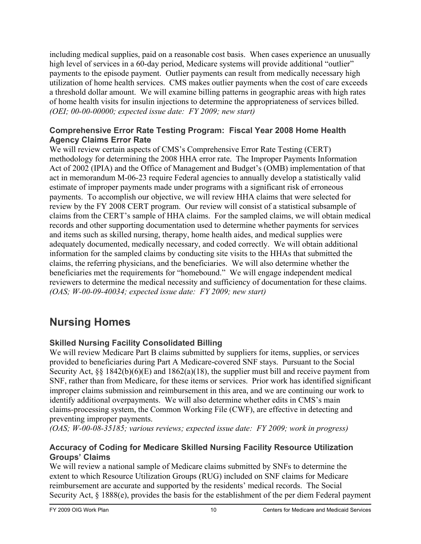<span id="page-27-0"></span>including medical supplies, paid on a reasonable cost basis. When cases experience an unusually high level of services in a 60-day period, Medicare systems will provide additional "outlier" payments to the episode payment. Outlier payments can result from medically necessary high utilization of home health services. CMS makes outlier payments when the cost of care exceeds a threshold dollar amount. We will examine billing patterns in geographic areas with high rates of home health visits for insulin injections to determine the appropriateness of services billed. *(OEI; 00-00-00000; expected issue date: FY 2009; new start)* 

#### **Comprehensive Error Rate Testing Program: Fiscal Year 2008 Home Health Agency Claims Error Rate**

We will review certain aspects of CMS's Comprehensive Error Rate Testing (CERT) methodology for determining the 2008 HHA error rate. The Improper Payments Information Act of 2002 (IPIA) and the Office of Management and Budget's (OMB) implementation of that act in memorandum M-06-23 require Federal agencies to annually develop a statistically valid estimate of improper payments made under programs with a significant risk of erroneous payments. To accomplish our objective, we will review HHA claims that were selected for review by the FY 2008 CERT program. Our review will consist of a statistical subsample of claims from the CERT's sample of HHA claims. For the sampled claims, we will obtain medical records and other supporting documentation used to determine whether payments for services and items such as skilled nursing, therapy, home health aides, and medical supplies were adequately documented, medically necessary, and coded correctly. We will obtain additional information for the sampled claims by conducting site visits to the HHAs that submitted the claims, the referring physicians, and the beneficiaries. We will also determine whether the beneficiaries met the requirements for "homebound." We will engage independent medical reviewers to determine the medical necessity and sufficiency of documentation for these claims. *(OAS; W-00-09-40034; expected issue date: FY 2009; new start)* 

# **Nursing Homes**

# **Skilled Nursing Facility Consolidated Billing**

We will review Medicare Part B claims submitted by suppliers for items, supplies, or services provided to beneficiaries during Part A Medicare-covered SNF stays. Pursuant to the Social Security Act, §§ 1842(b)(6)(E) and 1862(a)(18), the supplier must bill and receive payment from SNF, rather than from Medicare, for these items or services. Prior work has identified significant improper claims submission and reimbursement in this area, and we are continuing our work to identify additional overpayments. We will also determine whether edits in CMS's main claims-processing system, the Common Working File (CWF), are effective in detecting and preventing improper payments.

*(OAS; W-00-08-35185; various reviews; expected issue date: FY 2009; work in progress)* 

### **Accuracy of Coding for Medicare Skilled Nursing Facility Resource Utilization Groups' Claims**

We will review a national sample of Medicare claims submitted by SNFs to determine the extent to which Resource Utilization Groups (RUG) included on SNF claims for Medicare reimbursement are accurate and supported by the residents' medical records. The Social Security Act, § 1888(e), provides the basis for the establishment of the per diem Federal payment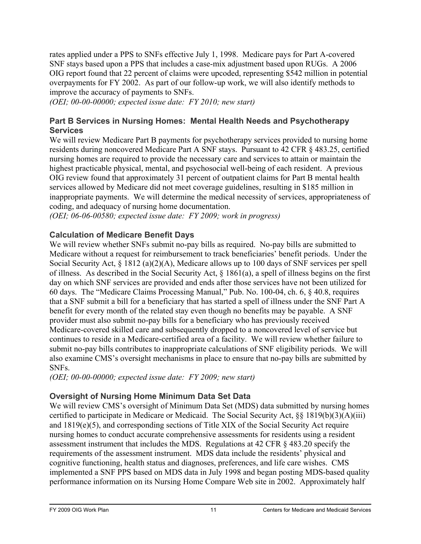<span id="page-28-0"></span>rates applied under a PPS to SNFs effective July 1, 1998. Medicare pays for Part A-covered SNF stays based upon a PPS that includes a case-mix adjustment based upon RUGs. A 2006 OIG report found that 22 percent of claims were upcoded, representing \$542 million in potential overpayments for FY 2002. As part of our follow-up work, we will also identify methods to improve the accuracy of payments to SNFs.

*(OEI; 00-00-00000; expected issue date: FY 2010; new start)* 

### **Part B Services in Nursing Homes: Mental Health Needs and Psychotherapy Services**

We will review Medicare Part B payments for psychotherapy services provided to nursing home residents during noncovered Medicare Part A SNF stays. Pursuant to 42 CFR § 483.25, certified nursing homes are required to provide the necessary care and services to attain or maintain the highest practicable physical, mental, and psychosocial well-being of each resident. A previous OIG review found that approximately 31 percent of outpatient claims for Part B mental health services allowed by Medicare did not meet coverage guidelines, resulting in \$185 million in inappropriate payments. We will determine the medical necessity of services, appropriateness of coding, and adequacy of nursing home documentation.

*(OEI; 06-06-00580; expected issue date: FY 2009; work in progress)* 

### **Calculation of Medicare Benefit Days**

We will review whether SNFs submit no-pay bills as required. No-pay bills are submitted to Medicare without a request for reimbursement to track beneficiaries' benefit periods. Under the Social Security Act, § 1812 (a)(2)(A), Medicare allows up to 100 days of SNF services per spell of illness. As described in the Social Security Act, § 1861(a), a spell of illness begins on the first day on which SNF services are provided and ends after those services have not been utilized for 60 days. The "Medicare Claims Processing Manual," Pub. No. 100-04, ch. 6, § 40.8, requires that a SNF submit a bill for a beneficiary that has started a spell of illness under the SNF Part A benefit for every month of the related stay even though no benefits may be payable. A SNF provider must also submit no-pay bills for a beneficiary who has previously received Medicare-covered skilled care and subsequently dropped to a noncovered level of service but continues to reside in a Medicare-certified area of a facility. We will review whether failure to submit no-pay bills contributes to inappropriate calculations of SNF eligibility periods. We will also examine CMS's oversight mechanisms in place to ensure that no-pay bills are submitted by SNFs.

*(OEI; 00-00-00000; expected issue date: FY 2009; new start)* 

### **Oversight of Nursing Home Minimum Data Set Data**

We will review CMS's oversight of Minimum Data Set (MDS) data submitted by nursing homes certified to participate in Medicare or Medicaid. The Social Security Act, §§ 1819(b)(3)(A)(iii) and 1819(e)(5), and corresponding sections of Title XIX of the Social Security Act require nursing homes to conduct accurate comprehensive assessments for residents using a resident assessment instrument that includes the MDS. Regulations at 42 CFR § 483.20 specify the requirements of the assessment instrument. MDS data include the residents' physical and cognitive functioning, health status and diagnoses, preferences, and life care wishes. CMS implemented a SNF PPS based on MDS data in July 1998 and began posting MDS-based quality performance information on its Nursing Home Compare Web site in 2002. Approximately half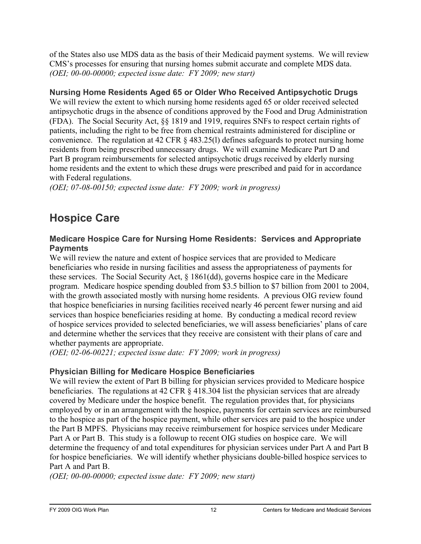<span id="page-29-0"></span>of the States also use MDS data as the basis of their Medicaid payment systems. We will review CMS's processes for ensuring that nursing homes submit accurate and complete MDS data. *(OEI; 00-00-00000; expected issue date: FY 2009; new start)* 

### **Nursing Home Residents Aged 65 or Older Who Received Antipsychotic Drugs**

We will review the extent to which nursing home residents aged 65 or older received selected antipsychotic drugs in the absence of conditions approved by the Food and Drug Administration (FDA). The Social Security Act, §§ 1819 and 1919, requires SNFs to respect certain rights of patients, including the right to be free from chemical restraints administered for discipline or convenience. The regulation at 42 CFR § 483.25(l) defines safeguards to protect nursing home residents from being prescribed unnecessary drugs. We will examine Medicare Part D and Part B program reimbursements for selected antipsychotic drugs received by elderly nursing home residents and the extent to which these drugs were prescribed and paid for in accordance with Federal regulations.

*(OEI; 07-08-00150; expected issue date: FY 2009; work in progress)* 

# **Hospice Care**

### **Medicare Hospice Care for Nursing Home Residents: Services and Appropriate Payments**

We will review the nature and extent of hospice services that are provided to Medicare beneficiaries who reside in nursing facilities and assess the appropriateness of payments for these services. The Social Security Act, § 1861(dd), governs hospice care in the Medicare program. Medicare hospice spending doubled from \$3.5 billion to \$7 billion from 2001 to 2004, with the growth associated mostly with nursing home residents. A previous OIG review found that hospice beneficiaries in nursing facilities received nearly 46 percent fewer nursing and aid services than hospice beneficiaries residing at home. By conducting a medical record review of hospice services provided to selected beneficiaries, we will assess beneficiaries' plans of care and determine whether the services that they receive are consistent with their plans of care and whether payments are appropriate.

*(OEI; 02-06-00221; expected issue date: FY 2009; work in progress)* 

# **Physician Billing for Medicare Hospice Beneficiaries**

We will review the extent of Part B billing for physician services provided to Medicare hospice beneficiaries. The regulations at 42 CFR § 418.304 list the physician services that are already covered by Medicare under the hospice benefit. The regulation provides that, for physicians employed by or in an arrangement with the hospice, payments for certain services are reimbursed to the hospice as part of the hospice payment, while other services are paid to the hospice under the Part B MPFS. Physicians may receive reimbursement for hospice services under Medicare Part A or Part B. This study is a followup to recent OIG studies on hospice care. We will determine the frequency of and total expenditures for physician services under Part A and Part B for hospice beneficiaries. We will identify whether physicians double-billed hospice services to Part A and Part B.

*(OEI; 00-00-00000; expected issue date: FY 2009; new start)*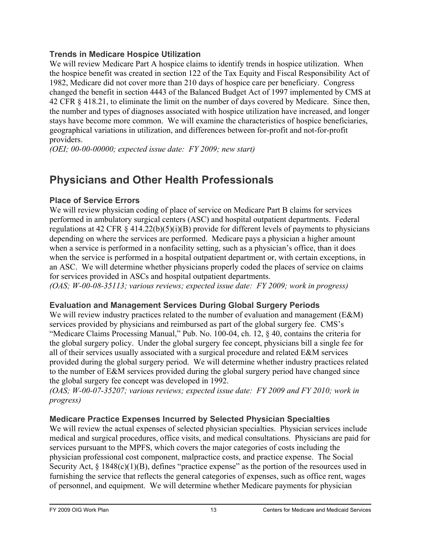### <span id="page-30-0"></span>**Trends in Medicare Hospice Utilization**

We will review Medicare Part A hospice claims to identify trends in hospice utilization. When the hospice benefit was created in section 122 of the Tax Equity and Fiscal Responsibility Act of 1982, Medicare did not cover more than 210 days of hospice care per beneficiary. Congress changed the benefit in section 4443 of the Balanced Budget Act of 1997 implemented by CMS at 42 CFR § 418.21, to eliminate the limit on the number of days covered by Medicare. Since then, the number and types of diagnoses associated with hospice utilization have increased, and longer stays have become more common. We will examine the characteristics of hospice beneficiaries, geographical variations in utilization, and differences between for-profit and not-for-profit providers.

*(OEI; 00-00-00000; expected issue date: FY 2009; new start)* 

# **Physicians and Other Health Professionals**

# **Place of Service Errors**

We will review physician coding of place of service on Medicare Part B claims for services performed in ambulatory surgical centers (ASC) and hospital outpatient departments. Federal regulations at 42 CFR  $\S$  414.22(b)(5)(i)(B) provide for different levels of payments to physicians depending on where the services are performed. Medicare pays a physician a higher amount when a service is performed in a nonfacility setting, such as a physician's office, than it does when the service is performed in a hospital outpatient department or, with certain exceptions, in an ASC. We will determine whether physicians properly coded the places of service on claims for services provided in ASCs and hospital outpatient departments.

*(OAS; W-00-08-35113; various reviews; expected issue date: FY 2009; work in progress)* 

# **Evaluation and Management Services During Global Surgery Periods**

We will review industry practices related to the number of evaluation and management (E&M) services provided by physicians and reimbursed as part of the global surgery fee. CMS's "Medicare Claims Processing Manual," Pub. No. 100-04, ch. 12, § 40, contains the criteria for the global surgery policy. Under the global surgery fee concept, physicians bill a single fee for all of their services usually associated with a surgical procedure and related E&M services provided during the global surgery period. We will determine whether industry practices related to the number of E&M services provided during the global surgery period have changed since the global surgery fee concept was developed in 1992.

*(OAS; W-00-07-35207; various reviews; expected issue date: FY 2009 and FY 2010; work in progress)* 

# **Medicare Practice Expenses Incurred by Selected Physician Specialties**

We will review the actual expenses of selected physician specialties. Physician services include medical and surgical procedures, office visits, and medical consultations. Physicians are paid for services pursuant to the MPFS, which covers the major categories of costs including the physician professional cost component, malpractice costs, and practice expense. The Social Security Act, § 1848(c)(1)(B), defines "practice expense" as the portion of the resources used in furnishing the service that reflects the general categories of expenses, such as office rent, wages of personnel, and equipment. We will determine whether Medicare payments for physician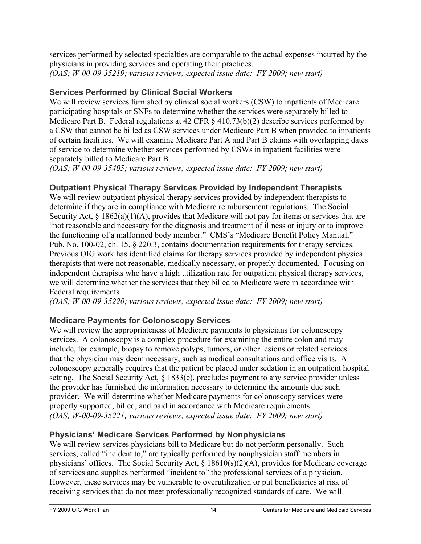<span id="page-31-0"></span>services performed by selected specialties are comparable to the actual expenses incurred by the physicians in providing services and operating their practices. *(OAS; W-00-09-35219; various reviews; expected issue date: FY 2009; new start)* 

### **Services Performed by Clinical Social Workers**

We will review services furnished by clinical social workers (CSW) to inpatients of Medicare participating hospitals or SNFs to determine whether the services were separately billed to Medicare Part B. Federal regulations at 42 CFR § 410.73(b)(2) describe services performed by a CSW that cannot be billed as CSW services under Medicare Part B when provided to inpatients of certain facilities. We will examine Medicare Part A and Part B claims with overlapping dates of service to determine whether services performed by CSWs in inpatient facilities were separately billed to Medicare Part B.

*(OAS; W-00-09-35405; various reviews; expected issue date: FY 2009; new start)* 

# **Outpatient Physical Therapy Services Provided by Independent Therapists**

We will review outpatient physical therapy services provided by independent therapists to determine if they are in compliance with Medicare reimbursement regulations. The Social Security Act,  $\S 1862(a)(1)(A)$ , provides that Medicare will not pay for items or services that are "not reasonable and necessary for the diagnosis and treatment of illness or injury or to improve the functioning of a malformed body member." CMS's "Medicare Benefit Policy Manual," Pub. No. 100-02, ch. 15, § 220.3, contains documentation requirements for therapy services. Previous OIG work has identified claims for therapy services provided by independent physical therapists that were not reasonable, medically necessary, or properly documented. Focusing on independent therapists who have a high utilization rate for outpatient physical therapy services, we will determine whether the services that they billed to Medicare were in accordance with Federal requirements.

*(OAS; W-00-09-35220; various reviews; expected issue date: FY 2009; new start)* 

# **Medicare Payments for Colonoscopy Services**

We will review the appropriateness of Medicare payments to physicians for colonoscopy services. A colonoscopy is a complex procedure for examining the entire colon and may include, for example, biopsy to remove polyps, tumors, or other lesions or related services that the physician may deem necessary, such as medical consultations and office visits. A colonoscopy generally requires that the patient be placed under sedation in an outpatient hospital setting. The Social Security Act, § 1833(e), precludes payment to any service provider unless the provider has furnished the information necessary to determine the amounts due such provider. We will determine whether Medicare payments for colonoscopy services were properly supported, billed, and paid in accordance with Medicare requirements. *(OAS; W-00-09-35221; various reviews; expected issue date: FY 2009; new start)* 

# **Physicians' Medicare Services Performed by Nonphysicians**

We will review services physicians bill to Medicare but do not perform personally. Such services, called "incident to," are typically performed by nonphysician staff members in physicians' offices. The Social Security Act, § 18610(s)(2)(A), provides for Medicare coverage of services and supplies performed "incident to" the professional services of a physician. However, these services may be vulnerable to overutilization or put beneficiaries at risk of receiving services that do not meet professionally recognized standards of care. We will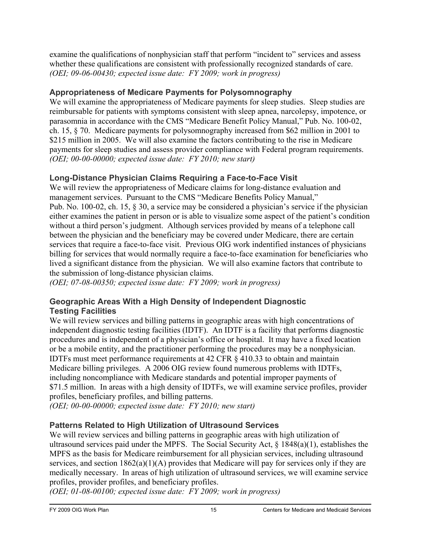<span id="page-32-0"></span>examine the qualifications of nonphysician staff that perform "incident to" services and assess whether these qualifications are consistent with professionally recognized standards of care. *(OEI; 09-06-00430; expected issue date: FY 2009; work in progress)* 

# **Appropriateness of Medicare Payments for Polysomnography**

We will examine the appropriateness of Medicare payments for sleep studies. Sleep studies are reimbursable for patients with symptoms consistent with sleep apnea, narcolepsy, impotence, or parasomnia in accordance with the CMS "Medicare Benefit Policy Manual," Pub. No. 100-02, ch. 15, § 70. Medicare payments for polysomnography increased from \$62 million in 2001 to \$215 million in 2005. We will also examine the factors contributing to the rise in Medicare payments for sleep studies and assess provider compliance with Federal program requirements. *(OEI; 00-00-00000; expected issue date: FY 2010; new start)* 

# **Long-Distance Physician Claims Requiring a Face-to-Face Visit**

We will review the appropriateness of Medicare claims for long-distance evaluation and management services. Pursuant to the CMS "Medicare Benefits Policy Manual," Pub. No. 100-02, ch. 15, § 30, a service may be considered a physician's service if the physician either examines the patient in person or is able to visualize some aspect of the patient's condition without a third person's judgment. Although services provided by means of a telephone call between the physician and the beneficiary may be covered under Medicare, there are certain services that require a face-to-face visit. Previous OIG work indentified instances of physicians billing for services that would normally require a face-to-face examination for beneficiaries who lived a significant distance from the physician. We will also examine factors that contribute to the submission of long-distance physician claims.

*(OEI; 07-08-00350; expected issue date: FY 2009; work in progress)* 

### **Geographic Areas With a High Density of Independent Diagnostic Testing Facilities**

We will review services and billing patterns in geographic areas with high concentrations of independent diagnostic testing facilities (IDTF). An IDTF is a facility that performs diagnostic procedures and is independent of a physician's office or hospital. It may have a fixed location or be a mobile entity, and the practitioner performing the procedures may be a nonphysician. IDTFs must meet performance requirements at 42 CFR § 410.33 to obtain and maintain Medicare billing privileges. A 2006 OIG review found numerous problems with IDTFs, including noncompliance with Medicare standards and potential improper payments of \$71.5 million. In areas with a high density of IDTFs, we will examine service profiles, provider profiles, beneficiary profiles, and billing patterns.

*(OEI; 00-00-00000; expected issue date: FY 2010; new start)* 

# **Patterns Related to High Utilization of Ultrasound Services**

We will review services and billing patterns in geographic areas with high utilization of ultrasound services paid under the MPFS. The Social Security Act,  $\S$  1848(a)(1), establishes the MPFS as the basis for Medicare reimbursement for all physician services, including ultrasound services, and section 1862(a)(1)(A) provides that Medicare will pay for services only if they are medically necessary. In areas of high utilization of ultrasound services, we will examine service profiles, provider profiles, and beneficiary profiles.

*(OEI; 01-08-00100; expected issue date: FY 2009; work in progress)*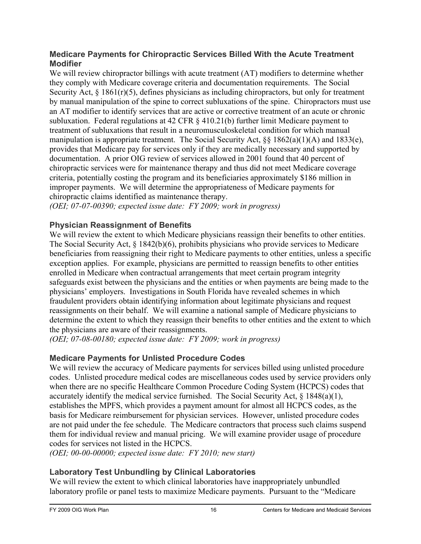#### <span id="page-33-0"></span>**Medicare Payments for Chiropractic Services Billed With the Acute Treatment Modifier**

We will review chiropractor billings with acute treatment  $(AT)$  modifiers to determine whether they comply with Medicare coverage criteria and documentation requirements. The Social Security Act,  $\S$  1861(r)(5), defines physicians as including chiropractors, but only for treatment by manual manipulation of the spine to correct subluxations of the spine. Chiropractors must use an AT modifier to identify services that are active or corrective treatment of an acute or chronic subluxation. Federal regulations at 42 CFR § 410.21(b) further limit Medicare payment to treatment of subluxations that result in a neuromusculoskeletal condition for which manual manipulation is appropriate treatment. The Social Security Act, §§ 1862(a)(1)(A) and 1833(e), provides that Medicare pay for services only if they are medically necessary and supported by documentation. A prior OIG review of services allowed in 2001 found that 40 percent of chiropractic services were for maintenance therapy and thus did not meet Medicare coverage criteria, potentially costing the program and its beneficiaries approximately \$186 million in improper payments. We will determine the appropriateness of Medicare payments for chiropractic claims identified as maintenance therapy.

*(OEI; 07-07-00390; expected issue date: FY 2009; work in progress)* 

### **Physician Reassignment of Benefits**

We will review the extent to which Medicare physicians reassign their benefits to other entities. The Social Security Act, § 1842(b)(6), prohibits physicians who provide services to Medicare beneficiaries from reassigning their right to Medicare payments to other entities, unless a specific exception applies. For example, physicians are permitted to reassign benefits to other entities enrolled in Medicare when contractual arrangements that meet certain program integrity safeguards exist between the physicians and the entities or when payments are being made to the physicians' employers. Investigations in South Florida have revealed schemes in which fraudulent providers obtain identifying information about legitimate physicians and request reassignments on their behalf. We will examine a national sample of Medicare physicians to determine the extent to which they reassign their benefits to other entities and the extent to which the physicians are aware of their reassignments.

*(OEI; 07-08-00180; expected issue date: FY 2009; work in progress)* 

# **Medicare Payments for Unlisted Procedure Codes**

We will review the accuracy of Medicare payments for services billed using unlisted procedure codes. Unlisted procedure medical codes are miscellaneous codes used by service providers only when there are no specific Healthcare Common Procedure Coding System (HCPCS) codes that accurately identify the medical service furnished. The Social Security Act, § 1848(a)(1), establishes the MPFS, which provides a payment amount for almost all HCPCS codes, as the basis for Medicare reimbursement for physician services. However, unlisted procedure codes are not paid under the fee schedule. The Medicare contractors that process such claims suspend them for individual review and manual pricing. We will examine provider usage of procedure codes for services not listed in the HCPCS.

*(OEI; 00-00-00000; expected issue date: FY 2010; new start)* 

# **Laboratory Test Unbundling by Clinical Laboratories**

We will review the extent to which clinical laboratories have inappropriately unbundled laboratory profile or panel tests to maximize Medicare payments. Pursuant to the "Medicare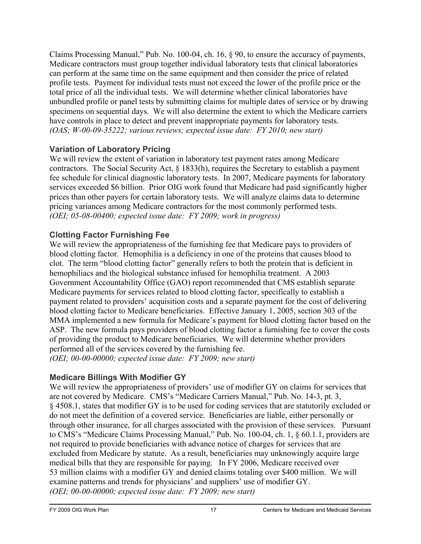<span id="page-34-0"></span>Claims Processing Manual," Pub. No. 100-04, ch. 16, § 90, to ensure the accuracy of payments, Medicare contractors must group together individual laboratory tests that clinical laboratories can perform at the same time on the same equipment and then consider the price of related profile tests. Payment for individual tests must not exceed the lower of the profile price or the total price of all the individual tests. We will determine whether clinical laboratories have unbundled profile or panel tests by submitting claims for multiple dates of service or by drawing specimens on sequential days. We will also determine the extent to which the Medicare carriers have controls in place to detect and prevent inappropriate payments for laboratory tests. *(OAS; W-00-09-35222; various reviews; expected issue date: FY 2010; new start)* 

### **Variation of Laboratory Pricing**

We will review the extent of variation in laboratory test payment rates among Medicare contractors. The Social Security Act, § 1833(h), requires the Secretary to establish a payment fee schedule for clinical diagnostic laboratory tests. In 2007, Medicare payments for laboratory services exceeded \$6 billion. Prior OIG work found that Medicare had paid significantly higher prices than other payers for certain laboratory tests. We will analyze claims data to determine pricing variances among Medicare contractors for the most commonly performed tests. *(OEI; 05-08-00400; expected issue date: FY 2009; work in progress)* 

# **Clotting Factor Furnishing Fee**

We will review the appropriateness of the furnishing fee that Medicare pays to providers of blood clotting factor. Hemophilia is a deficiency in one of the proteins that causes blood to clot. The term "blood clotting factor" generally refers to both the protein that is deficient in hemophiliacs and the biological substance infused for hemophilia treatment. A 2003 Government Accountability Office (GAO) report recommended that CMS establish separate Medicare payments for services related to blood clotting factor, specifically to establish a payment related to providers' acquisition costs and a separate payment for the cost of delivering blood clotting factor to Medicare beneficiaries. Effective January 1, 2005, section 303 of the MMA implemented a new formula for Medicare's payment for blood clotting factor based on the ASP. The new formula pays providers of blood clotting factor a furnishing fee to cover the costs of providing the product to Medicare beneficiaries. We will determine whether providers performed all of the services covered by the furnishing fee. *(OEI; 00-00-00000; expected issue date: FY 2009; new start)* 

# **Medicare Billings With Modifier GY**

We will review the appropriateness of providers' use of modifier GY on claims for services that are not covered by Medicare. CMS's "Medicare Carriers Manual," Pub. No. 14-3, pt. 3, § 4508.1, states that modifier GY is to be used for coding services that are statutorily excluded or do not meet the definition of a covered service. Beneficiaries are liable, either personally or through other insurance, for all charges associated with the provision of these services. Pursuant to CMS's "Medicare Claims Processing Manual," Pub. No. 100-04, ch. 1, § 60.1.1, providers are not required to provide beneficiaries with advance notice of charges for services that are excluded from Medicare by statute. As a result, beneficiaries may unknowingly acquire large medical bills that they are responsible for paying. In FY 2006, Medicare received over 53 million claims with a modifier GY and denied claims totaling over \$400 million. We will examine patterns and trends for physicians' and suppliers' use of modifier GY. *(OEI; 00-00-00000; expected issue date: FY 2009; new start)*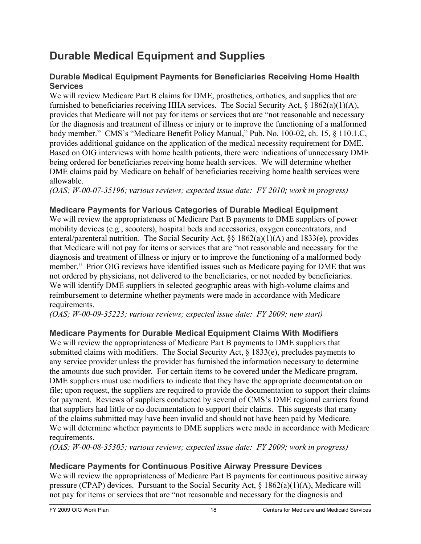# <span id="page-35-0"></span>**Durable Medical Equipment and Supplies**

### **Durable Medical Equipment Payments for Beneficiaries Receiving Home Health Services**

We will review Medicare Part B claims for DME, prosthetics, orthotics, and supplies that are furnished to beneficiaries receiving HHA services. The Social Security Act, § 1862(a)(1)(A), provides that Medicare will not pay for items or services that are "not reasonable and necessary for the diagnosis and treatment of illness or injury or to improve the functioning of a malformed body member." CMS's "Medicare Benefit Policy Manual," Pub. No. 100-02, ch. 15, § 110.1.C, provides additional guidance on the application of the medical necessity requirement for DME. Based on OIG interviews with home health patients, there were indications of unnecessary DME being ordered for beneficiaries receiving home health services. We will determine whether DME claims paid by Medicare on behalf of beneficiaries receiving home health services were allowable.

*(OAS; W-00-07-35196; various reviews; expected issue date: FY 2010; work in progress)* 

# **Medicare Payments for Various Categories of Durable Medical Equipment**

We will review the appropriateness of Medicare Part B payments to DME suppliers of power mobility devices (e.g., scooters), hospital beds and accessories, oxygen concentrators, and enteral/parenteral nutrition. The Social Security Act, §§ 1862(a)(1)(A) and 1833(e), provides that Medicare will not pay for items or services that are "not reasonable and necessary for the diagnosis and treatment of illness or injury or to improve the functioning of a malformed body member." Prior OIG reviews have identified issues such as Medicare paying for DME that was not ordered by physicians, not delivered to the beneficiaries, or not needed by beneficiaries. We will identify DME suppliers in selected geographic areas with high-volume claims and reimbursement to determine whether payments were made in accordance with Medicare requirements.

*(OAS; W-00-09-35223; various reviews; expected issue date: FY 2009; new start)* 

# **Medicare Payments for Durable Medical Equipment Claims With Modifiers**

We will review the appropriateness of Medicare Part B payments to DME suppliers that submitted claims with modifiers. The Social Security Act, § 1833(e), precludes payments to any service provider unless the provider has furnished the information necessary to determine the amounts due such provider. For certain items to be covered under the Medicare program, DME suppliers must use modifiers to indicate that they have the appropriate documentation on file; upon request, the suppliers are required to provide the documentation to support their claims for payment. Reviews of suppliers conducted by several of CMS's DME regional carriers found that suppliers had little or no documentation to support their claims. This suggests that many of the claims submitted may have been invalid and should not have been paid by Medicare. We will determine whether payments to DME suppliers were made in accordance with Medicare requirements.

*(OAS; W-00-08-35305; various reviews; expected issue date: FY 2009; work in progress)* 

# **Medicare Payments for Continuous Positive Airway Pressure Devices**

We will review the appropriateness of Medicare Part B payments for continuous positive airway pressure (CPAP) devices. Pursuant to the Social Security Act, § 1862(a)(1)(A), Medicare will not pay for items or services that are "not reasonable and necessary for the diagnosis and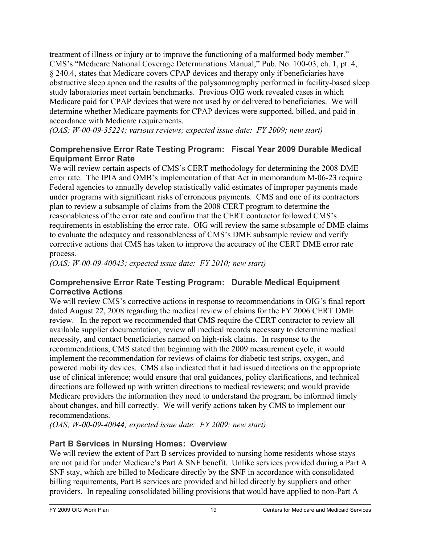treatment of illness or injury or to improve the functioning of a malformed body member." CMS's "Medicare National Coverage Determinations Manual," Pub. No. 100-03, ch. 1, pt. 4, § 240.4, states that Medicare covers CPAP devices and therapy only if beneficiaries have obstructive sleep apnea and the results of the polysomnography performed in facility-based sleep study laboratories meet certain benchmarks. Previous OIG work revealed cases in which Medicare paid for CPAP devices that were not used by or delivered to beneficiaries. We will determine whether Medicare payments for CPAP devices were supported, billed, and paid in accordance with Medicare requirements.

*(OAS; W-00-09-35224; various reviews; expected issue date: FY 2009; new start)* 

#### **Comprehensive Error Rate Testing Program: Fiscal Year 2009 Durable Medical Equipment Error Rate**

We will review certain aspects of CMS's CERT methodology for determining the 2008 DME error rate. The IPIA and OMB's implementation of that Act in memorandum M-06-23 require Federal agencies to annually develop statistically valid estimates of improper payments made under programs with significant risks of erroneous payments. CMS and one of its contractors plan to review a subsample of claims from the 2008 CERT program to determine the reasonableness of the error rate and confirm that the CERT contractor followed CMS's requirements in establishing the error rate. OIG will review the same subsample of DME claims to evaluate the adequacy and reasonableness of CMS's DME subsample review and verify corrective actions that CMS has taken to improve the accuracy of the CERT DME error rate process.

*(OAS; W-00-09-40043; expected issue date: FY 2010; new start)* 

#### **Comprehensive Error Rate Testing Program: Durable Medical Equipment Corrective Actions**

We will review CMS's corrective actions in response to recommendations in OIG's final report dated August 22, 2008 regarding the medical review of claims for the FY 2006 CERT DME review. In the report we recommended that CMS require the CERT contractor to review all available supplier documentation, review all medical records necessary to determine medical necessity, and contact beneficiaries named on high-risk claims. In response to the recommendations, CMS stated that beginning with the 2009 measurement cycle, it would implement the recommendation for reviews of claims for diabetic test strips, oxygen, and powered mobility devices. CMS also indicated that it had issued directions on the appropriate use of clinical inference; would ensure that oral guidances, policy clarifications, and technical directions are followed up with written directions to medical reviewers; and would provide Medicare providers the information they need to understand the program, be informed timely about changes, and bill correctly. We will verify actions taken by CMS to implement our recommendations.

*(OAS; W-00-09-40044; expected issue date: FY 2009; new start)* 

#### **Part B Services in Nursing Homes: Overview**

We will review the extent of Part B services provided to nursing home residents whose stays are not paid for under Medicare's Part A SNF benefit. Unlike services provided during a Part A SNF stay, which are billed to Medicare directly by the SNF in accordance with consolidated billing requirements, Part B services are provided and billed directly by suppliers and other providers. In repealing consolidated billing provisions that would have applied to non-Part A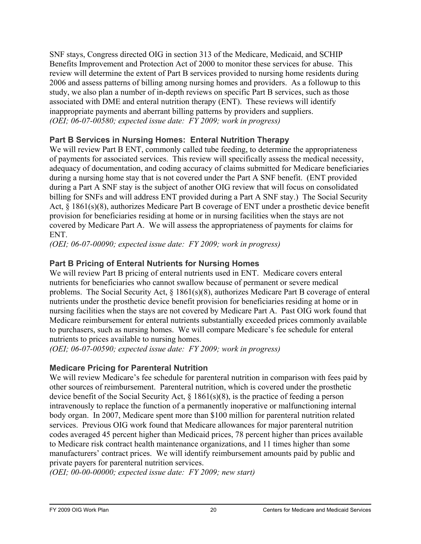SNF stays, Congress directed OIG in section 313 of the Medicare, Medicaid, and SCHIP Benefits Improvement and Protection Act of 2000 to monitor these services for abuse. This review will determine the extent of Part B services provided to nursing home residents during 2006 and assess patterns of billing among nursing homes and providers. As a followup to this study, we also plan a number of in-depth reviews on specific Part B services, such as those associated with DME and enteral nutrition therapy (ENT). These reviews will identify inappropriate payments and aberrant billing patterns by providers and suppliers. *(OEI; 06-07-00580; expected issue date: FY 2009; work in progress)* 

#### **Part B Services in Nursing Homes: Enteral Nutrition Therapy**

We will review Part B ENT, commonly called tube feeding, to determine the appropriateness of payments for associated services. This review will specifically assess the medical necessity, adequacy of documentation, and coding accuracy of claims submitted for Medicare beneficiaries during a nursing home stay that is not covered under the Part A SNF benefit. (ENT provided during a Part A SNF stay is the subject of another OIG review that will focus on consolidated billing for SNFs and will address ENT provided during a Part A SNF stay.) The Social Security Act, § 1861(s)(8), authorizes Medicare Part B coverage of ENT under a prosthetic device benefit provision for beneficiaries residing at home or in nursing facilities when the stays are not covered by Medicare Part A. We will assess the appropriateness of payments for claims for ENT.

*(OEI; 06-07-00090; expected issue date: FY 2009; work in progress)* 

## **Part B Pricing of Enteral Nutrients for Nursing Homes**

We will review Part B pricing of enteral nutrients used in ENT. Medicare covers enteral nutrients for beneficiaries who cannot swallow because of permanent or severe medical problems. The Social Security Act, § 1861(s)(8), authorizes Medicare Part B coverage of enteral nutrients under the prosthetic device benefit provision for beneficiaries residing at home or in nursing facilities when the stays are not covered by Medicare Part A. Past OIG work found that Medicare reimbursement for enteral nutrients substantially exceeded prices commonly available to purchasers, such as nursing homes. We will compare Medicare's fee schedule for enteral nutrients to prices available to nursing homes.

*(OEI; 06-07-00590; expected issue date: FY 2009; work in progress)* 

#### **Medicare Pricing for Parenteral Nutrition**

We will review Medicare's fee schedule for parenteral nutrition in comparison with fees paid by other sources of reimbursement. Parenteral nutrition, which is covered under the prosthetic device benefit of the Social Security Act, § 1861(s)(8), is the practice of feeding a person intravenously to replace the function of a permanently inoperative or malfunctioning internal body organ. In 2007, Medicare spent more than \$100 million for parenteral nutrition related services. Previous OIG work found that Medicare allowances for major parenteral nutrition codes averaged 45 percent higher than Medicaid prices, 78 percent higher than prices available to Medicare risk contract health maintenance organizations, and 11 times higher than some manufacturers' contract prices. We will identify reimbursement amounts paid by public and private payers for parenteral nutrition services.

*(OEI; 00-00-00000; expected issue date: FY 2009; new start)*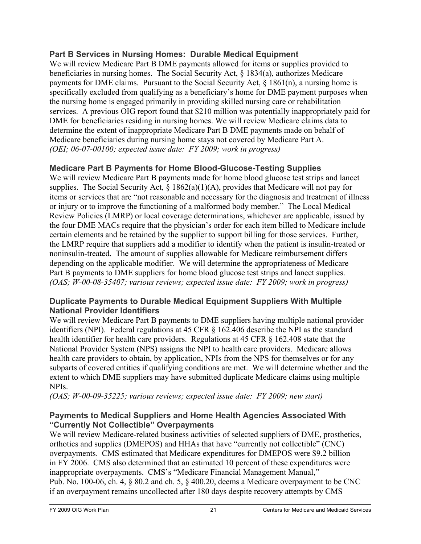#### **Part B Services in Nursing Homes: Durable Medical Equipment**

We will review Medicare Part B DME payments allowed for items or supplies provided to beneficiaries in nursing homes. The Social Security Act, § 1834(a), authorizes Medicare payments for DME claims. Pursuant to the Social Security Act, § 1861(n), a nursing home is specifically excluded from qualifying as a beneficiary's home for DME payment purposes when the nursing home is engaged primarily in providing skilled nursing care or rehabilitation services. A previous OIG report found that \$210 million was potentially inappropriately paid for DME for beneficiaries residing in nursing homes. We will review Medicare claims data to determine the extent of inappropriate Medicare Part B DME payments made on behalf of Medicare beneficiaries during nursing home stays not covered by Medicare Part A. *(OEI; 06-07-00100; expected issue date: FY 2009; work in progress)* 

#### **Medicare Part B Payments for Home Blood-Glucose-Testing Supplies**

We will review Medicare Part B payments made for home blood glucose test strips and lancet supplies. The Social Security Act,  $\S 1862(a)(1)(A)$ , provides that Medicare will not pay for items or services that are "not reasonable and necessary for the diagnosis and treatment of illness or injury or to improve the functioning of a malformed body member." The Local Medical Review Policies (LMRP) or local coverage determinations, whichever are applicable, issued by the four DME MACs require that the physician's order for each item billed to Medicare include certain elements and be retained by the supplier to support billing for those services. Further, the LMRP require that suppliers add a modifier to identify when the patient is insulin-treated or noninsulin-treated. The amount of supplies allowable for Medicare reimbursement differs depending on the applicable modifier. We will determine the appropriateness of Medicare Part B payments to DME suppliers for home blood glucose test strips and lancet supplies. *(OAS; W-00-08-35407; various reviews; expected issue date: FY 2009; work in progress)* 

#### **Duplicate Payments to Durable Medical Equipment Suppliers With Multiple National Provider Identifiers**

We will review Medicare Part B payments to DME suppliers having multiple national provider identifiers (NPI). Federal regulations at 45 CFR § 162.406 describe the NPI as the standard health identifier for health care providers. Regulations at 45 CFR § 162.408 state that the National Provider System (NPS) assigns the NPI to health care providers. Medicare allows health care providers to obtain, by application, NPIs from the NPS for themselves or for any subparts of covered entities if qualifying conditions are met. We will determine whether and the extent to which DME suppliers may have submitted duplicate Medicare claims using multiple NPIs.

*(OAS; W-00-09-35225; various reviews; expected issue date: FY 2009; new start)* 

#### **Payments to Medical Suppliers and Home Health Agencies Associated With "Currently Not Collectible" Overpayments**

We will review Medicare-related business activities of selected suppliers of DME, prosthetics, orthotics and supplies (DMEPOS) and HHAs that have "currently not collectible" (CNC) overpayments. CMS estimated that Medicare expenditures for DMEPOS were \$9.2 billion in FY 2006. CMS also determined that an estimated 10 percent of these expenditures were inappropriate overpayments. CMS's "Medicare Financial Management Manual," Pub. No. 100-06, ch. 4, § 80.2 and ch. 5, § 400.20, deems a Medicare overpayment to be CNC if an overpayment remains uncollected after 180 days despite recovery attempts by CMS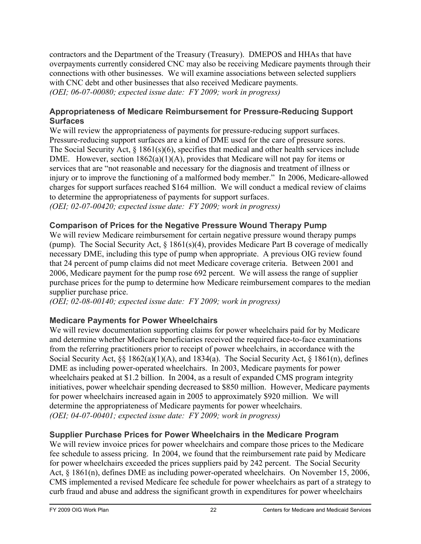contractors and the Department of the Treasury (Treasury). DMEPOS and HHAs that have overpayments currently considered CNC may also be receiving Medicare payments through their connections with other businesses. We will examine associations between selected suppliers with CNC debt and other businesses that also received Medicare payments. *(OEI; 06-07-00080; expected issue date: FY 2009; work in progress)* 

#### **Appropriateness of Medicare Reimbursement for Pressure-Reducing Support Surfaces**

We will review the appropriateness of payments for pressure-reducing support surfaces. Pressure-reducing support surfaces are a kind of DME used for the care of pressure sores. The Social Security Act, § 1861(s)(6), specifies that medical and other health services include DME. However, section  $1862(a)(1)(A)$ , provides that Medicare will not pay for items or services that are "not reasonable and necessary for the diagnosis and treatment of illness or injury or to improve the functioning of a malformed body member." In 2006, Medicare-allowed charges for support surfaces reached \$164 million. We will conduct a medical review of claims to determine the appropriateness of payments for support surfaces. *(OEI; 02-07-00420; expected issue date: FY 2009; work in progress)* 

# **Comparison of Prices for the Negative Pressure Wound Therapy Pump**

We will review Medicare reimbursement for certain negative pressure wound therapy pumps (pump). The Social Security Act, § 1861(s)(4), provides Medicare Part B coverage of medically necessary DME, including this type of pump when appropriate. A previous OIG review found that 24 percent of pump claims did not meet Medicare coverage criteria. Between 2001 and 2006, Medicare payment for the pump rose 692 percent. We will assess the range of supplier purchase prices for the pump to determine how Medicare reimbursement compares to the median supplier purchase price.

*(OEI; 02-08-00140; expected issue date: FY 2009; work in progress)* 

#### **Medicare Payments for Power Wheelchairs**

We will review documentation supporting claims for power wheelchairs paid for by Medicare and determine whether Medicare beneficiaries received the required face-to-face examinations from the referring practitioners prior to receipt of power wheelchairs, in accordance with the Social Security Act, §§ 1862(a)(1)(A), and 1834(a). The Social Security Act, § 1861(n), defines DME as including power-operated wheelchairs. In 2003, Medicare payments for power wheelchairs peaked at \$1.2 billion. In 2004, as a result of expanded CMS program integrity initiatives, power wheelchair spending decreased to \$850 million. However, Medicare payments for power wheelchairs increased again in 2005 to approximately \$920 million. We will determine the appropriateness of Medicare payments for power wheelchairs. *(OEI; 04-07-00401; expected issue date: FY 2009; work in progress)* 

#### **Supplier Purchase Prices for Power Wheelchairs in the Medicare Program**

We will review invoice prices for power wheelchairs and compare those prices to the Medicare fee schedule to assess pricing. In 2004, we found that the reimbursement rate paid by Medicare for power wheelchairs exceeded the prices suppliers paid by 242 percent. The Social Security Act, § 1861(n), defines DME as including power-operated wheelchairs. On November 15, 2006, CMS implemented a revised Medicare fee schedule for power wheelchairs as part of a strategy to curb fraud and abuse and address the significant growth in expenditures for power wheelchairs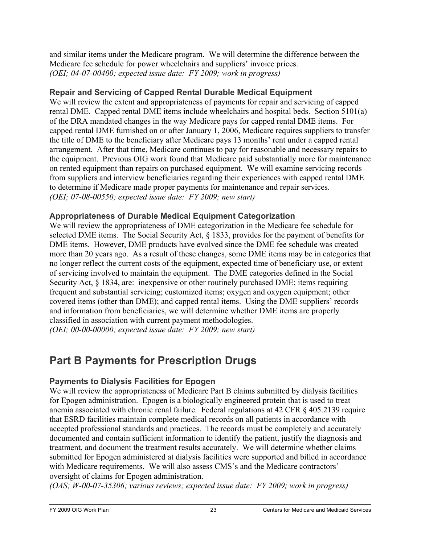and similar items under the Medicare program. We will determine the difference between the Medicare fee schedule for power wheelchairs and suppliers' invoice prices. *(OEI; 04-07-00400; expected issue date: FY 2009; work in progress)* 

#### **Repair and Servicing of Capped Rental Durable Medical Equipment**

We will review the extent and appropriateness of payments for repair and servicing of capped rental DME. Capped rental DME items include wheelchairs and hospital beds. Section 5101(a) of the DRA mandated changes in the way Medicare pays for capped rental DME items. For capped rental DME furnished on or after January 1, 2006, Medicare requires suppliers to transfer the title of DME to the beneficiary after Medicare pays 13 months' rent under a capped rental arrangement. After that time, Medicare continues to pay for reasonable and necessary repairs to the equipment. Previous OIG work found that Medicare paid substantially more for maintenance on rented equipment than repairs on purchased equipment. We will examine servicing records from suppliers and interview beneficiaries regarding their experiences with capped rental DME to determine if Medicare made proper payments for maintenance and repair services. *(OEI; 07-08-00550; expected issue date: FY 2009; new start)* 

#### **Appropriateness of Durable Medical Equipment Categorization**

We will review the appropriateness of DME categorization in the Medicare fee schedule for selected DME items. The Social Security Act, § 1833, provides for the payment of benefits for DME items. However, DME products have evolved since the DME fee schedule was created more than 20 years ago. As a result of these changes, some DME items may be in categories that no longer reflect the current costs of the equipment, expected time of beneficiary use, or extent of servicing involved to maintain the equipment. The DME categories defined in the Social Security Act, § 1834, are: inexpensive or other routinely purchased DME; items requiring frequent and substantial servicing; customized items; oxygen and oxygen equipment; other covered items (other than DME); and capped rental items. Using the DME suppliers' records and information from beneficiaries, we will determine whether DME items are properly classified in association with current payment methodologies.

*(OEI; 00-00-00000; expected issue date: FY 2009; new start)* 

# **Part B Payments for Prescription Drugs**

#### **Payments to Dialysis Facilities for Epogen**

We will review the appropriateness of Medicare Part B claims submitted by dialysis facilities for Epogen administration. Epogen is a biologically engineered protein that is used to treat anemia associated with chronic renal failure. Federal regulations at 42 CFR § 405.2139 require that ESRD facilities maintain complete medical records on all patients in accordance with accepted professional standards and practices. The records must be completely and accurately documented and contain sufficient information to identify the patient, justify the diagnosis and treatment, and document the treatment results accurately. We will determine whether claims submitted for Epogen administered at dialysis facilities were supported and billed in accordance with Medicare requirements. We will also assess CMS's and the Medicare contractors' oversight of claims for Epogen administration.

*(OAS; W-00-07-35306; various reviews; expected issue date: FY 2009; work in progress)*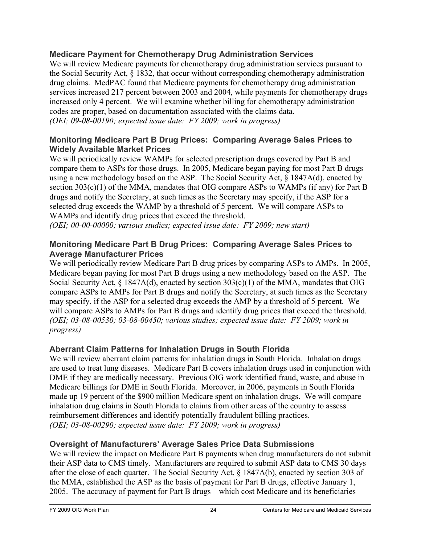#### **Medicare Payment for Chemotherapy Drug Administration Services**

We will review Medicare payments for chemotherapy drug administration services pursuant to the Social Security Act, § 1832, that occur without corresponding chemotherapy administration drug claims. MedPAC found that Medicare payments for chemotherapy drug administration services increased 217 percent between 2003 and 2004, while payments for chemotherapy drugs increased only 4 percent. We will examine whether billing for chemotherapy administration codes are proper, based on documentation associated with the claims data. *(OEI; 09-08-00190; expected issue date: FY 2009; work in progress)* 

#### **Monitoring Medicare Part B Drug Prices: Comparing Average Sales Prices to Widely Available Market Prices**

We will periodically review WAMPs for selected prescription drugs covered by Part B and compare them to ASPs for those drugs. In 2005, Medicare began paying for most Part B drugs using a new methodology based on the ASP. The Social Security Act,  $\S$  1847A(d), enacted by section 303(c)(1) of the MMA, mandates that OIG compare ASPs to WAMPs (if any) for Part B drugs and notify the Secretary, at such times as the Secretary may specify, if the ASP for a selected drug exceeds the WAMP by a threshold of 5 percent. We will compare ASPs to WAMPs and identify drug prices that exceed the threshold.

*(OEI; 00-00-00000; various studies; expected issue date: FY 2009; new start)* 

#### **Monitoring Medicare Part B Drug Prices: Comparing Average Sales Prices to Average Manufacturer Prices**

We will periodically review Medicare Part B drug prices by comparing ASPs to AMPs. In 2005, Medicare began paying for most Part B drugs using a new methodology based on the ASP. The Social Security Act, § 1847A(d), enacted by section 303(c)(1) of the MMA, mandates that OIG compare ASPs to AMPs for Part B drugs and notify the Secretary, at such times as the Secretary may specify, if the ASP for a selected drug exceeds the AMP by a threshold of 5 percent. We will compare ASPs to AMPs for Part B drugs and identify drug prices that exceed the threshold. *(OEI; 03-08-00530; 03-08-00450; various studies; expected issue date: FY 2009; work in progress)* 

#### **Aberrant Claim Patterns for Inhalation Drugs in South Florida**

We will review aberrant claim patterns for inhalation drugs in South Florida. Inhalation drugs are used to treat lung diseases. Medicare Part B covers inhalation drugs used in conjunction with DME if they are medically necessary. Previous OIG work identified fraud, waste, and abuse in Medicare billings for DME in South Florida. Moreover, in 2006, payments in South Florida made up 19 percent of the \$900 million Medicare spent on inhalation drugs. We will compare inhalation drug claims in South Florida to claims from other areas of the country to assess reimbursement differences and identify potentially fraudulent billing practices. *(OEI; 03-08-00290; expected issue date: FY 2009; work in progress)* 

#### **Oversight of Manufacturers' Average Sales Price Data Submissions**

We will review the impact on Medicare Part B payments when drug manufacturers do not submit their ASP data to CMS timely. Manufacturers are required to submit ASP data to CMS 30 days after the close of each quarter. The Social Security Act, § 1847A(b), enacted by section 303 of the MMA, established the ASP as the basis of payment for Part B drugs, effective January 1, 2005. The accuracy of payment for Part B drugs—which cost Medicare and its beneficiaries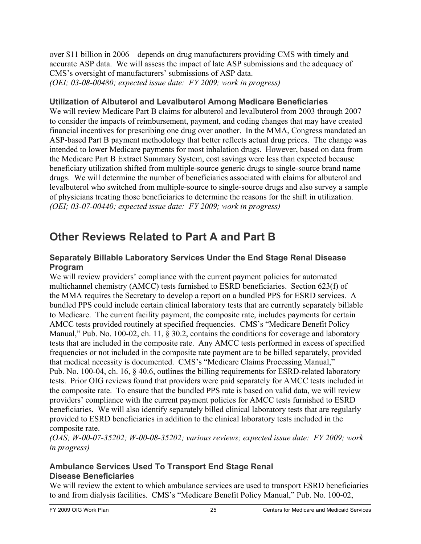over \$11 billion in 2006—depends on drug manufacturers providing CMS with timely and accurate ASP data. We will assess the impact of late ASP submissions and the adequacy of CMS's oversight of manufacturers' submissions of ASP data. *(OEI; 03-08-00480; expected issue date: FY 2009; work in progress)* 

#### **Utilization of Albuterol and Levalbuterol Among Medicare Beneficiaries**

We will review Medicare Part B claims for albuterol and levalbuterol from 2003 through 2007 to consider the impacts of reimbursement, payment, and coding changes that may have created financial incentives for prescribing one drug over another. In the MMA, Congress mandated an ASP-based Part B payment methodology that better reflects actual drug prices. The change was intended to lower Medicare payments for most inhalation drugs. However, based on data from the Medicare Part B Extract Summary System, cost savings were less than expected because beneficiary utilization shifted from multiple-source generic drugs to single-source brand name drugs. We will determine the number of beneficiaries associated with claims for albuterol and levalbuterol who switched from multiple-source to single-source drugs and also survey a sample of physicians treating those beneficiaries to determine the reasons for the shift in utilization. *(OEI; 03-07-00440; expected issue date: FY 2009; work in progress)* 

## **Other Reviews Related to Part A and Part B**

#### **Separately Billable Laboratory Services Under the End Stage Renal Disease Program**

We will review providers' compliance with the current payment policies for automated multichannel chemistry (AMCC) tests furnished to ESRD beneficiaries. Section 623(f) of the MMA requires the Secretary to develop a report on a bundled PPS for ESRD services. A bundled PPS could include certain clinical laboratory tests that are currently separately billable to Medicare. The current facility payment, the composite rate, includes payments for certain AMCC tests provided routinely at specified frequencies. CMS's "Medicare Benefit Policy Manual," Pub. No. 100-02, ch. 11, § 30.2, contains the conditions for coverage and laboratory tests that are included in the composite rate. Any AMCC tests performed in excess of specified frequencies or not included in the composite rate payment are to be billed separately, provided that medical necessity is documented. CMS's "Medicare Claims Processing Manual," Pub. No. 100-04, ch. 16, § 40.6, outlines the billing requirements for ESRD-related laboratory tests. Prior OIG reviews found that providers were paid separately for AMCC tests included in the composite rate. To ensure that the bundled PPS rate is based on valid data, we will review providers' compliance with the current payment policies for AMCC tests furnished to ESRD beneficiaries. We will also identify separately billed clinical laboratory tests that are regularly provided to ESRD beneficiaries in addition to the clinical laboratory tests included in the composite rate.

*(OAS; W-00-07-35202; W-00-08-35202; various reviews; expected issue date: FY 2009; work in progress)* 

#### **Ambulance Services Used To Transport End Stage Renal Disease Beneficiaries**

We will review the extent to which ambulance services are used to transport ESRD beneficiaries to and from dialysis facilities. CMS's "Medicare Benefit Policy Manual," Pub. No. 100-02,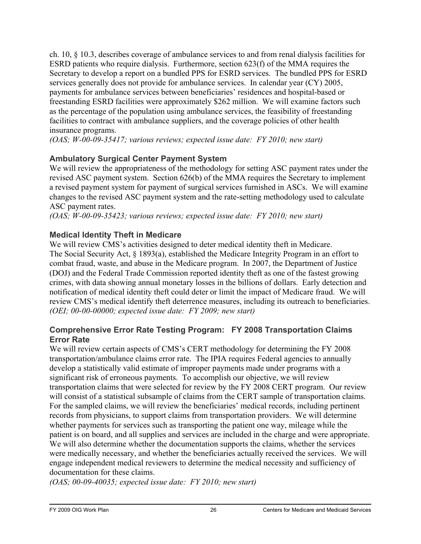ch. 10, § 10.3, describes coverage of ambulance services to and from renal dialysis facilities for ESRD patients who require dialysis. Furthermore, section 623(f) of the MMA requires the Secretary to develop a report on a bundled PPS for ESRD services. The bundled PPS for ESRD services generally does not provide for ambulance services. In calendar year (CY) 2005, payments for ambulance services between beneficiaries' residences and hospital-based or freestanding ESRD facilities were approximately \$262 million. We will examine factors such as the percentage of the population using ambulance services, the feasibility of freestanding facilities to contract with ambulance suppliers, and the coverage policies of other health insurance programs.

*(OAS; W-00-09-35417; various reviews; expected issue date: FY 2010; new start)* 

#### **Ambulatory Surgical Center Payment System**

We will review the appropriateness of the methodology for setting ASC payment rates under the revised ASC payment system. Section 626(b) of the MMA requires the Secretary to implement a revised payment system for payment of surgical services furnished in ASCs. We will examine changes to the revised ASC payment system and the rate-setting methodology used to calculate ASC payment rates.

*(OAS; W-00-09-35423; various reviews; expected issue date: FY 2010; new start)* 

#### **Medical Identity Theft in Medicare**

We will review CMS's activities designed to deter medical identity theft in Medicare. The Social Security Act, § 1893(a), established the Medicare Integrity Program in an effort to combat fraud, waste, and abuse in the Medicare program. In 2007, the Department of Justice (DOJ) and the Federal Trade Commission reported identity theft as one of the fastest growing crimes, with data showing annual monetary losses in the billions of dollars. Early detection and notification of medical identity theft could deter or limit the impact of Medicare fraud. We will review CMS's medical identify theft deterrence measures, including its outreach to beneficiaries. *(OEI; 00-00-00000; expected issue date: FY 2009; new start)* 

#### **Comprehensive Error Rate Testing Program: FY 2008 Transportation Claims Error Rate**

We will review certain aspects of CMS's CERT methodology for determining the FY 2008 transportation/ambulance claims error rate. The IPIA requires Federal agencies to annually develop a statistically valid estimate of improper payments made under programs with a significant risk of erroneous payments. To accomplish our objective, we will review transportation claims that were selected for review by the FY 2008 CERT program. Our review will consist of a statistical subsample of claims from the CERT sample of transportation claims. For the sampled claims, we will review the beneficiaries' medical records, including pertinent records from physicians, to support claims from transportation providers. We will determine whether payments for services such as transporting the patient one way, mileage while the patient is on board, and all supplies and services are included in the charge and were appropriate. We will also determine whether the documentation supports the claims, whether the services were medically necessary, and whether the beneficiaries actually received the services. We will engage independent medical reviewers to determine the medical necessity and sufficiency of documentation for these claims.

*(OAS; 00-09-40035; expected issue date: FY 2010; new start)*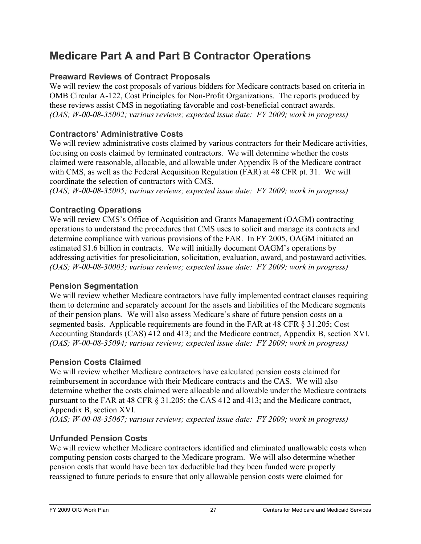# **Medicare Part A and Part B Contractor Operations**

## **Preaward Reviews of Contract Proposals**

We will review the cost proposals of various bidders for Medicare contracts based on criteria in OMB Circular A-122, Cost Principles for Non-Profit Organizations. The reports produced by these reviews assist CMS in negotiating favorable and cost-beneficial contract awards. *(OAS; W-00-08-35002; various reviews; expected issue date: FY 2009; work in progress)* 

#### **Contractors' Administrative Costs**

We will review administrative costs claimed by various contractors for their Medicare activities, focusing on costs claimed by terminated contractors. We will determine whether the costs claimed were reasonable, allocable, and allowable under Appendix B of the Medicare contract with CMS, as well as the Federal Acquisition Regulation (FAR) at 48 CFR pt. 31. We will coordinate the selection of contractors with CMS.

*(OAS; W-00-08-35005; various reviews; expected issue date: FY 2009; work in progress)* 

#### **Contracting Operations**

We will review CMS's Office of Acquisition and Grants Management (OAGM) contracting operations to understand the procedures that CMS uses to solicit and manage its contracts and determine compliance with various provisions of the FAR. In FY 2005, OAGM initiated an estimated \$1.6 billion in contracts. We will initially document OAGM's operations by addressing activities for presolicitation, solicitation, evaluation, award, and postaward activities. *(OAS; W-00-08-30003; various reviews; expected issue date: FY 2009; work in progress)* 

#### **Pension Segmentation**

We will review whether Medicare contractors have fully implemented contract clauses requiring them to determine and separately account for the assets and liabilities of the Medicare segments of their pension plans. We will also assess Medicare's share of future pension costs on a segmented basis. Applicable requirements are found in the FAR at 48 CFR § 31.205; Cost Accounting Standards (CAS) 412 and 413; and the Medicare contract, Appendix B, section XVI. *(OAS; W-00-08-35094; various reviews; expected issue date: FY 2009; work in progress)* 

#### **Pension Costs Claimed**

We will review whether Medicare contractors have calculated pension costs claimed for reimbursement in accordance with their Medicare contracts and the CAS. We will also determine whether the costs claimed were allocable and allowable under the Medicare contracts pursuant to the FAR at 48 CFR § 31.205; the CAS 412 and 413; and the Medicare contract, Appendix B, section XVI.

*(OAS; W-00-08-35067; various reviews; expected issue date: FY 2009; work in progress)* 

#### **Unfunded Pension Costs**

We will review whether Medicare contractors identified and eliminated unallowable costs when computing pension costs charged to the Medicare program. We will also determine whether pension costs that would have been tax deductible had they been funded were properly reassigned to future periods to ensure that only allowable pension costs were claimed for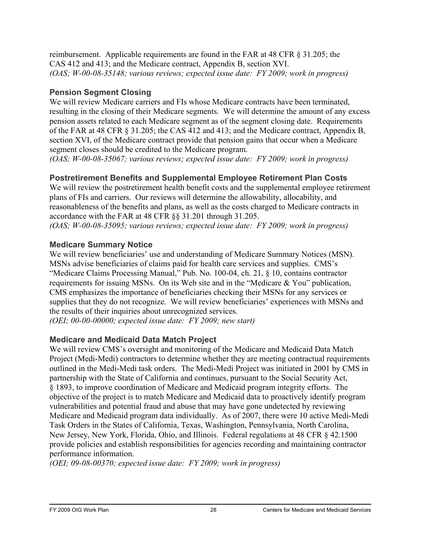reimbursement. Applicable requirements are found in the FAR at 48 CFR § 31.205; the CAS 412 and 413; and the Medicare contract, Appendix B, section XVI. *(OAS; W-00-08-35148; various reviews; expected issue date: FY 2009; work in progress)* 

#### **Pension Segment Closing**

We will review Medicare carriers and FIs whose Medicare contracts have been terminated, resulting in the closing of their Medicare segments. We will determine the amount of any excess pension assets related to each Medicare segment as of the segment closing date. Requirements of the FAR at 48 CFR § 31.205; the CAS 412 and 413; and the Medicare contract, Appendix B, section XVI, of the Medicare contract provide that pension gains that occur when a Medicare segment closes should be credited to the Medicare program.

*(OAS; W-00-08-35067; various reviews; expected issue date: FY 2009; work in progress)* 

## **Postretirement Benefits and Supplemental Employee Retirement Plan Costs**

We will review the postretirement health benefit costs and the supplemental employee retirement plans of FIs and carriers. Our reviews will determine the allowability, allocability, and reasonableness of the benefits and plans, as well as the costs charged to Medicare contracts in accordance with the FAR at 48 CFR §§ 31.201 through 31.205.

*(OAS; W-00-08-35095; various reviews; expected issue date: FY 2009; work in progress)* 

#### **Medicare Summary Notice**

We will review beneficiaries' use and understanding of Medicare Summary Notices (MSN). MSNs advise beneficiaries of claims paid for health care services and supplies. CMS's "Medicare Claims Processing Manual," Pub. No. 100-04, ch. 21, § 10, contains contractor requirements for issuing MSNs. On its Web site and in the "Medicare & You" publication, CMS emphasizes the importance of beneficiaries checking their MSNs for any services or supplies that they do not recognize. We will review beneficiaries' experiences with MSNs and the results of their inquiries about unrecognized services.

*(OEI; 00-00-00000; expected issue date: FY 2009; new start)* 

#### **Medicare and Medicaid Data Match Project**

We will review CMS's oversight and monitoring of the Medicare and Medicaid Data Match Project (Medi-Medi) contractors to determine whether they are meeting contractual requirements outlined in the Medi-Medi task orders. The Medi-Medi Project was initiated in 2001 by CMS in partnership with the State of California and continues, pursuant to the Social Security Act, § 1893, to improve coordination of Medicare and Medicaid program integrity efforts. The objective of the project is to match Medicare and Medicaid data to proactively identify program vulnerabilities and potential fraud and abuse that may have gone undetected by reviewing Medicare and Medicaid program data individually. As of 2007, there were 10 active Medi-Medi Task Orders in the States of California, Texas, Washington, Pennsylvania, North Carolina, New Jersey, New York, Florida, Ohio, and Illinois. Federal regulations at 48 CFR § 42.1500 provide policies and establish responsibilities for agencies recording and maintaining contractor performance information.

*(OEI; 09-08-00370; expected issue date: FY 2009; work in progress)*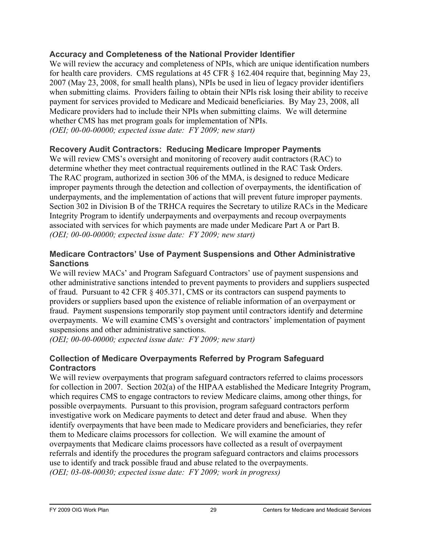#### **Accuracy and Completeness of the National Provider Identifier**

We will review the accuracy and completeness of NPIs, which are unique identification numbers for health care providers. CMS regulations at 45 CFR § 162.404 require that, beginning May 23, 2007 (May 23, 2008, for small health plans), NPIs be used in lieu of legacy provider identifiers when submitting claims. Providers failing to obtain their NPIs risk losing their ability to receive payment for services provided to Medicare and Medicaid beneficiaries. By May 23, 2008, all Medicare providers had to include their NPIs when submitting claims. We will determine whether CMS has met program goals for implementation of NPIs. *(OEI; 00-00-00000; expected issue date: FY 2009; new start)* 

#### **Recovery Audit Contractors: Reducing Medicare Improper Payments**

We will review CMS's oversight and monitoring of recovery audit contractors (RAC) to determine whether they meet contractual requirements outlined in the RAC Task Orders. The RAC program, authorized in section 306 of the MMA, is designed to reduce Medicare improper payments through the detection and collection of overpayments, the identification of underpayments, and the implementation of actions that will prevent future improper payments. Section 302 in Division B of the TRHCA requires the Secretary to utilize RACs in the Medicare Integrity Program to identify underpayments and overpayments and recoup overpayments associated with services for which payments are made under Medicare Part A or Part B. *(OEI; 00-00-00000; expected issue date: FY 2009; new start)* 

#### **Medicare Contractors' Use of Payment Suspensions and Other Administrative Sanctions**

We will review MACs' and Program Safeguard Contractors' use of payment suspensions and other administrative sanctions intended to prevent payments to providers and suppliers suspected of fraud. Pursuant to 42 CFR § 405.371, CMS or its contractors can suspend payments to providers or suppliers based upon the existence of reliable information of an overpayment or fraud. Payment suspensions temporarily stop payment until contractors identify and determine overpayments. We will examine CMS's oversight and contractors' implementation of payment suspensions and other administrative sanctions.

*(OEI; 00-00-00000; expected issue date: FY 2009; new start)* 

#### **Collection of Medicare Overpayments Referred by Program Safeguard Contractors**

We will review overpayments that program safeguard contractors referred to claims processors for collection in 2007. Section 202(a) of the HIPAA established the Medicare Integrity Program, which requires CMS to engage contractors to review Medicare claims, among other things, for possible overpayments. Pursuant to this provision, program safeguard contractors perform investigative work on Medicare payments to detect and deter fraud and abuse. When they identify overpayments that have been made to Medicare providers and beneficiaries, they refer them to Medicare claims processors for collection. We will examine the amount of overpayments that Medicare claims processors have collected as a result of overpayment referrals and identify the procedures the program safeguard contractors and claims processors use to identify and track possible fraud and abuse related to the overpayments. *(OEI; 03-08-00030; expected issue date: FY 2009; work in progress)*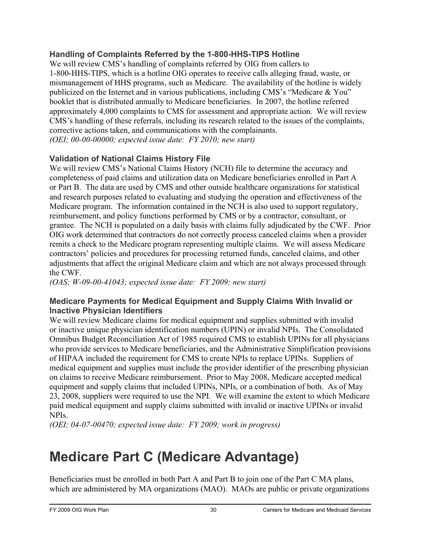#### **Handling of Complaints Referred by the 1-800-HHS-TIPS Hotline**

We will review CMS's handling of complaints referred by OIG from callers to 1-800-HHS-TIPS, which is a hotline OIG operates to receive calls alleging fraud, waste, or mismanagement of HHS programs, such as Medicare. The availability of the hotline is widely publicized on the Internet and in various publications, including CMS's "Medicare & You" booklet that is distributed annually to Medicare beneficiaries. In 2007, the hotline referred approximately 4,000 complaints to CMS for assessment and appropriate action. We will review CMS's handling of these referrals, including its research related to the issues of the complaints, corrective actions taken, and communications with the complainants. *(OEI; 00-00-00000; expected issue date: FY 2010; new start)* 

#### **Validation of National Claims History File**

We will review CMS's National Claims History (NCH) file to determine the accuracy and completeness of paid claims and utilization data on Medicare beneficiaries enrolled in Part A or Part B. The data are used by CMS and other outside healthcare organizations for statistical and research purposes related to evaluating and studying the operation and effectiveness of the Medicare program. The information contained in the NCH is also used to support regulatory, reimbursement, and policy functions performed by CMS or by a contractor, consultant, or grantee. The NCH is populated on a daily basis with claims fully adjudicated by the CWF. Prior OIG work determined that contractors do not correctly process canceled claims when a provider remits a check to the Medicare program representing multiple claims. We will assess Medicare contractors' policies and procedures for processing returned funds, canceled claims, and other adjustments that affect the original Medicare claim and which are not always processed through the CWF.

*(OAS; W-09-00-41043; expected issue date: FY 2009; new start)* 

#### **Medicare Payments for Medical Equipment and Supply Claims With Invalid or Inactive Physician Identifiers**

We will review Medicare claims for medical equipment and supplies submitted with invalid or inactive unique physician identification numbers (UPIN) or invalid NPIs. The Consolidated Omnibus Budget Reconciliation Act of 1985 required CMS to establish UPINs for all physicians who provide services to Medicare beneficiaries, and the Administrative Simplification provisions of HIPAA included the requirement for CMS to create NPIs to replace UPINs. Suppliers of medical equipment and supplies must include the provider identifier of the prescribing physician on claims to receive Medicare reimbursement. Prior to May 2008, Medicare accepted medical equipment and supply claims that included UPINs, NPIs, or a combination of both. As of May 23, 2008, suppliers were required to use the NPI. We will examine the extent to which Medicare paid medical equipment and supply claims submitted with invalid or inactive UPINs or invalid NPIs.

*(OEI; 04-07-00470; expected issue date: FY 2009; work in progress)* 

# **Medicare Part C (Medicare Advantage)**

Beneficiaries must be enrolled in both Part A and Part B to join one of the Part C MA plans, which are administered by MA organizations (MAO). MAOs are public or private organizations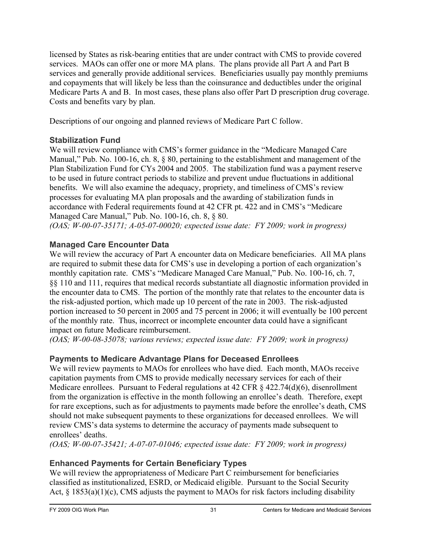licensed by States as risk-bearing entities that are under contract with CMS to provide covered services. MAOs can offer one or more MA plans. The plans provide all Part A and Part B services and generally provide additional services. Beneficiaries usually pay monthly premiums and copayments that will likely be less than the coinsurance and deductibles under the original Medicare Parts A and B. In most cases, these plans also offer Part D prescription drug coverage. Costs and benefits vary by plan.

Descriptions of our ongoing and planned reviews of Medicare Part C follow.

#### **Stabilization Fund**

We will review compliance with CMS's former guidance in the "Medicare Managed Care Manual," Pub. No. 100-16, ch. 8,  $\&$  80, pertaining to the establishment and management of the Plan Stabilization Fund for CYs 2004 and 2005. The stabilization fund was a payment reserve to be used in future contract periods to stabilize and prevent undue fluctuations in additional benefits. We will also examine the adequacy, propriety, and timeliness of CMS's review processes for evaluating MA plan proposals and the awarding of stabilization funds in accordance with Federal requirements found at 42 CFR pt. 422 and in CMS's "Medicare Managed Care Manual," Pub. No. 100-16, ch. 8, § 80.

*(OAS; W-00-07-35171; A-05-07-00020; expected issue date: FY 2009; work in progress)* 

## **Managed Care Encounter Data**

We will review the accuracy of Part A encounter data on Medicare beneficiaries. All MA plans are required to submit these data for CMS's use in developing a portion of each organization's monthly capitation rate. CMS's "Medicare Managed Care Manual," Pub. No. 100-16, ch. 7, §§ 110 and 111, requires that medical records substantiate all diagnostic information provided in the encounter data to CMS. The portion of the monthly rate that relates to the encounter data is the risk-adjusted portion, which made up 10 percent of the rate in 2003. The risk-adjusted portion increased to 50 percent in 2005 and 75 percent in 2006; it will eventually be 100 percent of the monthly rate. Thus, incorrect or incomplete encounter data could have a significant impact on future Medicare reimbursement.

*(OAS; W-00-08-35078; various reviews; expected issue date: FY 2009; work in progress)* 

## **Payments to Medicare Advantage Plans for Deceased Enrollees**

We will review payments to MAOs for enrollees who have died. Each month, MAOs receive capitation payments from CMS to provide medically necessary services for each of their Medicare enrollees. Pursuant to Federal regulations at 42 CFR  $\S$  422.74(d)(6), disenrollment from the organization is effective in the month following an enrollee's death. Therefore, exept for rare exceptions, such as for adjustments to payments made before the enrollee's death, CMS should not make subsequent payments to these organizations for deceased enrollees. We will review CMS's data systems to determine the accuracy of payments made subsequent to enrollees' deaths.

*(OAS; W-00-07-35421; A-07-07-01046; expected issue date: FY 2009; work in progress)* 

#### **Enhanced Payments for Certain Beneficiary Types**

We will review the appropriateness of Medicare Part C reimbursement for beneficiaries classified as institutionalized, ESRD, or Medicaid eligible. Pursuant to the Social Security Act,  $\S$  1853(a)(1)(c), CMS adjusts the payment to MAOs for risk factors including disability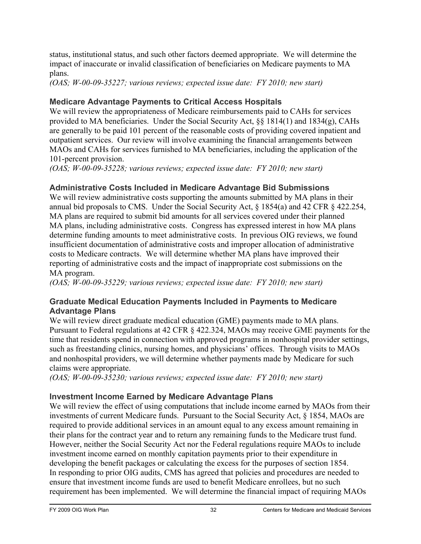status, institutional status, and such other factors deemed appropriate. We will determine the impact of inaccurate or invalid classification of beneficiaries on Medicare payments to MA plans.

*(OAS; W-00-09-35227; various reviews; expected issue date: FY 2010; new start)* 

## **Medicare Advantage Payments to Critical Access Hospitals**

We will review the appropriateness of Medicare reimbursements paid to CAHs for services provided to MA beneficiaries. Under the Social Security Act, §§ 1814(1) and 1834(g), CAHs are generally to be paid 101 percent of the reasonable costs of providing covered inpatient and outpatient services. Our review will involve examining the financial arrangements between MAOs and CAHs for services furnished to MA beneficiaries, including the application of the 101-percent provision.

*(OAS; W-00-09-35228; various reviews; expected issue date: FY 2010; new start)* 

#### **Administrative Costs Included in Medicare Advantage Bid Submissions**

We will review administrative costs supporting the amounts submitted by MA plans in their annual bid proposals to CMS. Under the Social Security Act, § 1854(a) and 42 CFR § 422.254, MA plans are required to submit bid amounts for all services covered under their planned MA plans, including administrative costs. Congress has expressed interest in how MA plans determine funding amounts to meet administrative costs. In previous OIG reviews, we found insufficient documentation of administrative costs and improper allocation of administrative costs to Medicare contracts. We will determine whether MA plans have improved their reporting of administrative costs and the impact of inappropriate cost submissions on the MA program.

*(OAS; W-00-09-35229; various reviews; expected issue date: FY 2010; new start)* 

#### **Graduate Medical Education Payments Included in Payments to Medicare Advantage Plans**

We will review direct graduate medical education (GME) payments made to MA plans. Pursuant to Federal regulations at 42 CFR § 422.324, MAOs may receive GME payments for the time that residents spend in connection with approved programs in nonhospital provider settings, such as freestanding clinics, nursing homes, and physicians' offices. Through visits to MAOs and nonhospital providers, we will determine whether payments made by Medicare for such claims were appropriate.

*(OAS; W-00-09-35230; various reviews; expected issue date: FY 2010; new start)* 

#### **Investment Income Earned by Medicare Advantage Plans**

We will review the effect of using computations that include income earned by MAOs from their investments of current Medicare funds. Pursuant to the Social Security Act, § 1854, MAOs are required to provide additional services in an amount equal to any excess amount remaining in their plans for the contract year and to return any remaining funds to the Medicare trust fund. However, neither the Social Security Act nor the Federal regulations require MAOs to include investment income earned on monthly capitation payments prior to their expenditure in developing the benefit packages or calculating the excess for the purposes of section 1854. In responding to prior OIG audits, CMS has agreed that policies and procedures are needed to ensure that investment income funds are used to benefit Medicare enrollees, but no such requirement has been implemented. We will determine the financial impact of requiring MAOs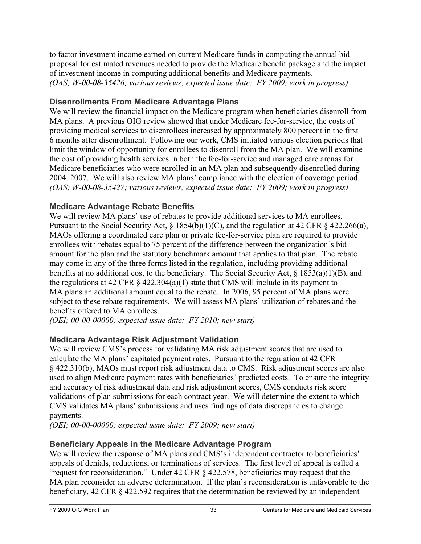to factor investment income earned on current Medicare funds in computing the annual bid proposal for estimated revenues needed to provide the Medicare benefit package and the impact of investment income in computing additional benefits and Medicare payments. *(OAS; W-00-08-35426; various reviews; expected issue date: FY 2009; work in progress)* 

#### **Disenrollments From Medicare Advantage Plans**

We will review the financial impact on the Medicare program when beneficiaries disenroll from MA plans. A previous OIG review showed that under Medicare fee-for-service, the costs of providing medical services to disenrollees increased by approximately 800 percent in the first 6 months after disenrollment. Following our work, CMS initiated various election periods that limit the window of opportunity for enrollees to disenroll from the MA plan. We will examine the cost of providing health services in both the fee-for-service and managed care arenas for Medicare beneficiaries who were enrolled in an MA plan and subsequently disenrolled during 2004–2007. We will also review MA plans' compliance with the election of coverage period. *(OAS; W-00-08-35427; various reviews; expected issue date: FY 2009; work in progress)* 

#### **Medicare Advantage Rebate Benefits**

We will review MA plans' use of rebates to provide additional services to MA enrollees. Pursuant to the Social Security Act, § 1854(b)(1)(C), and the regulation at 42 CFR § 422.266(a), MAOs offering a coordinated care plan or private fee-for-service plan are required to provide enrollees with rebates equal to 75 percent of the difference between the organization's bid amount for the plan and the statutory benchmark amount that applies to that plan. The rebate may come in any of the three forms listed in the regulation, including providing additional benefits at no additional cost to the beneficiary. The Social Security Act, § 1853(a)(1)(B), and the regulations at 42 CFR  $\S$  422.304(a)(1) state that CMS will include in its payment to MA plans an additional amount equal to the rebate. In 2006, 95 percent of MA plans were subject to these rebate requirements. We will assess MA plans' utilization of rebates and the benefits offered to MA enrollees.

*(OEI; 00-00-00000; expected issue date: FY 2010; new start)* 

#### **Medicare Advantage Risk Adjustment Validation**

We will review CMS's process for validating MA risk adjustment scores that are used to calculate the MA plans' capitated payment rates. Pursuant to the regulation at 42 CFR § 422.310(b), MAOs must report risk adjustment data to CMS. Risk adjustment scores are also used to align Medicare payment rates with beneficiaries' predicted costs. To ensure the integrity and accuracy of risk adjustment data and risk adjustment scores, CMS conducts risk score validations of plan submissions for each contract year. We will determine the extent to which CMS validates MA plans' submissions and uses findings of data discrepancies to change payments.

*(OEI; 00-00-00000; expected issue date: FY 2009; new start)* 

#### **Beneficiary Appeals in the Medicare Advantage Program**

We will review the response of MA plans and CMS's independent contractor to beneficiaries' appeals of denials, reductions, or terminations of services. The first level of appeal is called a "request for reconsideration." Under 42 CFR § 422.578, beneficiaries may request that the MA plan reconsider an adverse determination. If the plan's reconsideration is unfavorable to the beneficiary, 42 CFR § 422.592 requires that the determination be reviewed by an independent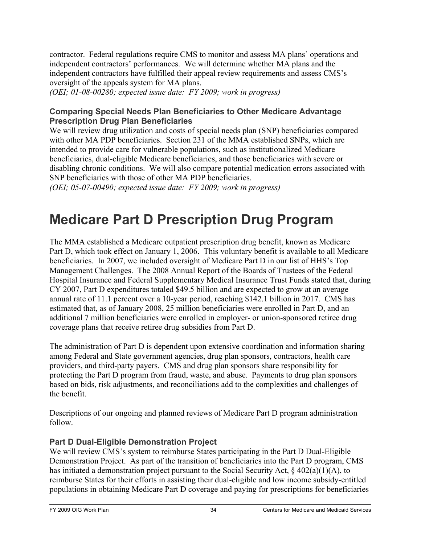contractor. Federal regulations require CMS to monitor and assess MA plans' operations and independent contractors' performances. We will determine whether MA plans and the independent contractors have fulfilled their appeal review requirements and assess CMS's oversight of the appeals system for MA plans.

*(OEI; 01-08-00280; expected issue date: FY 2009; work in progress)* 

#### **Comparing Special Needs Plan Beneficiaries to Other Medicare Advantage Prescription Drug Plan Beneficiaries**

We will review drug utilization and costs of special needs plan (SNP) beneficiaries compared with other MA PDP beneficiaries. Section 231 of the MMA established SNPs, which are intended to provide care for vulnerable populations, such as institutionalized Medicare beneficiaries, dual-eligible Medicare beneficiaries, and those beneficiaries with severe or disabling chronic conditions. We will also compare potential medication errors associated with SNP beneficiaries with those of other MA PDP beneficiaries.

*(OEI; 05-07-00490; expected issue date: FY 2009; work in progress)* 

# **Medicare Part D Prescription Drug Program**

The MMA established a Medicare outpatient prescription drug benefit, known as Medicare Part D, which took effect on January 1, 2006. This voluntary benefit is available to all Medicare beneficiaries. In 2007, we included oversight of Medicare Part D in our list of HHS's Top Management Challenges. The 2008 Annual Report of the Boards of Trustees of the Federal Hospital Insurance and Federal Supplementary Medical Insurance Trust Funds stated that, during CY 2007, Part D expenditures totaled \$49.5 billion and are expected to grow at an average annual rate of 11.1 percent over a 10-year period, reaching \$142.1 billion in 2017. CMS has estimated that, as of January 2008, 25 million beneficiaries were enrolled in Part D, and an additional 7 million beneficiaries were enrolled in employer- or union-sponsored retiree drug coverage plans that receive retiree drug subsidies from Part D.

The administration of Part D is dependent upon extensive coordination and information sharing among Federal and State government agencies, drug plan sponsors, contractors, health care providers, and third-party payers. CMS and drug plan sponsors share responsibility for protecting the Part D program from fraud, waste, and abuse. Payments to drug plan sponsors based on bids, risk adjustments, and reconciliations add to the complexities and challenges of the benefit.

Descriptions of our ongoing and planned reviews of Medicare Part D program administration follow.

#### **Part D Dual-Eligible Demonstration Project**

We will review CMS's system to reimburse States participating in the Part D Dual-Eligible Demonstration Project. As part of the transition of beneficiaries into the Part D program, CMS has initiated a demonstration project pursuant to the Social Security Act, § 402(a)(1)(A), to reimburse States for their efforts in assisting their dual-eligible and low income subsidy-entitled populations in obtaining Medicare Part D coverage and paying for prescriptions for beneficiaries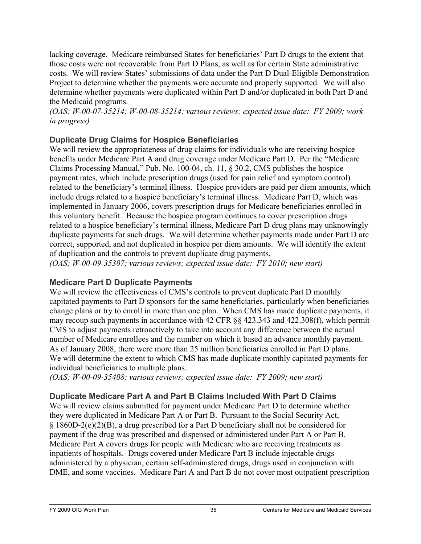lacking coverage. Medicare reimbursed States for beneficiaries' Part D drugs to the extent that those costs were not recoverable from Part D Plans, as well as for certain State administrative costs. We will review States' submissions of data under the Part D Dual-Eligible Demonstration Project to determine whether the payments were accurate and properly supported. We will also determine whether payments were duplicated within Part D and/or duplicated in both Part D and the Medicaid programs.

*(OAS; W-00-07-35214; W-00-08-35214; various reviews; expected issue date: FY 2009; work in progress)* 

#### **Duplicate Drug Claims for Hospice Beneficiaries**

We will review the appropriateness of drug claims for individuals who are receiving hospice benefits under Medicare Part A and drug coverage under Medicare Part D. Per the "Medicare Claims Processing Manual," Pub. No. 100-04, ch. 11, § 30.2, CMS publishes the hospice payment rates, which include prescription drugs (used for pain relief and symptom control) related to the beneficiary's terminal illness. Hospice providers are paid per diem amounts, which include drugs related to a hospice beneficiary's terminal illness. Medicare Part D, which was implemented in January 2006, covers prescription drugs for Medicare beneficiaries enrolled in this voluntary benefit. Because the hospice program continues to cover prescription drugs related to a hospice beneficiary's terminal illness, Medicare Part D drug plans may unknowingly duplicate payments for such drugs. We will determine whether payments made under Part D are correct, supported, and not duplicated in hospice per diem amounts. We will identify the extent of duplication and the controls to prevent duplicate drug payments.

*(OAS; W-00-09-35307; various reviews; expected issue date: FY 2010; new start)* 

#### **Medicare Part D Duplicate Payments**

We will review the effectiveness of CMS's controls to prevent duplicate Part D monthly capitated payments to Part D sponsors for the same beneficiaries, particularly when beneficiaries change plans or try to enroll in more than one plan. When CMS has made duplicate payments, it may recoup such payments in accordance with 42 CFR §§ 423.343 and 422.308(f), which permit CMS to adjust payments retroactively to take into account any difference between the actual number of Medicare enrollees and the number on which it based an advance monthly payment. As of January 2008, there were more than 25 million beneficiaries enrolled in Part D plans. We will determine the extent to which CMS has made duplicate monthly capitated payments for individual beneficiaries to multiple plans.

*(OAS; W-00-09-35408; various reviews; expected issue date: FY 2009; new start)* 

#### **Duplicate Medicare Part A and Part B Claims Included With Part D Claims**

We will review claims submitted for payment under Medicare Part D to determine whether they were duplicated in Medicare Part A or Part B. Pursuant to the Social Security Act, § 1860D-2(e)(2)(B), a drug prescribed for a Part D beneficiary shall not be considered for payment if the drug was prescribed and dispensed or administered under Part A or Part B. Medicare Part A covers drugs for people with Medicare who are receiving treatments as inpatients of hospitals. Drugs covered under Medicare Part B include injectable drugs administered by a physician, certain self-administered drugs, drugs used in conjunction with DME, and some vaccines. Medicare Part A and Part B do not cover most outpatient prescription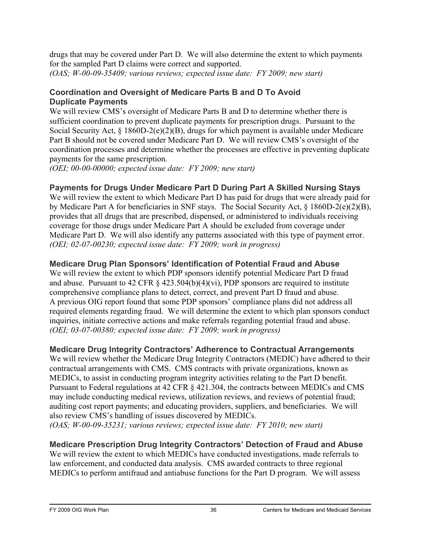drugs that may be covered under Part D. We will also determine the extent to which payments for the sampled Part D claims were correct and supported.

*(OAS; W-00-09-35409; various reviews; expected issue date: FY 2009; new start)* 

#### **Coordination and Oversight of Medicare Parts B and D To Avoid Duplicate Payments**

We will review CMS's oversight of Medicare Parts B and D to determine whether there is sufficient coordination to prevent duplicate payments for prescription drugs. Pursuant to the Social Security Act, § 1860D-2(e)(2)(B), drugs for which payment is available under Medicare Part B should not be covered under Medicare Part D. We will review CMS's oversight of the coordination processes and determine whether the processes are effective in preventing duplicate payments for the same prescription.

*(OEI; 00-00-00000; expected issue date: FY 2009; new start)* 

## **Payments for Drugs Under Medicare Part D During Part A Skilled Nursing Stays**

We will review the extent to which Medicare Part D has paid for drugs that were already paid for by Medicare Part A for beneficiaries in SNF stays. The Social Security Act, § 1860D-2(e)(2)(B), provides that all drugs that are prescribed, dispensed, or administered to individuals receiving coverage for those drugs under Medicare Part A should be excluded from coverage under Medicare Part D. We will also identify any patterns associated with this type of payment error. *(OEI; 02-07-00230; expected issue date: FY 2009; work in progress)* 

## **Medicare Drug Plan Sponsors' Identification of Potential Fraud and Abuse**

We will review the extent to which PDP sponsors identify potential Medicare Part D fraud and abuse. Pursuant to 42 CFR  $\S$  423.504(b)(4)(vi), PDP sponsors are required to institute comprehensive compliance plans to detect, correct, and prevent Part D fraud and abuse. A previous OIG report found that some PDP sponsors' compliance plans did not address all required elements regarding fraud. We will determine the extent to which plan sponsors conduct inquiries, initiate corrective actions and make referrals regarding potential fraud and abuse. *(OEI; 03-07-00380; expected issue date: FY 2009; work in progress)* 

## **Medicare Drug Integrity Contractors' Adherence to Contractual Arrangements**

We will review whether the Medicare Drug Integrity Contractors (MEDIC) have adhered to their contractual arrangements with CMS. CMS contracts with private organizations, known as MEDICs, to assist in conducting program integrity activities relating to the Part D benefit. Pursuant to Federal regulations at 42 CFR § 421.304, the contracts between MEDICs and CMS may include conducting medical reviews, utilization reviews, and reviews of potential fraud; auditing cost report payments; and educating providers, suppliers, and beneficiaries. We will also review CMS's handling of issues discovered by MEDICs. *(OAS; W-00-09-35231; various reviews; expected issue date: FY 2010; new start)* 

**Medicare Prescription Drug Integrity Contractors' Detection of Fraud and Abuse**  We will review the extent to which MEDICs have conducted investigations, made referrals to law enforcement, and conducted data analysis. CMS awarded contracts to three regional MEDICs to perform antifraud and antiabuse functions for the Part D program. We will assess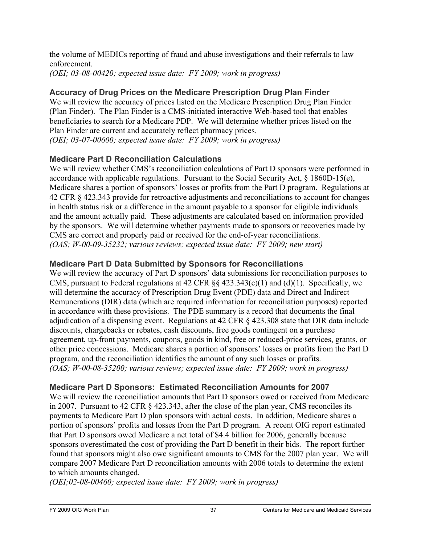the volume of MEDICs reporting of fraud and abuse investigations and their referrals to law enforcement.

*(OEI; 03-08-00420; expected issue date: FY 2009; work in progress)* 

## **Accuracy of Drug Prices on the Medicare Prescription Drug Plan Finder**

We will review the accuracy of prices listed on the Medicare Prescription Drug Plan Finder (Plan Finder). The Plan Finder is a CMS-initiated interactive Web-based tool that enables beneficiaries to search for a Medicare PDP. We will determine whether prices listed on the Plan Finder are current and accurately reflect pharmacy prices. *(OEI; 03-07-00600; expected issue date: FY 2009; work in progress)* 

## **Medicare Part D Reconciliation Calculations**

We will review whether CMS's reconciliation calculations of Part D sponsors were performed in accordance with applicable regulations. Pursuant to the Social Security Act, § 1860D-15(e), Medicare shares a portion of sponsors' losses or profits from the Part D program. Regulations at 42 CFR § 423.343 provide for retroactive adjustments and reconciliations to account for changes in health status risk or a difference in the amount payable to a sponsor for eligible individuals and the amount actually paid. These adjustments are calculated based on information provided by the sponsors. We will determine whether payments made to sponsors or recoveries made by CMS are correct and properly paid or received for the end-of-year reconciliations. *(OAS; W-00-09-35232; various reviews; expected issue date: FY 2009; new start)* 

## **Medicare Part D Data Submitted by Sponsors for Reconciliations**

We will review the accuracy of Part D sponsors' data submissions for reconciliation purposes to CMS, pursuant to Federal regulations at 42 CFR  $\S$ § 423.343(c)(1) and (d)(1). Specifically, we will determine the accuracy of Prescription Drug Event (PDE) data and Direct and Indirect Remunerations (DIR) data (which are required information for reconciliation purposes) reported in accordance with these provisions. The PDE summary is a record that documents the final adjudication of a dispensing event. Regulations at 42 CFR § 423.308 state that DIR data include discounts, chargebacks or rebates, cash discounts, free goods contingent on a purchase agreement, up-front payments, coupons, goods in kind, free or reduced-price services, grants, or other price concessions. Medicare shares a portion of sponsors' losses or profits from the Part D program, and the reconciliation identifies the amount of any such losses or profits. *(OAS; W-00-08-35200; various reviews; expected issue date: FY 2009; work in progress)* 

## **Medicare Part D Sponsors: Estimated Reconciliation Amounts for 2007**

We will review the reconciliation amounts that Part D sponsors owed or received from Medicare in 2007. Pursuant to 42 CFR § 423.343, after the close of the plan year, CMS reconciles its payments to Medicare Part D plan sponsors with actual costs. In addition, Medicare shares a portion of sponsors' profits and losses from the Part D program. A recent OIG report estimated that Part D sponsors owed Medicare a net total of \$4.4 billion for 2006, generally because sponsors overestimated the cost of providing the Part D benefit in their bids. The report further found that sponsors might also owe significant amounts to CMS for the 2007 plan year. We will compare 2007 Medicare Part D reconciliation amounts with 2006 totals to determine the extent to which amounts changed.

*(OEI;02-08-00460; expected issue date: FY 2009; work in progress)*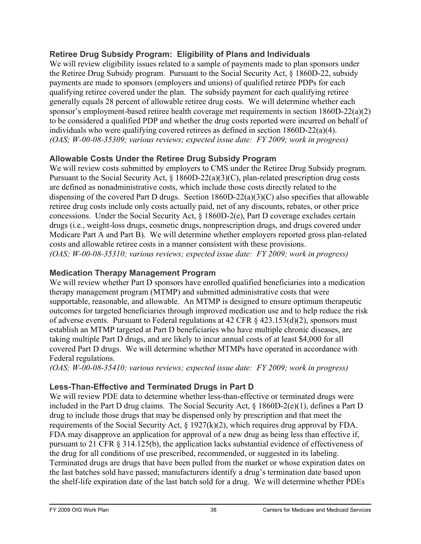#### **Retiree Drug Subsidy Program: Eligibility of Plans and Individuals**

We will review eligibility issues related to a sample of payments made to plan sponsors under the Retiree Drug Subsidy program. Pursuant to the Social Security Act, § 1860D-22, subsidy payments are made to sponsors (employers and unions) of qualified retiree PDPs for each qualifying retiree covered under the plan. The subsidy payment for each qualifying retiree generally equals 28 percent of allowable retiree drug costs. We will determine whether each sponsor's employment-based retiree health coverage met requirements in section 1860D-22(a)(2) to be considered a qualified PDP and whether the drug costs reported were incurred on behalf of individuals who were qualifying covered retirees as defined in section 1860D-22(a)(4). *(OAS; W-00-08-35309; various reviews; expected issue date: FY 2009; work in progress)* 

#### **Allowable Costs Under the Retiree Drug Subsidy Program**

We will review costs submitted by employers to CMS under the Retiree Drug Subsidy program. Pursuant to the Social Security Act, § 1860D-22(a)(3)(C), plan-related prescription drug costs are defined as nonadministrative costs, which include those costs directly related to the dispensing of the covered Part D drugs. Section 1860D-22(a)(3)(C) also specifies that allowable retiree drug costs include only costs actually paid, net of any discounts, rebates, or other price concessions. Under the Social Security Act, § 1860D-2(e), Part D coverage excludes certain drugs (i.e., weight-loss drugs, cosmetic drugs, nonprescription drugs, and drugs covered under Medicare Part A and Part B). We will determine whether employers reported gross plan-related costs and allowable retiree costs in a manner consistent with these provisions. *(OAS; W-00-08-35310; various reviews; expected issue date: FY 2009; work in progress)* 

#### **Medication Therapy Management Program**

We will review whether Part D sponsors have enrolled qualified beneficiaries into a medication therapy management program (MTMP) and submitted administrative costs that were supportable, reasonable, and allowable. An MTMP is designed to ensure optimum therapeutic outcomes for targeted beneficiaries through improved medication use and to help reduce the risk of adverse events. Pursuant to Federal regulations at 42 CFR  $\S$  423.153(d)(2), sponsors must establish an MTMP targeted at Part D beneficiaries who have multiple chronic diseases, are taking multiple Part D drugs, and are likely to incur annual costs of at least \$4,000 for all covered Part D drugs. We will determine whether MTMPs have operated in accordance with Federal regulations.

*(OAS; W-00-08-35410; various reviews; expected issue date: FY 2009; work in progress)* 

#### **Less-Than-Effective and Terminated Drugs in Part D**

We will review PDE data to determine whether less-than-effective or terminated drugs were included in the Part D drug claims. The Social Security Act, § 1860D-2(e)(1), defines a Part D drug to include those drugs that may be dispensed only by prescription and that meet the requirements of the Social Security Act, § 1927(k)(2), which requires drug approval by FDA. FDA may disapprove an application for approval of a new drug as being less than effective if, pursuant to 21 CFR § 314.125(b), the application lacks substantial evidence of effectiveness of the drug for all conditions of use prescribed, recommended, or suggested in its labeling. Terminated drugs are drugs that have been pulled from the market or whose expiration dates on the last batches sold have passed; manufacturers identify a drug's termination date based upon the shelf-life expiration date of the last batch sold for a drug. We will determine whether PDEs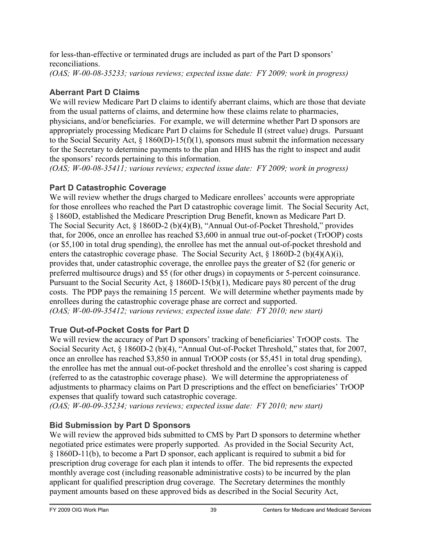for less-than-effective or terminated drugs are included as part of the Part D sponsors' reconciliations.

*(OAS; W-00-08-35233; various reviews; expected issue date: FY 2009; work in progress)* 

## **Aberrant Part D Claims**

We will review Medicare Part D claims to identify aberrant claims, which are those that deviate from the usual patterns of claims, and determine how these claims relate to pharmacies, physicians, and/or beneficiaries. For example, we will determine whether Part D sponsors are appropriately processing Medicare Part D claims for Schedule II (street value) drugs. Pursuant to the Social Security Act,  $\S$  1860(D)-15(f)(1), sponsors must submit the information necessary for the Secretary to determine payments to the plan and HHS has the right to inspect and audit the sponsors' records pertaining to this information.

*(OAS; W-00-08-35411; various reviews; expected issue date: FY 2009; work in progress)* 

## **Part D Catastrophic Coverage**

We will review whether the drugs charged to Medicare enrollees' accounts were appropriate for those enrollees who reached the Part D catastrophic coverage limit. The Social Security Act, § 1860D, established the Medicare Prescription Drug Benefit, known as Medicare Part D. The Social Security Act, § 1860D-2 (b)(4)(B), "Annual Out-of-Pocket Threshold," provides that, for 2006, once an enrollee has reached \$3,600 in annual true out-of-pocket (TrOOP) costs (or \$5,100 in total drug spending), the enrollee has met the annual out-of-pocket threshold and enters the catastrophic coverage phase. The Social Security Act,  $\S$  1860D-2 (b)(4)(A)(i), provides that, under catastrophic coverage, the enrollee pays the greater of \$2 (for generic or preferred multisource drugs) and \$5 (for other drugs) in copayments or 5-percent coinsurance. Pursuant to the Social Security Act, § 1860D-15(b)(1), Medicare pays 80 percent of the drug costs. The PDP pays the remaining 15 percent. We will determine whether payments made by enrollees during the catastrophic coverage phase are correct and supported. *(OAS; W-00-09-35412; various reviews; expected issue date: FY 2010; new start)* 

#### **True Out-of-Pocket Costs for Part D**

We will review the accuracy of Part D sponsors' tracking of beneficiaries' TrOOP costs. The Social Security Act, § 1860D-2 (b)(4), "Annual Out-of-Pocket Threshold," states that, for 2007, once an enrollee has reached \$3,850 in annual TrOOP costs (or \$5,451 in total drug spending), the enrollee has met the annual out-of-pocket threshold and the enrollee's cost sharing is capped (referred to as the catastrophic coverage phase). We will determine the appropriateness of adjustments to pharmacy claims on Part D prescriptions and the effect on beneficiaries' TrOOP expenses that qualify toward such catastrophic coverage.

*(OAS; W-00-09-35234; various reviews; expected issue date: FY 2010; new start)* 

## **Bid Submission by Part D Sponsors**

We will review the approved bids submitted to CMS by Part D sponsors to determine whether negotiated price estimates were properly supported. As provided in the Social Security Act, § 1860D-11(b), to become a Part D sponsor, each applicant is required to submit a bid for prescription drug coverage for each plan it intends to offer. The bid represents the expected monthly average cost (including reasonable administrative costs) to be incurred by the plan applicant for qualified prescription drug coverage. The Secretary determines the monthly payment amounts based on these approved bids as described in the Social Security Act,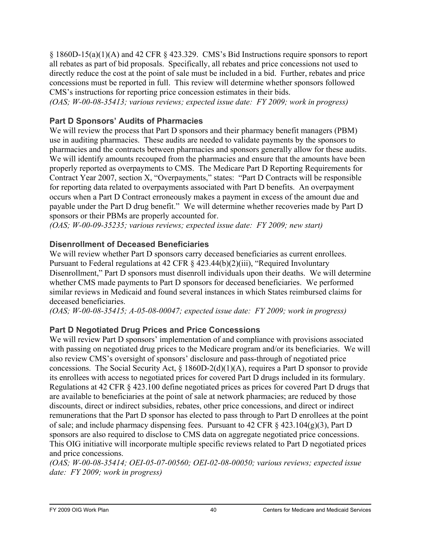$\S$  1860D-15(a)(1)(A) and 42 CFR  $\S$  423.329. CMS's Bid Instructions require sponsors to report all rebates as part of bid proposals. Specifically, all rebates and price concessions not used to directly reduce the cost at the point of sale must be included in a bid. Further, rebates and price concessions must be reported in full. This review will determine whether sponsors followed CMS's instructions for reporting price concession estimates in their bids.

*(OAS; W-00-08-35413; various reviews; expected issue date: FY 2009; work in progress)* 

#### **Part D Sponsors' Audits of Pharmacies**

We will review the process that Part D sponsors and their pharmacy benefit managers (PBM) use in auditing pharmacies. These audits are needed to validate payments by the sponsors to pharmacies and the contracts between pharmacies and sponsors generally allow for these audits. We will identify amounts recouped from the pharmacies and ensure that the amounts have been properly reported as overpayments to CMS. The Medicare Part D Reporting Requirements for Contract Year 2007, section X, "Overpayments," states: "Part D Contracts will be responsible for reporting data related to overpayments associated with Part D benefits. An overpayment occurs when a Part D Contract erroneously makes a payment in excess of the amount due and payable under the Part D drug benefit." We will determine whether recoveries made by Part D sponsors or their PBMs are properly accounted for.

*(OAS; W-00-09-35235; various reviews; expected issue date: FY 2009; new start)* 

#### **Disenrollment of Deceased Beneficiaries**

We will review whether Part D sponsors carry deceased beneficiaries as current enrollees. Pursuant to Federal regulations at 42 CFR § 423.44(b)(2)(iii), "Required Involuntary Disenrollment," Part D sponsors must disenroll individuals upon their deaths. We will determine whether CMS made payments to Part D sponsors for deceased beneficiaries. We performed similar reviews in Medicaid and found several instances in which States reimbursed claims for deceased beneficiaries.

*(OAS; W-00-08-35415; A-05-08-00047; expected issue date: FY 2009; work in progress)* 

#### **Part D Negotiated Drug Prices and Price Concessions**

We will review Part D sponsors' implementation of and compliance with provisions associated with passing on negotiated drug prices to the Medicare program and/or its beneficiaries. We will also review CMS's oversight of sponsors' disclosure and pass-through of negotiated price concessions. The Social Security Act,  $\S$  1860D-2(d)(1)(A), requires a Part D sponsor to provide its enrollees with access to negotiated prices for covered Part D drugs included in its formulary. Regulations at 42 CFR § 423.100 define negotiated prices as prices for covered Part D drugs that are available to beneficiaries at the point of sale at network pharmacies; are reduced by those discounts, direct or indirect subsidies, rebates, other price concessions, and direct or indirect remunerations that the Part D sponsor has elected to pass through to Part D enrollees at the point of sale; and include pharmacy dispensing fees. Pursuant to 42 CFR § 423.104(g)(3), Part D sponsors are also required to disclose to CMS data on aggregate negotiated price concessions. This OIG initiative will incorporate multiple specific reviews related to Part D negotiated prices and price concessions.

*(OAS; W-00-08-35414; OEI-05-07-00560; OEI-02-08-00050; various reviews; expected issue date: FY 2009; work in progress)*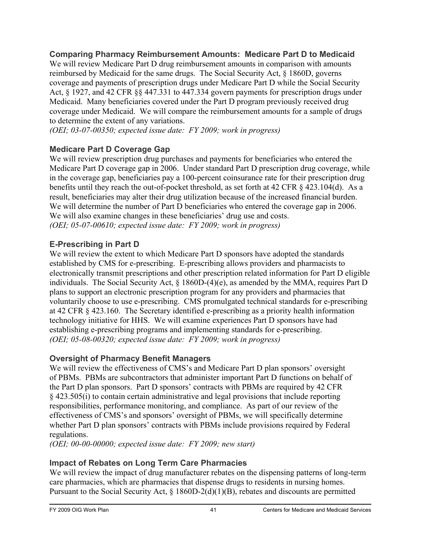**Comparing Pharmacy Reimbursement Amounts: Medicare Part D to Medicaid**  We will review Medicare Part D drug reimbursement amounts in comparison with amounts reimbursed by Medicaid for the same drugs. The Social Security Act, § 1860D, governs coverage and payments of prescription drugs under Medicare Part D while the Social Security Act, § 1927, and 42 CFR §§ 447.331 to 447.334 govern payments for prescription drugs under Medicaid. Many beneficiaries covered under the Part D program previously received drug coverage under Medicaid. We will compare the reimbursement amounts for a sample of drugs to determine the extent of any variations.

*(OEI; 03-07-00350; expected issue date: FY 2009; work in progress)* 

## **Medicare Part D Coverage Gap**

We will review prescription drug purchases and payments for beneficiaries who entered the Medicare Part D coverage gap in 2006. Under standard Part D prescription drug coverage, while in the coverage gap, beneficiaries pay a 100-percent coinsurance rate for their prescription drug benefits until they reach the out-of-pocket threshold, as set forth at 42 CFR § 423.104(d). As a result, beneficiaries may alter their drug utilization because of the increased financial burden. We will determine the number of Part D beneficiaries who entered the coverage gap in 2006. We will also examine changes in these beneficiaries' drug use and costs. *(OEI; 05-07-00610; expected issue date: FY 2009; work in progress)* 

## **E-Prescribing in Part D**

We will review the extent to which Medicare Part D sponsors have adopted the standards established by CMS for e-prescribing. E-prescribing allows providers and pharmacists to electronically transmit prescriptions and other prescription related information for Part D eligible individuals. The Social Security Act, § 1860D-(4)(e), as amended by the MMA, requires Part D plans to support an electronic prescription program for any providers and pharmacies that voluntarily choose to use e-prescribing. CMS promulgated technical standards for e-prescribing at 42 CFR § 423.160. The Secretary identified e-prescribing as a priority health information technology initiative for HHS. We will examine experiences Part D sponsors have had establishing e-prescribing programs and implementing standards for e-prescribing. *(OEI; 05-08-00320; expected issue date: FY 2009; work in progress)* 

#### **Oversight of Pharmacy Benefit Managers**

We will review the effectiveness of CMS's and Medicare Part D plan sponsors' oversight of PBMs. PBMs are subcontractors that administer important Part D functions on behalf of the Part D plan sponsors. Part D sponsors' contracts with PBMs are required by 42 CFR § 423.505(i) to contain certain administrative and legal provisions that include reporting responsibilities, performance monitoring, and compliance. As part of our review of the effectiveness of CMS's and sponsors' oversight of PBMs, we will specifically determine whether Part D plan sponsors' contracts with PBMs include provisions required by Federal regulations.

*(OEI; 00-00-00000; expected issue date: FY 2009; new start)* 

## **Impact of Rebates on Long Term Care Pharmacies**

We will review the impact of drug manufacturer rebates on the dispensing patterns of long-term care pharmacies, which are pharmacies that dispense drugs to residents in nursing homes. Pursuant to the Social Security Act, § 1860D-2(d)(1)(B), rebates and discounts are permitted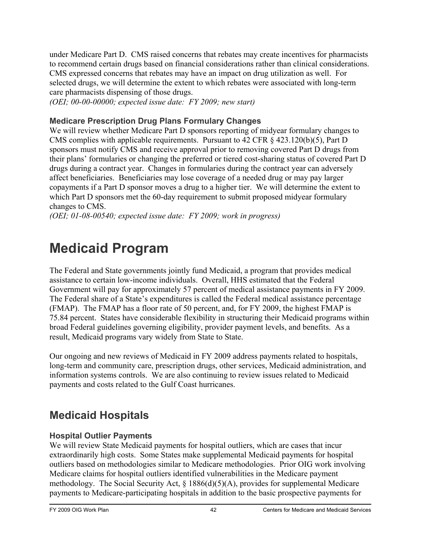under Medicare Part D. CMS raised concerns that rebates may create incentives for pharmacists to recommend certain drugs based on financial considerations rather than clinical considerations. CMS expressed concerns that rebates may have an impact on drug utilization as well. For selected drugs, we will determine the extent to which rebates were associated with long-term care pharmacists dispensing of those drugs.

*(OEI; 00-00-00000; expected issue date: FY 2009; new start)* 

#### **Medicare Prescription Drug Plans Formulary Changes**

We will review whether Medicare Part D sponsors reporting of midyear formulary changes to CMS complies with applicable requirements. Pursuant to 42 CFR § 423.120(b)(5), Part D sponsors must notify CMS and receive approval prior to removing covered Part D drugs from their plans' formularies or changing the preferred or tiered cost-sharing status of covered Part D drugs during a contract year. Changes in formularies during the contract year can adversely affect beneficiaries. Beneficiaries may lose coverage of a needed drug or may pay larger copayments if a Part D sponsor moves a drug to a higher tier. We will determine the extent to which Part D sponsors met the 60-day requirement to submit proposed midyear formulary changes to CMS.

*(OEI; 01-08-00540; expected issue date: FY 2009; work in progress)* 

# **Medicaid Program**

The Federal and State governments jointly fund Medicaid, a program that provides medical assistance to certain low-income individuals. Overall, HHS estimated that the Federal Government will pay for approximately 57 percent of medical assistance payments in FY 2009. The Federal share of a State's expenditures is called the Federal medical assistance percentage (FMAP). The FMAP has a floor rate of 50 percent, and, for FY 2009, the highest FMAP is 75.84 percent. States have considerable flexibility in structuring their Medicaid programs within broad Federal guidelines governing eligibility, provider payment levels, and benefits. As a result, Medicaid programs vary widely from State to State.

Our ongoing and new reviews of Medicaid in FY 2009 address payments related to hospitals, long-term and community care, prescription drugs, other services, Medicaid administration, and information systems controls. We are also continuing to review issues related to Medicaid payments and costs related to the Gulf Coast hurricanes.

## **Medicaid Hospitals**

#### **Hospital Outlier Payments**

We will review State Medicaid payments for hospital outliers, which are cases that incur extraordinarily high costs. Some States make supplemental Medicaid payments for hospital outliers based on methodologies similar to Medicare methodologies. Prior OIG work involving Medicare claims for hospital outliers identified vulnerabilities in the Medicare payment methodology. The Social Security Act, § 1886(d)(5)(A), provides for supplemental Medicare payments to Medicare-participating hospitals in addition to the basic prospective payments for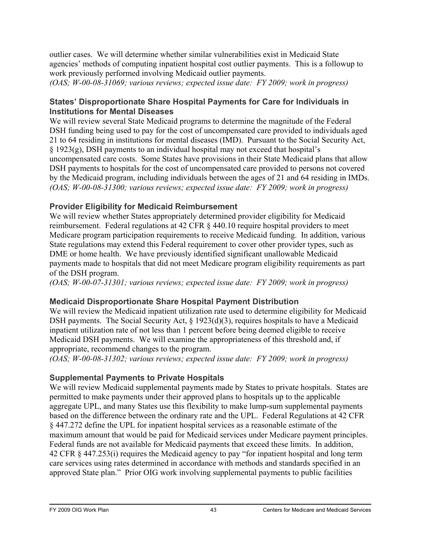outlier cases. We will determine whether similar vulnerabilities exist in Medicaid State agencies' methods of computing inpatient hospital cost outlier payments. This is a followup to work previously performed involving Medicaid outlier payments.

*(OAS; W-00-08-31069; various reviews; expected issue date: FY 2009; work in progress)* 

#### **States' Disproportionate Share Hospital Payments for Care for Individuals in Institutions for Mental Diseases**

We will review several State Medicaid programs to determine the magnitude of the Federal DSH funding being used to pay for the cost of uncompensated care provided to individuals aged 21 to 64 residing in institutions for mental diseases (IMD). Pursuant to the Social Security Act, § 1923(g), DSH payments to an individual hospital may not exceed that hospital's uncompensated care costs. Some States have provisions in their State Medicaid plans that allow DSH payments to hospitals for the cost of uncompensated care provided to persons not covered by the Medicaid program, including individuals between the ages of 21 and 64 residing in IMDs. *(OAS; W-00-08-31300; various reviews; expected issue date: FY 2009; work in progress)* 

#### **Provider Eligibility for Medicaid Reimbursement**

We will review whether States appropriately determined provider eligibility for Medicaid reimbursement. Federal regulations at 42 CFR § 440.10 require hospital providers to meet Medicare program participation requirements to receive Medicaid funding. In addition, various State regulations may extend this Federal requirement to cover other provider types, such as DME or home health. We have previously identified significant unallowable Medicaid payments made to hospitals that did not meet Medicare program eligibility requirements as part of the DSH program.

*(OAS; W-00-07-31301; various reviews; expected issue date: FY 2009; work in progress)* 

#### **Medicaid Disproportionate Share Hospital Payment Distribution**

We will review the Medicaid inpatient utilization rate used to determine eligibility for Medicaid DSH payments. The Social Security Act, § 1923(d)(3), requires hospitals to have a Medicaid inpatient utilization rate of not less than 1 percent before being deemed eligible to receive Medicaid DSH payments. We will examine the appropriateness of this threshold and, if appropriate, recommend changes to the program.

*(OAS; W-00-08-31302; various reviews; expected issue date: FY 2009; work in progress)* 

#### **Supplemental Payments to Private Hospitals**

We will review Medicaid supplemental payments made by States to private hospitals. States are permitted to make payments under their approved plans to hospitals up to the applicable aggregate UPL, and many States use this flexibility to make lump-sum supplemental payments based on the difference between the ordinary rate and the UPL. Federal Regulations at 42 CFR § 447.272 define the UPL for inpatient hospital services as a reasonable estimate of the maximum amount that would be paid for Medicaid services under Medicare payment principles. Federal funds are not available for Medicaid payments that exceed these limits. In addition, 42 CFR § 447.253(i) requires the Medicaid agency to pay "for inpatient hospital and long term care services using rates determined in accordance with methods and standards specified in an approved State plan." Prior OIG work involving supplemental payments to public facilities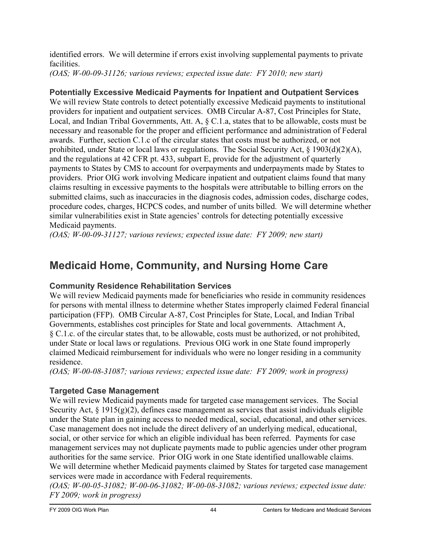identified errors. We will determine if errors exist involving supplemental payments to private **facilities** 

*(OAS; W-00-09-31126; various reviews; expected issue date: FY 2010; new start)* 

## **Potentially Excessive Medicaid Payments for Inpatient and Outpatient Services**

We will review State controls to detect potentially excessive Medicaid payments to institutional providers for inpatient and outpatient services. OMB Circular A-87, Cost Principles for State, Local, and Indian Tribal Governments, Att. A, § C.1.a, states that to be allowable, costs must be necessary and reasonable for the proper and efficient performance and administration of Federal awards. Further, section C.1.c of the circular states that costs must be authorized, or not prohibited, under State or local laws or regulations. The Social Security Act, § 1903(d)(2)(A), and the regulations at 42 CFR pt. 433, subpart E, provide for the adjustment of quarterly payments to States by CMS to account for overpayments and underpayments made by States to providers. Prior OIG work involving Medicare inpatient and outpatient claims found that many claims resulting in excessive payments to the hospitals were attributable to billing errors on the submitted claims, such as inaccuracies in the diagnosis codes, admission codes, discharge codes, procedure codes, charges, HCPCS codes, and number of units billed. We will determine whether similar vulnerabilities exist in State agencies' controls for detecting potentially excessive Medicaid payments.

*(OAS; W-00-09-31127; various reviews; expected issue date: FY 2009; new start)* 

## **Medicaid Home, Community, and Nursing Home Care**

#### **Community Residence Rehabilitation Services**

We will review Medicaid payments made for beneficiaries who reside in community residences for persons with mental illness to determine whether States improperly claimed Federal financial participation (FFP). OMB Circular A-87, Cost Principles for State, Local, and Indian Tribal Governments, establishes cost principles for State and local governments. Attachment A, § C.1.c. of the circular states that, to be allowable, costs must be authorized, or not prohibited, under State or local laws or regulations. Previous OIG work in one State found improperly claimed Medicaid reimbursement for individuals who were no longer residing in a community residence.

*(OAS; W-00-08-31087; various reviews; expected issue date: FY 2009; work in progress)* 

## **Targeted Case Management**

We will review Medicaid payments made for targeted case management services. The Social Security Act,  $\S 1915(g)(2)$ , defines case management as services that assist individuals eligible under the State plan in gaining access to needed medical, social, educational, and other services. Case management does not include the direct delivery of an underlying medical, educational, social, or other service for which an eligible individual has been referred. Payments for case management services may not duplicate payments made to public agencies under other program authorities for the same service. Prior OIG work in one State identified unallowable claims. We will determine whether Medicaid payments claimed by States for targeted case management services were made in accordance with Federal requirements.

*(OAS; W-00-05-31082; W-00-06-31082; W-00-08-31082; various reviews; expected issue date: FY 2009; work in progress)*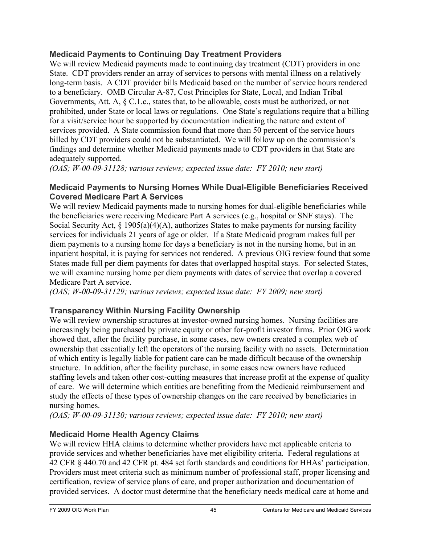#### **Medicaid Payments to Continuing Day Treatment Providers**

We will review Medicaid payments made to continuing day treatment (CDT) providers in one State. CDT providers render an array of services to persons with mental illness on a relatively long-term basis. A CDT provider bills Medicaid based on the number of service hours rendered to a beneficiary. OMB Circular A-87, Cost Principles for State, Local, and Indian Tribal Governments, Att. A, § C.1.c., states that, to be allowable, costs must be authorized, or not prohibited, under State or local laws or regulations. One State's regulations require that a billing for a visit/service hour be supported by documentation indicating the nature and extent of services provided. A State commission found that more than 50 percent of the service hours billed by CDT providers could not be substantiated. We will follow up on the commission's findings and determine whether Medicaid payments made to CDT providers in that State are adequately supported.

*(OAS; W-00-09-31128; various reviews; expected issue date: FY 2010; new start)* 

#### **Medicaid Payments to Nursing Homes While Dual-Eligible Beneficiaries Received Covered Medicare Part A Services**

We will review Medicaid payments made to nursing homes for dual-eligible beneficiaries while the beneficiaries were receiving Medicare Part A services (e.g., hospital or SNF stays). The Social Security Act,  $\S$  1905(a)(4)(A), authorizes States to make payments for nursing facility services for individuals 21 years of age or older. If a State Medicaid program makes full per diem payments to a nursing home for days a beneficiary is not in the nursing home, but in an inpatient hospital, it is paying for services not rendered. A previous OIG review found that some States made full per diem payments for dates that overlapped hospital stays. For selected States, we will examine nursing home per diem payments with dates of service that overlap a covered Medicare Part A service.

*(OAS; W-00-09-31129; various reviews; expected issue date: FY 2009; new start)* 

#### **Transparency Within Nursing Facility Ownership**

We will review ownership structures at investor-owned nursing homes. Nursing facilities are increasingly being purchased by private equity or other for-profit investor firms. Prior OIG work showed that, after the facility purchase, in some cases, new owners created a complex web of ownership that essentially left the operators of the nursing facility with no assets. Determination of which entity is legally liable for patient care can be made difficult because of the ownership structure. In addition, after the facility purchase, in some cases new owners have reduced staffing levels and taken other cost-cutting measures that increase profit at the expense of quality of care. We will determine which entities are benefiting from the Medicaid reimbursement and study the effects of these types of ownership changes on the care received by beneficiaries in nursing homes.

*(OAS; W-00-09-31130; various reviews; expected issue date: FY 2010; new start)* 

#### **Medicaid Home Health Agency Claims**

We will review HHA claims to determine whether providers have met applicable criteria to provide services and whether beneficiaries have met eligibility criteria. Federal regulations at 42 CFR § 440.70 and 42 CFR pt. 484 set forth standards and conditions for HHAs' participation. Providers must meet criteria such as minimum number of professional staff, proper licensing and certification, review of service plans of care, and proper authorization and documentation of provided services. A doctor must determine that the beneficiary needs medical care at home and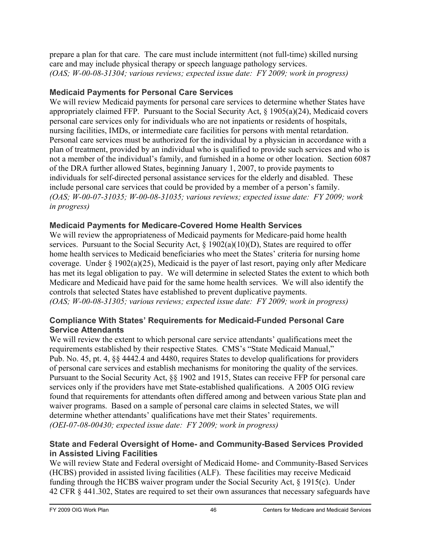prepare a plan for that care. The care must include intermittent (not full-time) skilled nursing care and may include physical therapy or speech language pathology services. *(OAS; W-00-08-31304; various reviews; expected issue date: FY 2009; work in progress)* 

#### **Medicaid Payments for Personal Care Services**

We will review Medicaid payments for personal care services to determine whether States have appropriately claimed FFP. Pursuant to the Social Security Act, § 1905(a)(24), Medicaid covers personal care services only for individuals who are not inpatients or residents of hospitals, nursing facilities, IMDs, or intermediate care facilities for persons with mental retardation. Personal care services must be authorized for the individual by a physician in accordance with a plan of treatment, provided by an individual who is qualified to provide such services and who is not a member of the individual's family, and furnished in a home or other location. Section 6087 of the DRA further allowed States, beginning January 1, 2007, to provide payments to individuals for self-directed personal assistance services for the elderly and disabled. These include personal care services that could be provided by a member of a person's family. *(OAS; W-00-07-31035; W-00-08-31035; various reviews; expected issue date: FY 2009; work in progress)* 

#### **Medicaid Payments for Medicare-Covered Home Health Services**

We will review the appropriateness of Medicaid payments for Medicare-paid home health services. Pursuant to the Social Security Act,  $\S$  1902(a)(10)(D), States are required to offer home health services to Medicaid beneficiaries who meet the States' criteria for nursing home coverage. Under § 1902(a)(25), Medicaid is the payer of last resort, paying only after Medicare has met its legal obligation to pay. We will determine in selected States the extent to which both Medicare and Medicaid have paid for the same home health services. We will also identify the controls that selected States have established to prevent duplicative payments. *(OAS; W-00-08-31305; various reviews; expected issue date: FY 2009; work in progress)* 

#### **Compliance With States' Requirements for Medicaid-Funded Personal Care Service Attendants**

We will review the extent to which personal care service attendants' qualifications meet the requirements established by their respective States. CMS's "State Medicaid Manual," Pub. No. 45, pt. 4, §§ 4442.4 and 4480, requires States to develop qualifications for providers of personal care services and establish mechanisms for monitoring the quality of the services. Pursuant to the Social Security Act, §§ 1902 and 1915, States can receive FFP for personal care services only if the providers have met State-established qualifications. A 2005 OIG review found that requirements for attendants often differed among and between various State plan and waiver programs. Based on a sample of personal care claims in selected States, we will determine whether attendants' qualifications have met their States' requirements. *(OEI-07-08-00430; expected issue date: FY 2009; work in progress)* 

#### **State and Federal Oversight of Home- and Community-Based Services Provided in Assisted Living Facilities**

We will review State and Federal oversight of Medicaid Home- and Community-Based Services (HCBS) provided in assisted living facilities (ALF). These facilities may receive Medicaid funding through the HCBS waiver program under the Social Security Act, § 1915(c). Under 42 CFR § 441.302, States are required to set their own assurances that necessary safeguards have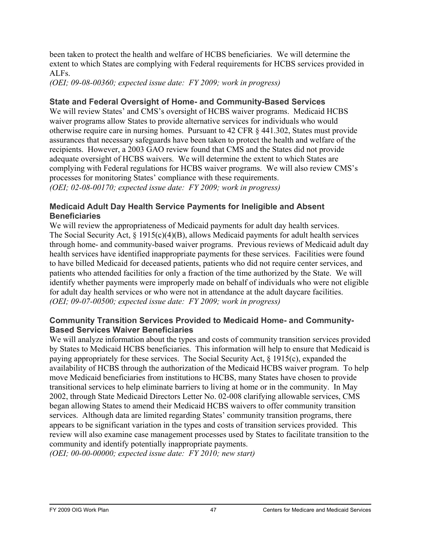been taken to protect the health and welfare of HCBS beneficiaries. We will determine the extent to which States are complying with Federal requirements for HCBS services provided in ALFs.

*(OEI; 09-08-00360; expected issue date: FY 2009; work in progress)* 

#### **State and Federal Oversight of Home- and Community-Based Services**

We will review States' and CMS's oversight of HCBS waiver programs. Medicaid HCBS waiver programs allow States to provide alternative services for individuals who would otherwise require care in nursing homes. Pursuant to 42 CFR § 441.302, States must provide assurances that necessary safeguards have been taken to protect the health and welfare of the recipients. However, a 2003 GAO review found that CMS and the States did not provide adequate oversight of HCBS waivers. We will determine the extent to which States are complying with Federal regulations for HCBS waiver programs. We will also review CMS's processes for monitoring States' compliance with these requirements. *(OEI; 02-08-00170; expected issue date: FY 2009; work in progress)* 

#### **Medicaid Adult Day Health Service Payments for Ineligible and Absent Beneficiaries**

We will review the appropriateness of Medicaid payments for adult day health services. The Social Security Act, § 1915(c)(4)(B), allows Medicaid payments for adult health services through home- and community-based waiver programs. Previous reviews of Medicaid adult day health services have identified inappropriate payments for these services. Facilities were found to have billed Medicaid for deceased patients, patients who did not require center services, and patients who attended facilities for only a fraction of the time authorized by the State. We will identify whether payments were improperly made on behalf of individuals who were not eligible for adult day health services or who were not in attendance at the adult daycare facilities. *(OEI; 09-07-00500; expected issue date: FY 2009; work in progress)* 

#### **Community Transition Services Provided to Medicaid Home- and Community-Based Services Waiver Beneficiaries**

We will analyze information about the types and costs of community transition services provided by States to Medicaid HCBS beneficiaries. This information will help to ensure that Medicaid is paying appropriately for these services. The Social Security Act, § 1915(c), expanded the availability of HCBS through the authorization of the Medicaid HCBS waiver program. To help move Medicaid beneficiaries from institutions to HCBS, many States have chosen to provide transitional services to help eliminate barriers to living at home or in the community. In May 2002, through State Medicaid Directors Letter No. 02-008 clarifying allowable services, CMS began allowing States to amend their Medicaid HCBS waivers to offer community transition services. Although data are limited regarding States' community transition programs, there appears to be significant variation in the types and costs of transition services provided. This review will also examine case management processes used by States to facilitate transition to the community and identify potentially inappropriate payments.

*(OEI; 00-00-00000; expected issue date: FY 2010; new start)*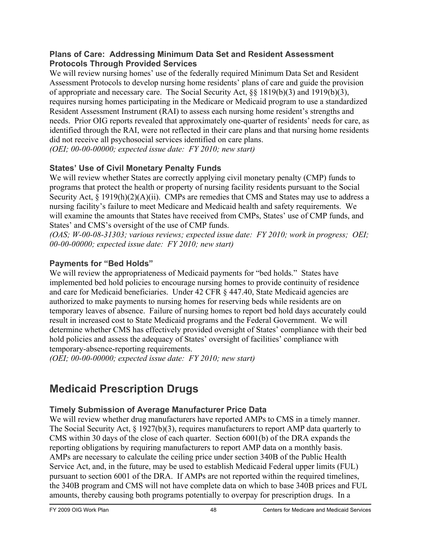#### **Plans of Care: Addressing Minimum Data Set and Resident Assessment Protocols Through Provided Services**

We will review nursing homes' use of the federally required Minimum Data Set and Resident Assessment Protocols to develop nursing home residents' plans of care and guide the provision of appropriate and necessary care. The Social Security Act, §§ 1819(b)(3) and 1919(b)(3), requires nursing homes participating in the Medicare or Medicaid program to use a standardized Resident Assessment Instrument (RAI) to assess each nursing home resident's strengths and needs. Prior OIG reports revealed that approximately one-quarter of residents' needs for care, as identified through the RAI, were not reflected in their care plans and that nursing home residents did not receive all psychosocial services identified on care plans. *(OEI; 00-00-00000; expected issue date: FY 2010; new start)* 

#### **States' Use of Civil Monetary Penalty Funds**

We will review whether States are correctly applying civil monetary penalty (CMP) funds to programs that protect the health or property of nursing facility residents pursuant to the Social Security Act, § 1919(h)(2)(A)(ii). CMPs are remedies that CMS and States may use to address a nursing facility's failure to meet Medicare and Medicaid health and safety requirements. We will examine the amounts that States have received from CMPs, States' use of CMP funds, and States' and CMS's oversight of the use of CMP funds.

*(OAS; W-00-08-31303; various reviews; expected issue date: FY 2010; work in progress; OEI; 00-00-00000; expected issue date: FY 2010; new start)* 

## **Payments for "Bed Holds"**

We will review the appropriateness of Medicaid payments for "bed holds." States have implemented bed hold policies to encourage nursing homes to provide continuity of residence and care for Medicaid beneficiaries. Under 42 CFR § 447.40, State Medicaid agencies are authorized to make payments to nursing homes for reserving beds while residents are on temporary leaves of absence. Failure of nursing homes to report bed hold days accurately could result in increased cost to State Medicaid programs and the Federal Government. We will determine whether CMS has effectively provided oversight of States' compliance with their bed hold policies and assess the adequacy of States' oversight of facilities' compliance with temporary-absence-reporting requirements.

*(OEI; 00-00-00000; expected issue date: FY 2010; new start)* 

# **Medicaid Prescription Drugs**

## **Timely Submission of Average Manufacturer Price Data**

We will review whether drug manufacturers have reported AMPs to CMS in a timely manner. The Social Security Act, § 1927(b)(3), requires manufacturers to report AMP data quarterly to CMS within 30 days of the close of each quarter. Section 6001(b) of the DRA expands the reporting obligations by requiring manufacturers to report AMP data on a monthly basis. AMPs are necessary to calculate the ceiling price under section 340B of the Public Health Service Act, and, in the future, may be used to establish Medicaid Federal upper limits (FUL) pursuant to section 6001 of the DRA. If AMPs are not reported within the required timelines, the 340B program and CMS will not have complete data on which to base 340B prices and FUL amounts, thereby causing both programs potentially to overpay for prescription drugs. In a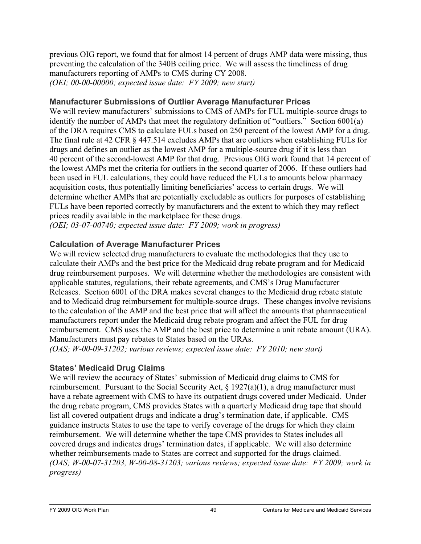previous OIG report, we found that for almost 14 percent of drugs AMP data were missing, thus preventing the calculation of the 340B ceiling price. We will assess the timeliness of drug manufacturers reporting of AMPs to CMS during CY 2008. *(OEI; 00-00-00000; expected issue date: FY 2009; new start)* 

#### **Manufacturer Submissions of Outlier Average Manufacturer Prices**

We will review manufacturers' submissions to CMS of AMPs for FUL multiple-source drugs to identify the number of AMPs that meet the regulatory definition of "outliers." Section 6001(a) of the DRA requires CMS to calculate FULs based on 250 percent of the lowest AMP for a drug. The final rule at 42 CFR  $\S$  447.514 excludes AMPs that are outliers when establishing FULs for drugs and defines an outlier as the lowest AMP for a multiple-source drug if it is less than 40 percent of the second-lowest AMP for that drug. Previous OIG work found that 14 percent of the lowest AMPs met the criteria for outliers in the second quarter of 2006. If these outliers had been used in FUL calculations, they could have reduced the FULs to amounts below pharmacy acquisition costs, thus potentially limiting beneficiaries' access to certain drugs. We will determine whether AMPs that are potentially excludable as outliers for purposes of establishing FULs have been reported correctly by manufacturers and the extent to which they may reflect prices readily available in the marketplace for these drugs.

*(OEI; 03-07-00740; expected issue date: FY 2009; work in progress)* 

#### **Calculation of Average Manufacturer Prices**

We will review selected drug manufacturers to evaluate the methodologies that they use to calculate their AMPs and the best price for the Medicaid drug rebate program and for Medicaid drug reimbursement purposes. We will determine whether the methodologies are consistent with applicable statutes, regulations, their rebate agreements, and CMS's Drug Manufacturer Releases. Section 6001 of the DRA makes several changes to the Medicaid drug rebate statute and to Medicaid drug reimbursement for multiple-source drugs. These changes involve revisions to the calculation of the AMP and the best price that will affect the amounts that pharmaceutical manufacturers report under the Medicaid drug rebate program and affect the FUL for drug reimbursement. CMS uses the AMP and the best price to determine a unit rebate amount (URA). Manufacturers must pay rebates to States based on the URAs.

*(OAS; W-00-09-31202; various reviews; expected issue date: FY 2010; new start)* 

#### **States' Medicaid Drug Claims**

We will review the accuracy of States' submission of Medicaid drug claims to CMS for reimbursement. Pursuant to the Social Security Act, § 1927(a)(1), a drug manufacturer must have a rebate agreement with CMS to have its outpatient drugs covered under Medicaid. Under the drug rebate program, CMS provides States with a quarterly Medicaid drug tape that should list all covered outpatient drugs and indicate a drug's termination date, if applicable. CMS guidance instructs States to use the tape to verify coverage of the drugs for which they claim reimbursement. We will determine whether the tape CMS provides to States includes all covered drugs and indicates drugs' termination dates, if applicable. We will also determine whether reimbursements made to States are correct and supported for the drugs claimed. *(OAS; W-00-07-31203, W-00-08-31203; various reviews; expected issue date: FY 2009; work in progress)*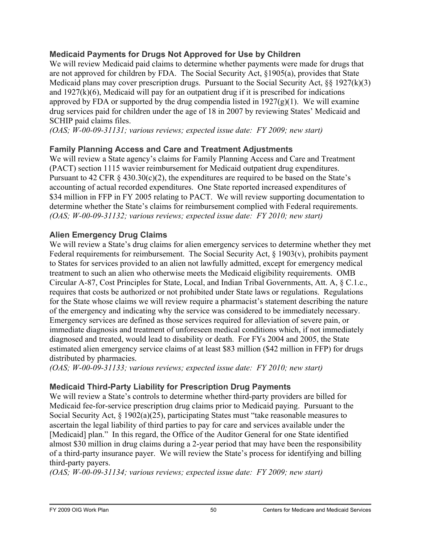#### **Medicaid Payments for Drugs Not Approved for Use by Children**

We will review Medicaid paid claims to determine whether payments were made for drugs that are not approved for children by FDA. The Social Security Act, §1905(a), provides that State Medicaid plans may cover prescription drugs. Pursuant to the Social Security Act, §§ 1927(k)(3) and 1927(k)(6), Medicaid will pay for an outpatient drug if it is prescribed for indications approved by FDA or supported by the drug compendia listed in  $1927(g)(1)$ . We will examine drug services paid for children under the age of 18 in 2007 by reviewing States' Medicaid and SCHIP paid claims files.

*(OAS; W-00-09-31131; various reviews; expected issue date: FY 2009; new start)* 

## **Family Planning Access and Care and Treatment Adjustments**

We will review a State agency's claims for Family Planning Access and Care and Treatment (PACT) section 1115 wavier reimbursement for Medicaid outpatient drug expenditures. Pursuant to 42 CFR  $\&$  430.30(c)(2), the expenditures are required to be based on the State's accounting of actual recorded expenditures. One State reported increased expenditures of \$34 million in FFP in FY 2005 relating to PACT. We will review supporting documentation to determine whether the State's claims for reimbursement complied with Federal requirements. *(OAS; W-00-09-31132; various reviews; expected issue date: FY 2010; new start)* 

#### **Alien Emergency Drug Claims**

We will review a State's drug claims for alien emergency services to determine whether they met Federal requirements for reimbursement. The Social Security Act, § 1903(v), prohibits payment to States for services provided to an alien not lawfully admitted, except for emergency medical treatment to such an alien who otherwise meets the Medicaid eligibility requirements. OMB Circular A-87, Cost Principles for State, Local, and Indian Tribal Governments, Att. A, § C.1.c., requires that costs be authorized or not prohibited under State laws or regulations. Regulations for the State whose claims we will review require a pharmacist's statement describing the nature of the emergency and indicating why the service was considered to be immediately necessary. Emergency services are defined as those services required for alleviation of severe pain, or immediate diagnosis and treatment of unforeseen medical conditions which, if not immediately diagnosed and treated, would lead to disability or death. For FYs 2004 and 2005, the State estimated alien emergency service claims of at least \$83 million (\$42 million in FFP) for drugs distributed by pharmacies.

*(OAS; W-00-09-31133; various reviews; expected issue date: FY 2010; new start)* 

#### **Medicaid Third-Party Liability for Prescription Drug Payments**

We will review a State's controls to determine whether third-party providers are billed for Medicaid fee-for-service prescription drug claims prior to Medicaid paying. Pursuant to the Social Security Act, § 1902(a)(25), participating States must "take reasonable measures to ascertain the legal liability of third parties to pay for care and services available under the [Medicaid] plan." In this regard, the Office of the Auditor General for one State identified almost \$30 million in drug claims during a 2-year period that may have been the responsibility of a third-party insurance payer. We will review the State's process for identifying and billing third-party payers.

*(OAS; W-00-09-31134; various reviews; expected issue date: FY 2009; new start)*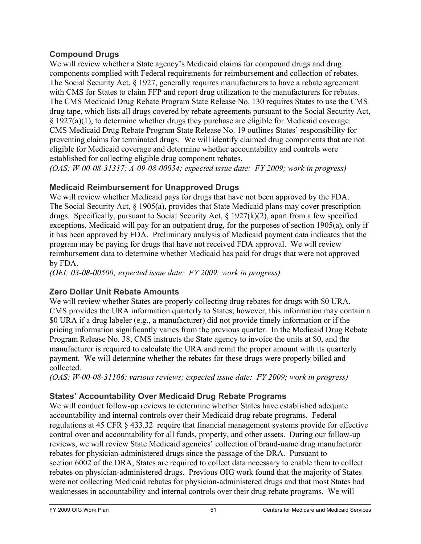#### **Compound Drugs**

We will review whether a State agency's Medicaid claims for compound drugs and drug components complied with Federal requirements for reimbursement and collection of rebates. The Social Security Act, § 1927, generally requires manufacturers to have a rebate agreement with CMS for States to claim FFP and report drug utilization to the manufacturers for rebates. The CMS Medicaid Drug Rebate Program State Release No. 130 requires States to use the CMS drug tape, which lists all drugs covered by rebate agreements pursuant to the Social Security Act, § 1927(a)(1), to determine whether drugs they purchase are eligible for Medicaid coverage. CMS Medicaid Drug Rebate Program State Release No. 19 outlines States' responsibility for preventing claims for terminated drugs. We will identify claimed drug components that are not eligible for Medicaid coverage and determine whether accountability and controls were established for collecting eligible drug component rebates.

*(OAS; W-00-08-31317; A-09-08-00034; expected issue date: FY 2009; work in progress)* 

## **Medicaid Reimbursement for Unapproved Drugs**

We will review whether Medicaid pays for drugs that have not been approved by the FDA. The Social Security Act, § 1905(a), provides that State Medicaid plans may cover prescription drugs. Specifically, pursuant to Social Security Act, § 1927(k)(2), apart from a few specified exceptions, Medicaid will pay for an outpatient drug, for the purposes of section 1905(a), only if it has been approved by FDA. Preliminary analysis of Medicaid payment data indicates that the program may be paying for drugs that have not received FDA approval. We will review reimbursement data to determine whether Medicaid has paid for drugs that were not approved by FDA.

*(OEI; 03-08-00500; expected issue date: FY 2009; work in progress)* 

## **Zero Dollar Unit Rebate Amounts**

We will review whether States are properly collecting drug rebates for drugs with \$0 URA. CMS provides the URA information quarterly to States; however, this information may contain a \$0 URA if a drug labeler (e.g., a manufacturer) did not provide timely information or if the pricing information significantly varies from the previous quarter. In the Medicaid Drug Rebate Program Release No. 38, CMS instructs the State agency to invoice the units at \$0, and the manufacturer is required to calculate the URA and remit the proper amount with its quarterly payment. We will determine whether the rebates for these drugs were properly billed and collected.

*(OAS; W-00-08-31106; various reviews; expected issue date: FY 2009; work in progress)* 

## **States' Accountability Over Medicaid Drug Rebate Programs**

We will conduct follow-up reviews to determine whether States have established adequate accountability and internal controls over their Medicaid drug rebate programs. Federal regulations at 45 CFR § 433.32 require that financial management systems provide for effective control over and accountability for all funds, property, and other assets. During our follow-up reviews, we will review State Medicaid agencies' collection of brand-name drug manufacturer rebates for physician-administered drugs since the passage of the DRA. Pursuant to section 6002 of the DRA, States are required to collect data necessary to enable them to collect rebates on physician-administered drugs. Previous OIG work found that the majority of States were not collecting Medicaid rebates for physician-administered drugs and that most States had weaknesses in accountability and internal controls over their drug rebate programs. We will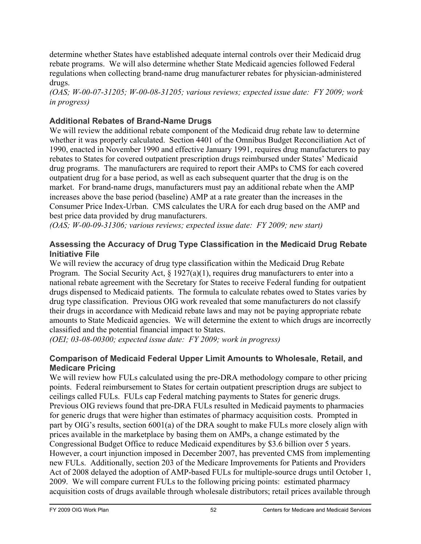determine whether States have established adequate internal controls over their Medicaid drug rebate programs. We will also determine whether State Medicaid agencies followed Federal regulations when collecting brand-name drug manufacturer rebates for physician-administered drugs.

*(OAS; W-00-07-31205; W-00-08-31205; various reviews; expected issue date: FY 2009; work in progress)* 

## **Additional Rebates of Brand-Name Drugs**

We will review the additional rebate component of the Medicaid drug rebate law to determine whether it was properly calculated. Section 4401 of the Omnibus Budget Reconciliation Act of 1990, enacted in November 1990 and effective January 1991, requires drug manufacturers to pay rebates to States for covered outpatient prescription drugs reimbursed under States' Medicaid drug programs. The manufacturers are required to report their AMPs to CMS for each covered outpatient drug for a base period, as well as each subsequent quarter that the drug is on the market. For brand-name drugs, manufacturers must pay an additional rebate when the AMP increases above the base period (baseline) AMP at a rate greater than the increases in the Consumer Price Index-Urban. CMS calculates the URA for each drug based on the AMP and best price data provided by drug manufacturers.

*(OAS; W-00-09-31306; various reviews; expected issue date: FY 2009; new start)* 

#### **Assessing the Accuracy of Drug Type Classification in the Medicaid Drug Rebate Initiative File**

We will review the accuracy of drug type classification within the Medicaid Drug Rebate Program. The Social Security Act,  $\S 1927(a)(1)$ , requires drug manufacturers to enter into a national rebate agreement with the Secretary for States to receive Federal funding for outpatient drugs dispensed to Medicaid patients. The formula to calculate rebates owed to States varies by drug type classification. Previous OIG work revealed that some manufacturers do not classify their drugs in accordance with Medicaid rebate laws and may not be paying appropriate rebate amounts to State Medicaid agencies. We will determine the extent to which drugs are incorrectly classified and the potential financial impact to States.

*(OEI; 03-08-00300; expected issue date: FY 2009; work in progress)* 

#### **Comparison of Medicaid Federal Upper Limit Amounts to Wholesale, Retail, and Medicare Pricing**

We will review how FULs calculated using the pre-DRA methodology compare to other pricing points. Federal reimbursement to States for certain outpatient prescription drugs are subject to ceilings called FULs. FULs cap Federal matching payments to States for generic drugs. Previous OIG reviews found that pre-DRA FULs resulted in Medicaid payments to pharmacies for generic drugs that were higher than estimates of pharmacy acquisition costs. Prompted in part by OIG's results, section 6001(a) of the DRA sought to make FULs more closely align with prices available in the marketplace by basing them on AMPs, a change estimated by the Congressional Budget Office to reduce Medicaid expenditures by \$3.6 billion over 5 years. However, a court injunction imposed in December 2007, has prevented CMS from implementing new FULs. Additionally, section 203 of the Medicare Improvements for Patients and Providers Act of 2008 delayed the adoption of AMP-based FULs for multiple-source drugs until October 1, 2009. We will compare current FULs to the following pricing points: estimated pharmacy acquisition costs of drugs available through wholesale distributors; retail prices available through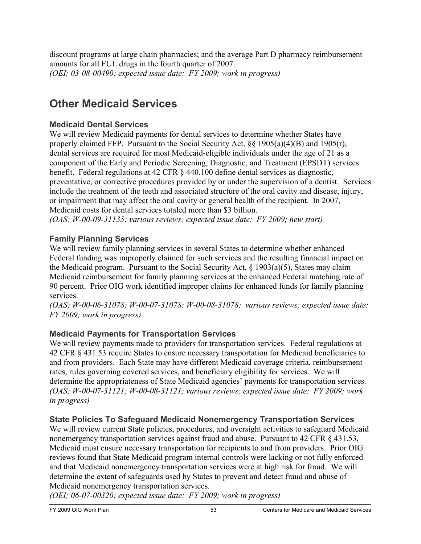discount programs at large chain pharmacies; and the average Part D pharmacy reimbursement amounts for all FUL drugs in the fourth quarter of 2007. *(OEI; 03-08-00490; expected issue date: FY 2009; work in progress)* 

# **Other Medicaid Services**

#### **Medicaid Dental Services**

We will review Medicaid payments for dental services to determine whether States have properly claimed FFP. Pursuant to the Social Security Act, §§ 1905(a)(4)(B) and 1905(r), dental services are required for most Medicaid-eligible individuals under the age of 21 as a component of the Early and Periodic Screening, Diagnostic, and Treatment (EPSDT) services benefit. Federal regulations at 42 CFR § 440.100 define dental services as diagnostic, preventative, or corrective procedures provided by or under the supervision of a dentist. Services include the treatment of the teeth and associated structure of the oral cavity and disease, injury, or impairment that may affect the oral cavity or general health of the recipient. In 2007, Medicaid costs for dental services totaled more than \$3 billion. *(OAS; W-00-09-31135; various reviews; expected issue date: FY 2009; new start)* 

#### **Family Planning Services**

We will review family planning services in several States to determine whether enhanced Federal funding was improperly claimed for such services and the resulting financial impact on the Medicaid program. Pursuant to the Social Security Act, § 1903(a)(5), States may claim Medicaid reimbursement for family planning services at the enhanced Federal matching rate of 90 percent. Prior OIG work identified improper claims for enhanced funds for family planning services.

*(OAS; W-00-06-31078; W-00-07-31078; W-00-08-31078; various reviews; expected issue date: FY 2009; work in progress)* 

#### **Medicaid Payments for Transportation Services**

We will review payments made to providers for transportation services. Federal regulations at 42 CFR § 431.53 require States to ensure necessary transportation for Medicaid beneficiaries to and from providers. Each State may have different Medicaid coverage criteria, reimbursement rates, rules governing covered services, and beneficiary eligibility for services. We will determine the appropriateness of State Medicaid agencies' payments for transportation services. *(OAS; W-00-07-31121; W-00-08-31121; various reviews; expected issue date: FY 2009; work in progress)* 

#### **State Policies To Safeguard Medicaid Nonemergency Transportation Services**

We will review current State policies, procedures, and oversight activities to safeguard Medicaid nonemergency transportation services against fraud and abuse. Pursuant to 42 CFR § 431.53, Medicaid must ensure necessary transportation for recipients to and from providers. Prior OIG reviews found that State Medicaid program internal controls were lacking or not fully enforced and that Medicaid nonemergency transportation services were at high risk for fraud. We will determine the extent of safeguards used by States to prevent and detect fraud and abuse of Medicaid nonemergency transportation services.

*(OEI; 06-07-00320; expected issue date: FY 2009; work in progress)*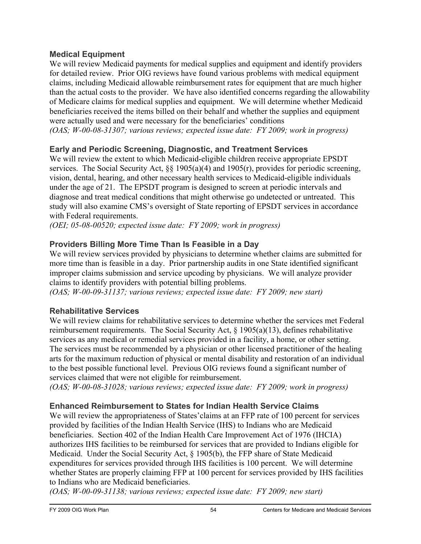#### **Medical Equipment**

We will review Medicaid payments for medical supplies and equipment and identify providers for detailed review. Prior OIG reviews have found various problems with medical equipment claims, including Medicaid allowable reimbursement rates for equipment that are much higher than the actual costs to the provider. We have also identified concerns regarding the allowability of Medicare claims for medical supplies and equipment. We will determine whether Medicaid beneficiaries received the items billed on their behalf and whether the supplies and equipment were actually used and were necessary for the beneficiaries' conditions *(OAS; W-00-08-31307; various reviews; expected issue date: FY 2009; work in progress)* 

## **Early and Periodic Screening, Diagnostic, and Treatment Services**

We will review the extent to which Medicaid-eligible children receive appropriate EPSDT services. The Social Security Act,  $\S$  1905(a)(4) and 1905(r), provides for periodic screening, vision, dental, hearing, and other necessary health services to Medicaid-eligible individuals under the age of 21. The EPSDT program is designed to screen at periodic intervals and diagnose and treat medical conditions that might otherwise go undetected or untreated. This study will also examine CMS's oversight of State reporting of EPSDT services in accordance with Federal requirements.

*(OEI; 05-08-00520; expected issue date: FY 2009; work in progress)* 

## **Providers Billing More Time Than Is Feasible in a Day**

We will review services provided by physicians to determine whether claims are submitted for more time than is feasible in a day. Prior partnership audits in one State identified significant improper claims submission and service upcoding by physicians. We will analyze provider claims to identify providers with potential billing problems.

*(OAS; W-00-09-31137; various reviews; expected issue date: FY 2009; new start)* 

## **Rehabilitative Services**

We will review claims for rehabilitative services to determine whether the services met Federal reimbursement requirements. The Social Security Act, § 1905(a)(13), defines rehabilitative services as any medical or remedial services provided in a facility, a home, or other setting. The services must be recommended by a physician or other licensed practitioner of the healing arts for the maximum reduction of physical or mental disability and restoration of an individual to the best possible functional level. Previous OIG reviews found a significant number of services claimed that were not eligible for reimbursement.

*(OAS; W-00-08-31028; various reviews; expected issue date: FY 2009; work in progress)* 

## **Enhanced Reimbursement to States for Indian Health Service Claims**

We will review the appropriateness of States'claims at an FFP rate of 100 percent for services provided by facilities of the Indian Health Service (IHS) to Indians who are Medicaid beneficiaries. Section 402 of the Indian Health Care Improvement Act of 1976 (IHCIA) authorizes IHS facilities to be reimbursed for services that are provided to Indians eligible for Medicaid. Under the Social Security Act, § 1905(b), the FFP share of State Medicaid expenditures for services provided through IHS facilities is 100 percent. We will determine whether States are properly claiming FFP at 100 percent for services provided by IHS facilities to Indians who are Medicaid beneficiaries.

*(OAS; W-00-09-31138; various reviews; expected issue date: FY 2009; new start)*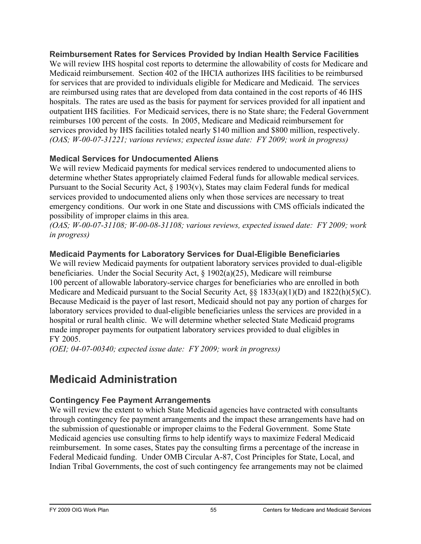**Reimbursement Rates for Services Provided by Indian Health Service Facilities**  We will review IHS hospital cost reports to determine the allowability of costs for Medicare and Medicaid reimbursement. Section 402 of the IHCIA authorizes IHS facilities to be reimbursed for services that are provided to individuals eligible for Medicare and Medicaid. The services are reimbursed using rates that are developed from data contained in the cost reports of 46 IHS hospitals. The rates are used as the basis for payment for services provided for all inpatient and outpatient IHS facilities. For Medicaid services, there is no State share; the Federal Government reimburses 100 percent of the costs. In 2005, Medicare and Medicaid reimbursement for services provided by IHS facilities totaled nearly \$140 million and \$800 million, respectively. *(OAS; W-00-07-31221; various reviews; expected issue date: FY 2009; work in progress)* 

## **Medical Services for Undocumented Aliens**

We will review Medicaid payments for medical services rendered to undocumented aliens to determine whether States appropriately claimed Federal funds for allowable medical services. Pursuant to the Social Security Act, § 1903(v), States may claim Federal funds for medical services provided to undocumented aliens only when those services are necessary to treat emergency conditions. Our work in one State and discussions with CMS officials indicated the possibility of improper claims in this area.

*(OAS; W-00-07-31108; W-00-08-31108; various reviews, expected issued date: FY 2009; work in progress)* 

## **Medicaid Payments for Laboratory Services for Dual-Eligible Beneficiaries**

We will review Medicaid payments for outpatient laboratory services provided to dual-eligible beneficiaries. Under the Social Security Act, § 1902(a)(25), Medicare will reimburse 100 percent of allowable laboratory-service charges for beneficiaries who are enrolled in both Medicare and Medicaid pursuant to the Social Security Act, §§ 1833(a)(1)(D) and 1822(h)(5)(C). Because Medicaid is the payer of last resort, Medicaid should not pay any portion of charges for laboratory services provided to dual-eligible beneficiaries unless the services are provided in a hospital or rural health clinic. We will determine whether selected State Medicaid programs made improper payments for outpatient laboratory services provided to dual eligibles in FY 2005.

*(OEI; 04-07-00340; expected issue date: FY 2009; work in progress)* 

## **Medicaid Administration**

## **Contingency Fee Payment Arrangements**

We will review the extent to which State Medicaid agencies have contracted with consultants through contingency fee payment arrangements and the impact these arrangements have had on the submission of questionable or improper claims to the Federal Government. Some State Medicaid agencies use consulting firms to help identify ways to maximize Federal Medicaid reimbursement. In some cases, States pay the consulting firms a percentage of the increase in Federal Medicaid funding. Under OMB Circular A-87, Cost Principles for State, Local, and Indian Tribal Governments, the cost of such contingency fee arrangements may not be claimed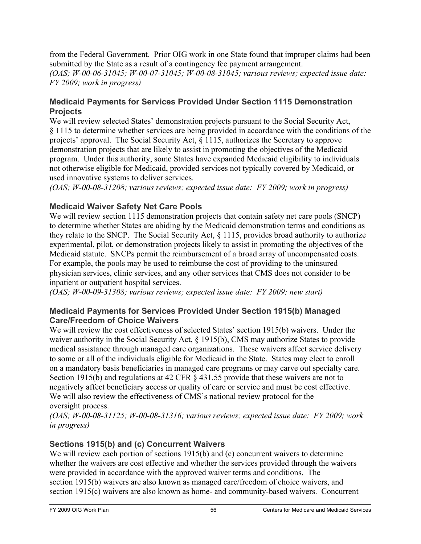from the Federal Government. Prior OIG work in one State found that improper claims had been submitted by the State as a result of a contingency fee payment arrangement.

*(OAS; W-00-06-31045; W-00-07-31045; W-00-08-31045; various reviews; expected issue date: FY 2009; work in progress)* 

## **Medicaid Payments for Services Provided Under Section 1115 Demonstration Projects**

We will review selected States' demonstration projects pursuant to the Social Security Act, § 1115 to determine whether services are being provided in accordance with the conditions of the projects' approval. The Social Security Act, § 1115, authorizes the Secretary to approve demonstration projects that are likely to assist in promoting the objectives of the Medicaid program. Under this authority, some States have expanded Medicaid eligibility to individuals not otherwise eligible for Medicaid, provided services not typically covered by Medicaid, or used innovative systems to deliver services.

*(OAS; W-00-08-31208; various reviews; expected issue date: FY 2009; work in progress)* 

## **Medicaid Waiver Safety Net Care Pools**

We will review section 1115 demonstration projects that contain safety net care pools (SNCP) to determine whether States are abiding by the Medicaid demonstration terms and conditions as they relate to the SNCP. The Social Security Act, § 1115, provides broad authority to authorize experimental, pilot, or demonstration projects likely to assist in promoting the objectives of the Medicaid statute. SNCPs permit the reimbursement of a broad array of uncompensated costs. For example, the pools may be used to reimburse the cost of providing to the uninsured physician services, clinic services, and any other services that CMS does not consider to be inpatient or outpatient hospital services.

*(OAS; W-00-09-31308; various reviews; expected issue date: FY 2009; new start)* 

## **Medicaid Payments for Services Provided Under Section 1915(b) Managed Care/Freedom of Choice Waivers**

We will review the cost effectiveness of selected States' section 1915(b) waivers. Under the waiver authority in the Social Security Act, § 1915(b), CMS may authorize States to provide medical assistance through managed care organizations. These waivers affect service delivery to some or all of the individuals eligible for Medicaid in the State. States may elect to enroll on a mandatory basis beneficiaries in managed care programs or may carve out specialty care. Section 1915(b) and regulations at 42 CFR § 431.55 provide that these waivers are not to negatively affect beneficiary access or quality of care or service and must be cost effective. We will also review the effectiveness of CMS's national review protocol for the oversight process.

*(OAS; W-00-08-31125; W-00-08-31316; various reviews; expected issue date: FY 2009; work in progress)* 

## **Sections 1915(b) and (c) Concurrent Waivers**

We will review each portion of sections 1915(b) and (c) concurrent waivers to determine whether the waivers are cost effective and whether the services provided through the waivers were provided in accordance with the approved waiver terms and conditions. The section 1915(b) waivers are also known as managed care/freedom of choice waivers, and section 1915(c) waivers are also known as home- and community-based waivers. Concurrent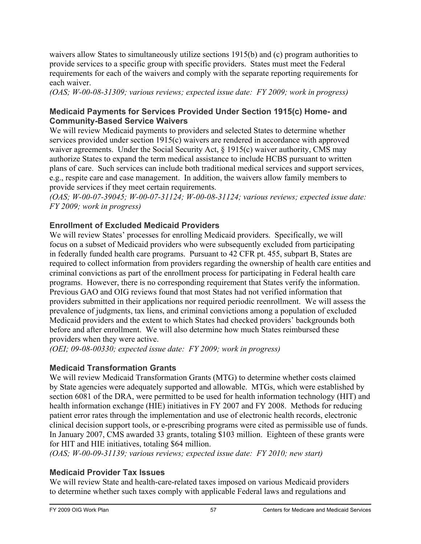waivers allow States to simultaneously utilize sections 1915(b) and (c) program authorities to provide services to a specific group with specific providers. States must meet the Federal requirements for each of the waivers and comply with the separate reporting requirements for each waiver.

*(OAS; W-00-08-31309; various reviews; expected issue date: FY 2009; work in progress)* 

#### **Medicaid Payments for Services Provided Under Section 1915(c) Home- and Community-Based Service Waivers**

We will review Medicaid payments to providers and selected States to determine whether services provided under section 1915(c) waivers are rendered in accordance with approved waiver agreements. Under the Social Security Act, § 1915(c) waiver authority, CMS may authorize States to expand the term medical assistance to include HCBS pursuant to written plans of care. Such services can include both traditional medical services and support services, e.g., respite care and case management. In addition, the waivers allow family members to provide services if they meet certain requirements.

*(OAS; W-00-07-39045; W-00-07-31124; W-00-08-31124; various reviews; expected issue date: FY 2009; work in progress)* 

## **Enrollment of Excluded Medicaid Providers**

We will review States' processes for enrolling Medicaid providers. Specifically, we will focus on a subset of Medicaid providers who were subsequently excluded from participating in federally funded health care programs. Pursuant to 42 CFR pt. 455, subpart B, States are required to collect information from providers regarding the ownership of health care entities and criminal convictions as part of the enrollment process for participating in Federal health care programs. However, there is no corresponding requirement that States verify the information. Previous GAO and OIG reviews found that most States had not verified information that providers submitted in their applications nor required periodic reenrollment. We will assess the prevalence of judgments, tax liens, and criminal convictions among a population of excluded Medicaid providers and the extent to which States had checked providers' backgrounds both before and after enrollment. We will also determine how much States reimbursed these providers when they were active.

*(OEI; 09-08-00330; expected issue date: FY 2009; work in progress)* 

## **Medicaid Transformation Grants**

We will review Medicaid Transformation Grants (MTG) to determine whether costs claimed by State agencies were adequately supported and allowable. MTGs, which were established by section 6081 of the DRA, were permitted to be used for health information technology (HIT) and health information exchange (HIE) initiatives in FY 2007 and FY 2008. Methods for reducing patient error rates through the implementation and use of electronic health records, electronic clinical decision support tools, or e-prescribing programs were cited as permissible use of funds. In January 2007, CMS awarded 33 grants, totaling \$103 million. Eighteen of these grants were for HIT and HIE initiatives, totaling \$64 million.

*(OAS; W-00-09-31139; various reviews; expected issue date: FY 2010; new start)* 

## **Medicaid Provider Tax Issues**

We will review State and health-care-related taxes imposed on various Medicaid providers to determine whether such taxes comply with applicable Federal laws and regulations and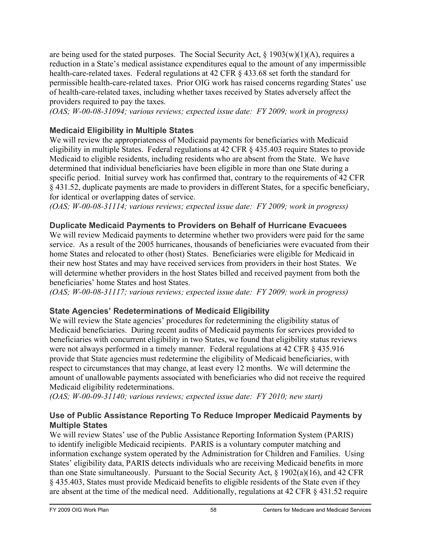are being used for the stated purposes. The Social Security Act,  $\S$  1903(w)(1)(A), requires a reduction in a State's medical assistance expenditures equal to the amount of any impermissible health-care-related taxes. Federal regulations at 42 CFR § 433.68 set forth the standard for permissible health-care-related taxes. Prior OIG work has raised concerns regarding States' use of health-care-related taxes, including whether taxes received by States adversely affect the providers required to pay the taxes.

*(OAS; W-00-08-31094; various reviews; expected issue date: FY 2009; work in progress)* 

## **Medicaid Eligibility in Multiple States**

We will review the appropriateness of Medicaid payments for beneficiaries with Medicaid eligibility in multiple States. Federal regulations at 42 CFR § 435.403 require States to provide Medicaid to eligible residents, including residents who are absent from the State. We have determined that individual beneficiaries have been eligible in more than one State during a specific period. Initial survey work has confirmed that, contrary to the requirements of 42 CFR § 431.52, duplicate payments are made to providers in different States, for a specific beneficiary, for identical or overlapping dates of service.

*(OAS; W-00-08-31114; various reviews; expected issue date: FY 2009; work in progress)* 

## **Duplicate Medicaid Payments to Providers on Behalf of Hurricane Evacuees**

We will review Medicaid payments to determine whether two providers were paid for the same service. As a result of the 2005 hurricanes, thousands of beneficiaries were evacuated from their home States and relocated to other (host) States. Beneficiaries were eligible for Medicaid in their new host States and may have received services from providers in their host States. We will determine whether providers in the host States billed and received payment from both the beneficiaries' home States and host States.

*(OAS; W-00-08-31117; various reviews; expected issue date: FY 2009; work in progress)* 

## **State Agencies' Redeterminations of Medicaid Eligibility**

We will review the State agencies' procedures for redetermining the eligibility status of Medicaid beneficiaries. During recent audits of Medicaid payments for services provided to beneficiaries with concurrent eligibility in two States, we found that eligibility status reviews were not always performed in a timely manner. Federal regulations at 42 CFR § 435.916 provide that State agencies must redetermine the eligibility of Medicaid beneficiaries, with respect to circumstances that may change, at least every 12 months. We will determine the amount of unallowable payments associated with beneficiaries who did not receive the required Medicaid eligibility redeterminations.

*(OAS; W-00-09-31140; various reviews; expected issue date: FY 2010; new start)* 

## **Use of Public Assistance Reporting To Reduce Improper Medicaid Payments by Multiple States**

We will review States' use of the Public Assistance Reporting Information System (PARIS) to identify ineligible Medicaid recipients. PARIS is a voluntary computer matching and information exchange system operated by the Administration for Children and Families. Using States' eligibility data, PARIS detects individuals who are receiving Medicaid benefits in more than one State simultaneously. Pursuant to the Social Security Act, § 1902(a)(16), and 42 CFR § 435.403, States must provide Medicaid benefits to eligible residents of the State even if they are absent at the time of the medical need. Additionally, regulations at 42 CFR § 431.52 require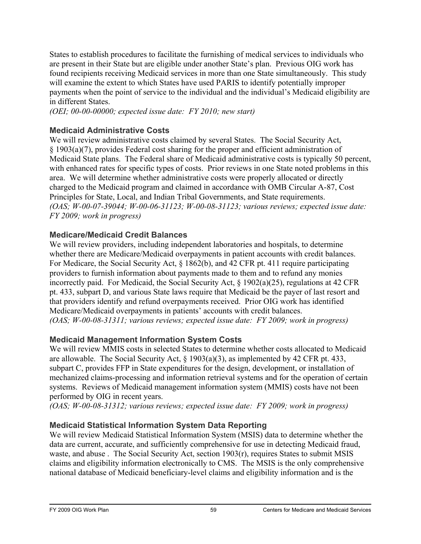States to establish procedures to facilitate the furnishing of medical services to individuals who are present in their State but are eligible under another State's plan. Previous OIG work has found recipients receiving Medicaid services in more than one State simultaneously. This study will examine the extent to which States have used PARIS to identify potentially improper payments when the point of service to the individual and the individual's Medicaid eligibility are in different States.

*(OEI; 00-00-00000; expected issue date: FY 2010; new start)* 

## **Medicaid Administrative Costs**

We will review administrative costs claimed by several States. The Social Security Act, § 1903(a)(7), provides Federal cost sharing for the proper and efficient administration of Medicaid State plans. The Federal share of Medicaid administrative costs is typically 50 percent, with enhanced rates for specific types of costs. Prior reviews in one State noted problems in this area. We will determine whether administrative costs were properly allocated or directly charged to the Medicaid program and claimed in accordance with OMB Circular A-87, Cost Principles for State, Local, and Indian Tribal Governments, and State requirements. *(OAS; W-00-07-39044; W-00-06-31123; W-00-08-31123; various reviews; expected issue date: FY 2009; work in progress)* 

## **Medicare/Medicaid Credit Balances**

We will review providers, including independent laboratories and hospitals, to determine whether there are Medicare/Medicaid overpayments in patient accounts with credit balances. For Medicare, the Social Security Act, § 1862(b), and 42 CFR pt. 411 require participating providers to furnish information about payments made to them and to refund any monies incorrectly paid. For Medicaid, the Social Security Act, § 1902(a)(25), regulations at 42 CFR pt. 433, subpart D, and various State laws require that Medicaid be the payer of last resort and that providers identify and refund overpayments received. Prior OIG work has identified Medicare/Medicaid overpayments in patients' accounts with credit balances. *(OAS; W-00-08-31311; various reviews; expected issue date: FY 2009; work in progress)* 

## **Medicaid Management Information System Costs**

We will review MMIS costs in selected States to determine whether costs allocated to Medicaid are allowable. The Social Security Act, § 1903(a)(3), as implemented by 42 CFR pt. 433, subpart C, provides FFP in State expenditures for the design, development, or installation of mechanized claims-processing and information retrieval systems and for the operation of certain systems. Reviews of Medicaid management information system (MMIS) costs have not been performed by OIG in recent years.

*(OAS; W-00-08-31312; various reviews; expected issue date: FY 2009; work in progress)* 

## **Medicaid Statistical Information System Data Reporting**

We will review Medicaid Statistical Information System (MSIS) data to determine whether the data are current, accurate, and sufficiently comprehensive for use in detecting Medicaid fraud, waste, and abuse . The Social Security Act, section 1903(r), requires States to submit MSIS claims and eligibility information electronically to CMS. The MSIS is the only comprehensive national database of Medicaid beneficiary-level claims and eligibility information and is the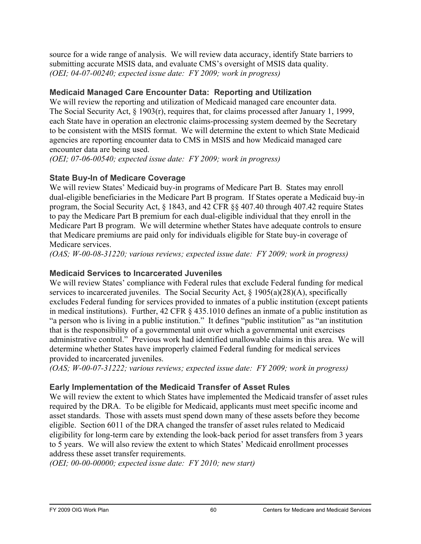source for a wide range of analysis. We will review data accuracy, identify State barriers to submitting accurate MSIS data, and evaluate CMS's oversight of MSIS data quality. *(OEI; 04-07-00240; expected issue date: FY 2009; work in progress)* 

## **Medicaid Managed Care Encounter Data: Reporting and Utilization**

We will review the reporting and utilization of Medicaid managed care encounter data. The Social Security Act, § 1903(r), requires that, for claims processed after January 1, 1999, each State have in operation an electronic claims-processing system deemed by the Secretary to be consistent with the MSIS format. We will determine the extent to which State Medicaid agencies are reporting encounter data to CMS in MSIS and how Medicaid managed care encounter data are being used.

*(OEI; 07-06-00540; expected issue date: FY 2009; work in progress)* 

## **State Buy-In of Medicare Coverage**

We will review States' Medicaid buy-in programs of Medicare Part B. States may enroll dual-eligible beneficiaries in the Medicare Part B program. If States operate a Medicaid buy-in program, the Social Security Act, § 1843, and 42 CFR §§ 407.40 through 407.42 require States to pay the Medicare Part B premium for each dual-eligible individual that they enroll in the Medicare Part B program. We will determine whether States have adequate controls to ensure that Medicare premiums are paid only for individuals eligible for State buy-in coverage of Medicare services.

*(OAS; W-00-08-31220; various reviews; expected issue date: FY 2009; work in progress)* 

#### **Medicaid Services to Incarcerated Juveniles**

We will review States' compliance with Federal rules that exclude Federal funding for medical services to incarcerated juveniles. The Social Security Act, § 1905(a)(28)(A), specifically excludes Federal funding for services provided to inmates of a public institution (except patients in medical institutions). Further, 42 CFR § 435.1010 defines an inmate of a public institution as "a person who is living in a public institution." It defines "public institution" as "an institution that is the responsibility of a governmental unit over which a governmental unit exercises administrative control." Previous work had identified unallowable claims in this area. We will determine whether States have improperly claimed Federal funding for medical services provided to incarcerated juveniles.

*(OAS; W-00-07-31222; various reviews; expected issue date: FY 2009; work in progress)* 

## **Early Implementation of the Medicaid Transfer of Asset Rules**

We will review the extent to which States have implemented the Medicaid transfer of asset rules required by the DRA. To be eligible for Medicaid, applicants must meet specific income and asset standards. Those with assets must spend down many of these assets before they become eligible. Section 6011 of the DRA changed the transfer of asset rules related to Medicaid eligibility for long-term care by extending the look-back period for asset transfers from 3 years to 5 years. We will also review the extent to which States' Medicaid enrollment processes address these asset transfer requirements.

*(OEI; 00-00-00000; expected issue date: FY 2010; new start)*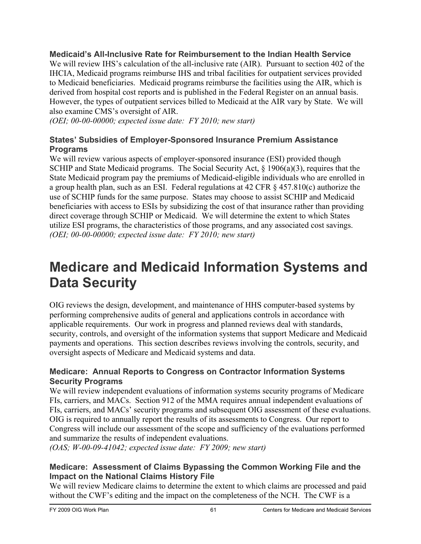**Medicaid's All-Inclusive Rate for Reimbursement to the Indian Health Service** 

We will review IHS's calculation of the all-inclusive rate (AIR). Pursuant to section 402 of the IHCIA, Medicaid programs reimburse IHS and tribal facilities for outpatient services provided to Medicaid beneficiaries. Medicaid programs reimburse the facilities using the AIR, which is derived from hospital cost reports and is published in the Federal Register on an annual basis. However, the types of outpatient services billed to Medicaid at the AIR vary by State. We will also examine CMS's oversight of AIR.

*(OEI; 00-00-00000; expected issue date: FY 2010; new start)* 

#### **States' Subsidies of Employer-Sponsored Insurance Premium Assistance Programs**

We will review various aspects of employer-sponsored insurance (ESI) provided though SCHIP and State Medicaid programs. The Social Security Act, § 1906(a)(3), requires that the State Medicaid program pay the premiums of Medicaid-eligible individuals who are enrolled in a group health plan, such as an ESI. Federal regulations at 42 CFR § 457.810(c) authorize the use of SCHIP funds for the same purpose. States may choose to assist SCHIP and Medicaid beneficiaries with access to ESIs by subsidizing the cost of that insurance rather than providing direct coverage through SCHIP or Medicaid. We will determine the extent to which States utilize ESI programs, the characteristics of those programs, and any associated cost savings. *(OEI; 00-00-00000; expected issue date: FY 2010; new start)* 

# **Medicare and Medicaid Information Systems and Data Security**

OIG reviews the design, development, and maintenance of HHS computer-based systems by performing comprehensive audits of general and applications controls in accordance with applicable requirements. Our work in progress and planned reviews deal with standards, security, controls, and oversight of the information systems that support Medicare and Medicaid payments and operations. This section describes reviews involving the controls, security, and oversight aspects of Medicare and Medicaid systems and data.

#### **Medicare: Annual Reports to Congress on Contractor Information Systems Security Programs**

We will review independent evaluations of information systems security programs of Medicare FIs, carriers, and MACs. Section 912 of the MMA requires annual independent evaluations of FIs, carriers, and MACs' security programs and subsequent OIG assessment of these evaluations. OIG is required to annually report the results of its assessments to Congress. Our report to Congress will include our assessment of the scope and sufficiency of the evaluations performed and summarize the results of independent evaluations.

*(OAS; W-00-09-41042; expected issue date: FY 2009; new start)* 

#### **Medicare: Assessment of Claims Bypassing the Common Working File and the Impact on the National Claims History File**

We will review Medicare claims to determine the extent to which claims are processed and paid without the CWF's editing and the impact on the completeness of the NCH. The CWF is a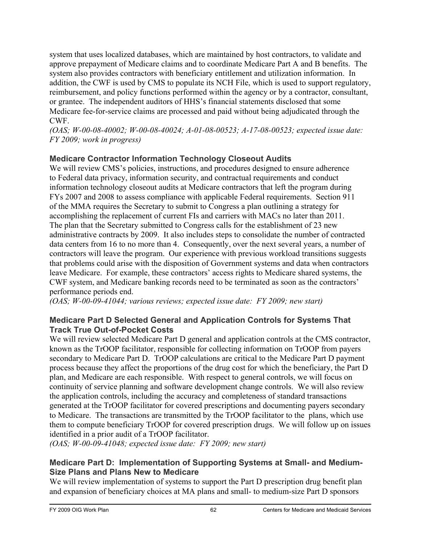system that uses localized databases, which are maintained by host contractors, to validate and approve prepayment of Medicare claims and to coordinate Medicare Part A and B benefits. The system also provides contractors with beneficiary entitlement and utilization information. In addition, the CWF is used by CMS to populate its NCH File, which is used to support regulatory, reimbursement, and policy functions performed within the agency or by a contractor, consultant, or grantee. The independent auditors of HHS's financial statements disclosed that some Medicare fee-for-service claims are processed and paid without being adjudicated through the CWF.

*(OAS; W-00-08-40002; W-00-08-40024; A-01-08-00523; A-17-08-00523; expected issue date: FY 2009; work in progress)* 

## **Medicare Contractor Information Technology Closeout Audits**

We will review CMS's policies, instructions, and procedures designed to ensure adherence to Federal data privacy, information security, and contractual requirements and conduct information technology closeout audits at Medicare contractors that left the program during FYs 2007 and 2008 to assess compliance with applicable Federal requirements. Section 911 of the MMA requires the Secretary to submit to Congress a plan outlining a strategy for accomplishing the replacement of current FIs and carriers with MACs no later than 2011. The plan that the Secretary submitted to Congress calls for the establishment of 23 new administrative contracts by 2009. It also includes steps to consolidate the number of contracted data centers from 16 to no more than 4. Consequently, over the next several years, a number of contractors will leave the program. Our experience with previous workload transitions suggests that problems could arise with the disposition of Government systems and data when contractors leave Medicare. For example, these contractors' access rights to Medicare shared systems, the CWF system, and Medicare banking records need to be terminated as soon as the contractors' performance periods end.

*(OAS; W-00-09-41044; various reviews; expected issue date: FY 2009; new start)* 

## **Medicare Part D Selected General and Application Controls for Systems That Track True Out-of-Pocket Costs**

We will review selected Medicare Part D general and application controls at the CMS contractor, known as the TrOOP facilitator, responsible for collecting information on TrOOP from payers secondary to Medicare Part D. TrOOP calculations are critical to the Medicare Part D payment process because they affect the proportions of the drug cost for which the beneficiary, the Part D plan, and Medicare are each responsible. With respect to general controls, we will focus on continuity of service planning and software development change controls. We will also review the application controls, including the accuracy and completeness of standard transactions generated at the TrOOP facilitator for covered prescriptions and documenting payers secondary to Medicare. The transactions are transmitted by the TrOOP facilitator to the plans, which use them to compute beneficiary TrOOP for covered prescription drugs. We will follow up on issues identified in a prior audit of a TrOOP facilitator.

*(OAS; W-00-09-41048; expected issue date: FY 2009; new start)* 

#### **Medicare Part D: Implementation of Supporting Systems at Small- and Medium-Size Plans and Plans New to Medicare**

We will review implementation of systems to support the Part D prescription drug benefit plan and expansion of beneficiary choices at MA plans and small- to medium-size Part D sponsors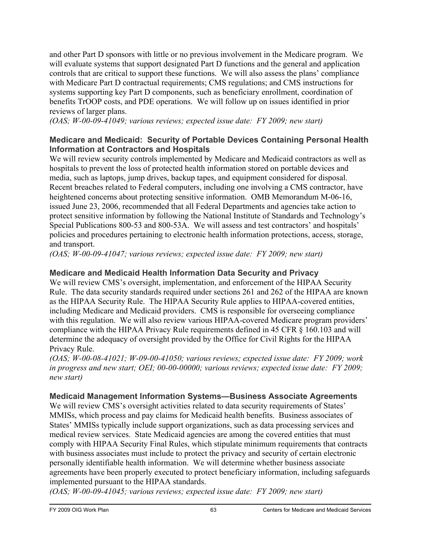and other Part D sponsors with little or no previous involvement in the Medicare program. We will evaluate systems that support designated Part D functions and the general and application controls that are critical to support these functions. We will also assess the plans' compliance with Medicare Part D contractual requirements; CMS regulations; and CMS instructions for systems supporting key Part D components, such as beneficiary enrollment, coordination of benefits TrOOP costs, and PDE operations. We will follow up on issues identified in prior reviews of larger plans.

*(OAS; W-00-09-41049; various reviews; expected issue date: FY 2009; new start)* 

## **Medicare and Medicaid: Security of Portable Devices Containing Personal Health Information at Contractors and Hospitals**

We will review security controls implemented by Medicare and Medicaid contractors as well as hospitals to prevent the loss of protected health information stored on portable devices and media, such as laptops, jump drives, backup tapes, and equipment considered for disposal. Recent breaches related to Federal computers, including one involving a CMS contractor, have heightened concerns about protecting sensitive information. OMB Memorandum M-06-16, issued June 23, 2006, recommended that all Federal Departments and agencies take action to protect sensitive information by following the National Institute of Standards and Technology's Special Publications 800-53 and 800-53A. We will assess and test contractors' and hospitals' policies and procedures pertaining to electronic health information protections, access, storage, and transport.

*(OAS; W-00-09-41047; various reviews; expected issue date: FY 2009; new start)* 

## **Medicare and Medicaid Health Information Data Security and Privacy**

We will review CMS's oversight, implementation, and enforcement of the HIPAA Security Rule. The data security standards required under sections 261 and 262 of the HIPAA are known as the HIPAA Security Rule. The HIPAA Security Rule applies to HIPAA-covered entities, including Medicare and Medicaid providers. CMS is responsible for overseeing compliance with this regulation. We will also review various HIPAA-covered Medicare program providers' compliance with the HIPAA Privacy Rule requirements defined in 45 CFR § 160.103 and will determine the adequacy of oversight provided by the Office for Civil Rights for the HIPAA Privacy Rule.

*(OAS; W-00-08-41021; W-09-00-41050; various reviews; expected issue date: FY 2009; work in progress and new start; OEI; 00-00-00000; various reviews; expected issue date: FY 2009; new start)* 

## **Medicaid Management Information Systems—Business Associate Agreements**

We will review CMS's oversight activities related to data security requirements of States' MMISs, which process and pay claims for Medicaid health benefits. Business associates of States' MMISs typically include support organizations, such as data processing services and medical review services. State Medicaid agencies are among the covered entities that must comply with HIPAA Security Final Rules, which stipulate minimum requirements that contracts with business associates must include to protect the privacy and security of certain electronic personally identifiable health information. We will determine whether business associate agreements have been properly executed to protect beneficiary information, including safeguards implemented pursuant to the HIPAA standards.

*(OAS; W-00-09-41045; various reviews; expected issue date: FY 2009; new start)*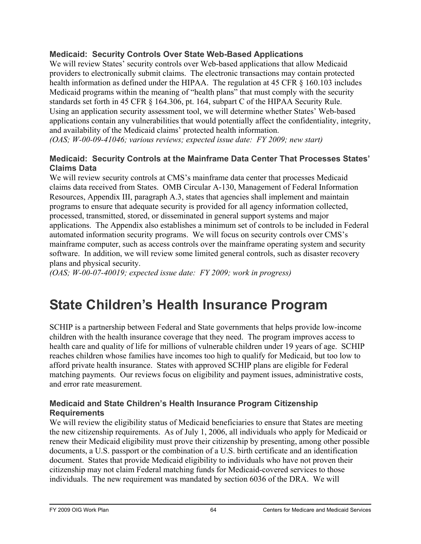## **Medicaid: Security Controls Over State Web-Based Applications**

We will review States' security controls over Web-based applications that allow Medicaid providers to electronically submit claims. The electronic transactions may contain protected health information as defined under the HIPAA. The regulation at 45 CFR  $\S$  160.103 includes Medicaid programs within the meaning of "health plans" that must comply with the security standards set forth in 45 CFR § 164.306, pt. 164, subpart C of the HIPAA Security Rule. Using an application security assessment tool, we will determine whether States' Web-based applications contain any vulnerabilities that would potentially affect the confidentiality, integrity, and availability of the Medicaid claims' protected health information.

*(OAS; W-00-09-41046; various reviews; expected issue date: FY 2009; new start)* 

## **Medicaid: Security Controls at the Mainframe Data Center That Processes States' Claims Data**

We will review security controls at CMS's mainframe data center that processes Medicaid claims data received from States. OMB Circular A-130, Management of Federal Information Resources, Appendix III, paragraph A.3, states that agencies shall implement and maintain programs to ensure that adequate security is provided for all agency information collected, processed, transmitted, stored, or disseminated in general support systems and major applications. The Appendix also establishes a minimum set of controls to be included in Federal automated information security programs. We will focus on security controls over CMS's mainframe computer, such as access controls over the mainframe operating system and security software. In addition, we will review some limited general controls, such as disaster recovery plans and physical security.

*(OAS; W-00-07-40019; expected issue date: FY 2009; work in progress)* 

# **State Children's Health Insurance Program**

SCHIP is a partnership between Federal and State governments that helps provide low-income children with the health insurance coverage that they need. The program improves access to health care and quality of life for millions of vulnerable children under 19 years of age. SCHIP reaches children whose families have incomes too high to qualify for Medicaid, but too low to afford private health insurance. States with approved SCHIP plans are eligible for Federal matching payments. Our reviews focus on eligibility and payment issues, administrative costs, and error rate measurement.

## **Medicaid and State Children's Health Insurance Program Citizenship Requirements**

We will review the eligibility status of Medicaid beneficiaries to ensure that States are meeting the new citizenship requirements. As of July 1, 2006, all individuals who apply for Medicaid or renew their Medicaid eligibility must prove their citizenship by presenting, among other possible documents, a U.S. passport or the combination of a U.S. birth certificate and an identification document. States that provide Medicaid eligibility to individuals who have not proven their citizenship may not claim Federal matching funds for Medicaid-covered services to those individuals. The new requirement was mandated by section 6036 of the DRA. We will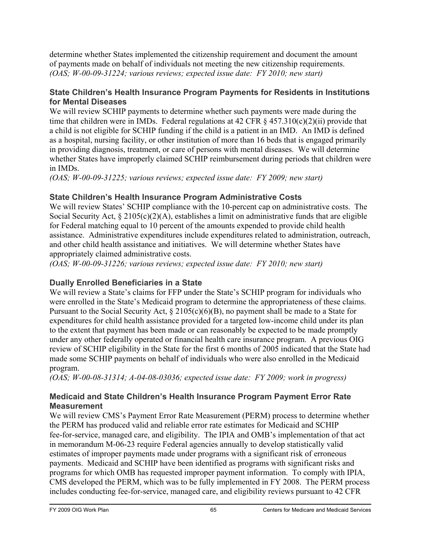determine whether States implemented the citizenship requirement and document the amount of payments made on behalf of individuals not meeting the new citizenship requirements. *(OAS; W-00-09-31224; various reviews; expected issue date: FY 2010; new start)* 

## **State Children's Health Insurance Program Payments for Residents in Institutions for Mental Diseases**

We will review SCHIP payments to determine whether such payments were made during the time that children were in IMDs. Federal regulations at 42 CFR  $\S$  457.310(c)(2)(ii) provide that a child is not eligible for SCHIP funding if the child is a patient in an IMD. An IMD is defined as a hospital, nursing facility, or other institution of more than 16 beds that is engaged primarily in providing diagnosis, treatment, or care of persons with mental diseases. We will determine whether States have improperly claimed SCHIP reimbursement during periods that children were in IMDs.

*(OAS; W-00-09-31225; various reviews; expected issue date: FY 2009; new start)* 

## **State Children's Health Insurance Program Administrative Costs**

We will review States' SCHIP compliance with the 10-percent cap on administrative costs. The Social Security Act,  $\S 2105(c)(2)(A)$ , establishes a limit on administrative funds that are eligible for Federal matching equal to 10 percent of the amounts expended to provide child health assistance. Administrative expenditures include expenditures related to administration, outreach, and other child health assistance and initiatives. We will determine whether States have appropriately claimed administrative costs.

*(OAS; W-00-09-31226; various reviews; expected issue date: FY 2010; new start)* 

## **Dually Enrolled Beneficiaries in a State**

We will review a State's claims for FFP under the State's SCHIP program for individuals who were enrolled in the State's Medicaid program to determine the appropriateness of these claims. Pursuant to the Social Security Act,  $\S 2105(c)(6)(B)$ , no payment shall be made to a State for expenditures for child health assistance provided for a targeted low-income child under its plan to the extent that payment has been made or can reasonably be expected to be made promptly under any other federally operated or financial health care insurance program. A previous OIG review of SCHIP eligibility in the State for the first 6 months of 2005 indicated that the State had made some SCHIP payments on behalf of individuals who were also enrolled in the Medicaid program.

*(OAS; W-00-08-31314; A-04-08-03036; expected issue date: FY 2009; work in progress)* 

## **Medicaid and State Children's Health Insurance Program Payment Error Rate Measurement**

We will review CMS's Payment Error Rate Measurement (PERM) process to determine whether the PERM has produced valid and reliable error rate estimates for Medicaid and SCHIP fee-for-service, managed care, and eligibility. The IPIA and OMB's implementation of that act in memorandum M-06-23 require Federal agencies annually to develop statistically valid estimates of improper payments made under programs with a significant risk of erroneous payments. Medicaid and SCHIP have been identified as programs with significant risks and programs for which OMB has requested improper payment information. To comply with IPIA, CMS developed the PERM, which was to be fully implemented in FY 2008. The PERM process includes conducting fee-for-service, managed care, and eligibility reviews pursuant to 42 CFR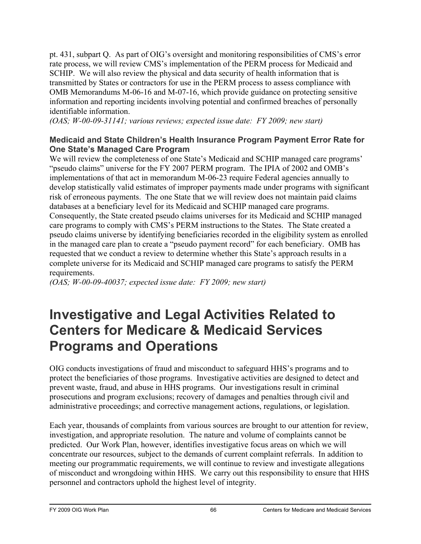pt. 431, subpart Q. As part of OIG's oversight and monitoring responsibilities of CMS's error rate process, we will review CMS's implementation of the PERM process for Medicaid and SCHIP. We will also review the physical and data security of health information that is transmitted by States or contractors for use in the PERM process to assess compliance with OMB Memorandums M-06-16 and M-07-16, which provide guidance on protecting sensitive information and reporting incidents involving potential and confirmed breaches of personally identifiable information.

*(OAS; W-00-09-31141; various reviews; expected issue date: FY 2009; new start)* 

#### **Medicaid and State Children's Health Insurance Program Payment Error Rate for One State's Managed Care Program**

We will review the completeness of one State's Medicaid and SCHIP managed care programs' "pseudo claims" universe for the FY 2007 PERM program. The IPIA of 2002 and OMB's implementations of that act in memorandum M-06-23 require Federal agencies annually to develop statistically valid estimates of improper payments made under programs with significant risk of erroneous payments. The one State that we will review does not maintain paid claims databases at a beneficiary level for its Medicaid and SCHIP managed care programs. Consequently, the State created pseudo claims universes for its Medicaid and SCHIP managed care programs to comply with CMS's PERM instructions to the States. The State created a pseudo claims universe by identifying beneficiaries recorded in the eligibility system as enrolled in the managed care plan to create a "pseudo payment record" for each beneficiary. OMB has requested that we conduct a review to determine whether this State's approach results in a complete universe for its Medicaid and SCHIP managed care programs to satisfy the PERM requirements.

*(OAS; W-00-09-40037; expected issue date: FY 2009; new start)* 

# **Investigative and Legal Activities Related to Centers for Medicare & Medicaid Services Programs and Operations**

OIG conducts investigations of fraud and misconduct to safeguard HHS's programs and to protect the beneficiaries of those programs. Investigative activities are designed to detect and prevent waste, fraud, and abuse in HHS programs. Our investigations result in criminal prosecutions and program exclusions; recovery of damages and penalties through civil and administrative proceedings; and corrective management actions, regulations, or legislation.

Each year, thousands of complaints from various sources are brought to our attention for review, investigation, and appropriate resolution. The nature and volume of complaints cannot be predicted. Our Work Plan, however, identifies investigative focus areas on which we will concentrate our resources, subject to the demands of current complaint referrals. In addition to meeting our programmatic requirements, we will continue to review and investigate allegations of misconduct and wrongdoing within HHS. We carry out this responsibility to ensure that HHS personnel and contractors uphold the highest level of integrity.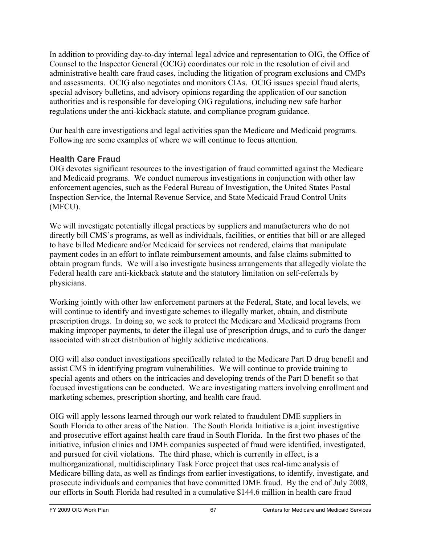In addition to providing day-to-day internal legal advice and representation to OIG, the Office of Counsel to the Inspector General (OCIG) coordinates our role in the resolution of civil and administrative health care fraud cases, including the litigation of program exclusions and CMPs and assessments. OCIG also negotiates and monitors CIAs. OCIG issues special fraud alerts, special advisory bulletins, and advisory opinions regarding the application of our sanction authorities and is responsible for developing OIG regulations, including new safe harbor regulations under the anti-kickback statute, and compliance program guidance.

Our health care investigations and legal activities span the Medicare and Medicaid programs. Following are some examples of where we will continue to focus attention.

## **Health Care Fraud**

OIG devotes significant resources to the investigation of fraud committed against the Medicare and Medicaid programs. We conduct numerous investigations in conjunction with other law enforcement agencies, such as the Federal Bureau of Investigation, the United States Postal Inspection Service, the Internal Revenue Service, and State Medicaid Fraud Control Units (MFCU).

We will investigate potentially illegal practices by suppliers and manufacturers who do not directly bill CMS's programs, as well as individuals, facilities, or entities that bill or are alleged to have billed Medicare and/or Medicaid for services not rendered, claims that manipulate payment codes in an effort to inflate reimbursement amounts, and false claims submitted to obtain program funds. We will also investigate business arrangements that allegedly violate the Federal health care anti-kickback statute and the statutory limitation on self-referrals by physicians.

Working jointly with other law enforcement partners at the Federal, State, and local levels, we will continue to identify and investigate schemes to illegally market, obtain, and distribute prescription drugs. In doing so, we seek to protect the Medicare and Medicaid programs from making improper payments, to deter the illegal use of prescription drugs, and to curb the danger associated with street distribution of highly addictive medications.

OIG will also conduct investigations specifically related to the Medicare Part D drug benefit and assist CMS in identifying program vulnerabilities. We will continue to provide training to special agents and others on the intricacies and developing trends of the Part D benefit so that focused investigations can be conducted. We are investigating matters involving enrollment and marketing schemes, prescription shorting, and health care fraud.

OIG will apply lessons learned through our work related to fraudulent DME suppliers in South Florida to other areas of the Nation. The South Florida Initiative is a joint investigative and prosecutive effort against health care fraud in South Florida. In the first two phases of the initiative, infusion clinics and DME companies suspected of fraud were identified, investigated, and pursued for civil violations. The third phase, which is currently in effect, is a multiorganizational, multidisciplinary Task Force project that uses real-time analysis of Medicare billing data, as well as findings from earlier investigations, to identify, investigate, and prosecute individuals and companies that have committed DME fraud. By the end of July 2008, our efforts in South Florida had resulted in a cumulative \$144.6 million in health care fraud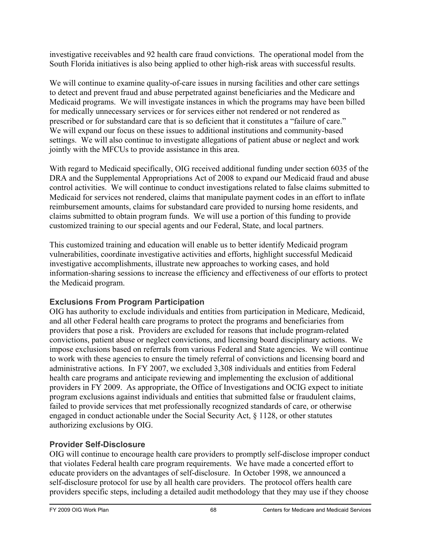investigative receivables and 92 health care fraud convictions. The operational model from the South Florida initiatives is also being applied to other high-risk areas with successful results.

We will continue to examine quality-of-care issues in nursing facilities and other care settings to detect and prevent fraud and abuse perpetrated against beneficiaries and the Medicare and Medicaid programs. We will investigate instances in which the programs may have been billed for medically unnecessary services or for services either not rendered or not rendered as prescribed or for substandard care that is so deficient that it constitutes a "failure of care." We will expand our focus on these issues to additional institutions and community-based settings. We will also continue to investigate allegations of patient abuse or neglect and work jointly with the MFCUs to provide assistance in this area.

With regard to Medicaid specifically, OIG received additional funding under section 6035 of the DRA and the Supplemental Appropriations Act of 2008 to expand our Medicaid fraud and abuse control activities. We will continue to conduct investigations related to false claims submitted to Medicaid for services not rendered, claims that manipulate payment codes in an effort to inflate reimbursement amounts, claims for substandard care provided to nursing home residents, and claims submitted to obtain program funds. We will use a portion of this funding to provide customized training to our special agents and our Federal, State, and local partners.

This customized training and education will enable us to better identify Medicaid program vulnerabilities, coordinate investigative activities and efforts, highlight successful Medicaid investigative accomplishments, illustrate new approaches to working cases, and hold information-sharing sessions to increase the efficiency and effectiveness of our efforts to protect the Medicaid program.

## **Exclusions From Program Participation**

OIG has authority to exclude individuals and entities from participation in Medicare, Medicaid, and all other Federal health care programs to protect the programs and beneficiaries from providers that pose a risk. Providers are excluded for reasons that include program-related convictions, patient abuse or neglect convictions, and licensing board disciplinary actions. We impose exclusions based on referrals from various Federal and State agencies. We will continue to work with these agencies to ensure the timely referral of convictions and licensing board and administrative actions. In FY 2007, we excluded 3,308 individuals and entities from Federal health care programs and anticipate reviewing and implementing the exclusion of additional providers in FY 2009. As appropriate, the Office of Investigations and OCIG expect to initiate program exclusions against individuals and entities that submitted false or fraudulent claims, failed to provide services that met professionally recognized standards of care, or otherwise engaged in conduct actionable under the Social Security Act, § 1128, or other statutes authorizing exclusions by OIG.

## **Provider Self-Disclosure**

OIG will continue to encourage health care providers to promptly self-disclose improper conduct that violates Federal health care program requirements. We have made a concerted effort to educate providers on the advantages of self-disclosure. In October 1998, we announced a self-disclosure protocol for use by all health care providers. The protocol offers health care providers specific steps, including a detailed audit methodology that they may use if they choose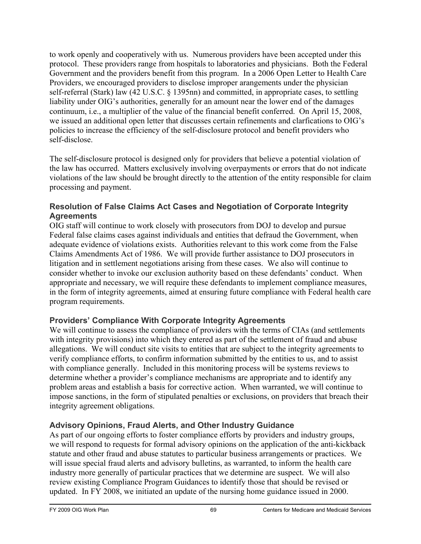to work openly and cooperatively with us. Numerous providers have been accepted under this protocol. These providers range from hospitals to laboratories and physicians. Both the Federal Government and the providers benefit from this program. In a 2006 Open Letter to Health Care Providers, we encouraged providers to disclose improper arangements under the physician self-referral (Stark) law (42 U.S.C. § 1395nn) and committed, in appropriate cases, to settling liability under OIG's authorities, generally for an amount near the lower end of the damages continuum, i.e., a multiplier of the value of the financial benefit conferred. On April 15, 2008, we issued an additional open letter that discusses certain refinements and clarfications to OIG's policies to increase the efficiency of the self-disclosure protocol and benefit providers who self-disclose.

The self-disclosure protocol is designed only for providers that believe a potential violation of the law has occurred. Matters exclusively involving overpayments or errors that do not indicate violations of the law should be brought directly to the attention of the entity responsible for claim processing and payment.

## **Resolution of False Claims Act Cases and Negotiation of Corporate Integrity Agreements**

OIG staff will continue to work closely with prosecutors from DOJ to develop and pursue Federal false claims cases against individuals and entities that defraud the Government, when adequate evidence of violations exists. Authorities relevant to this work come from the False Claims Amendments Act of 1986. We will provide further assistance to DOJ prosecutors in litigation and in settlement negotiations arising from these cases. We also will continue to consider whether to invoke our exclusion authority based on these defendants' conduct. When appropriate and necessary, we will require these defendants to implement compliance measures, in the form of integrity agreements, aimed at ensuring future compliance with Federal health care program requirements.

## **Providers' Compliance With Corporate Integrity Agreements**

We will continue to assess the compliance of providers with the terms of CIAs (and settlements with integrity provisions) into which they entered as part of the settlement of fraud and abuse allegations. We will conduct site visits to entities that are subject to the integrity agreements to verify compliance efforts, to confirm information submitted by the entities to us, and to assist with compliance generally. Included in this monitoring process will be systems reviews to determine whether a provider's compliance mechanisms are appropriate and to identify any problem areas and establish a basis for corrective action. When warranted, we will continue to impose sanctions, in the form of stipulated penalties or exclusions, on providers that breach their integrity agreement obligations.

## **Advisory Opinions, Fraud Alerts, and Other Industry Guidance**

As part of our ongoing efforts to foster compliance efforts by providers and industry groups, we will respond to requests for formal advisory opinions on the application of the anti-kickback statute and other fraud and abuse statutes to particular business arrangements or practices. We will issue special fraud alerts and advisory bulletins, as warranted, to inform the health care industry more generally of particular practices that we determine are suspect. We will also review existing Compliance Program Guidances to identify those that should be revised or updated. In FY 2008, we initiated an update of the nursing home guidance issued in 2000.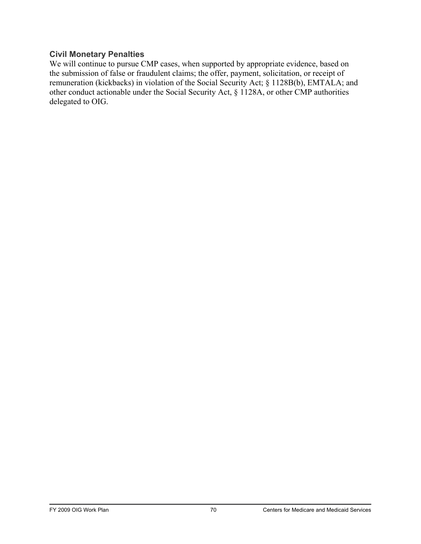#### **Civil Monetary Penalties**

We will continue to pursue CMP cases, when supported by appropriate evidence, based on the submission of false or fraudulent claims; the offer, payment, solicitation, or receipt of remuneration (kickbacks) in violation of the Social Security Act; § 1128B(b), EMTALA; and other conduct actionable under the Social Security Act, § 1128A, or other CMP authorities delegated to OIG.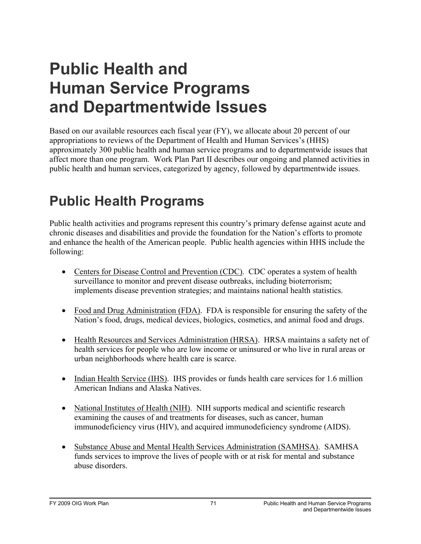# **Public Health and Human Service Programs and Departmentwide Issues**

Based on our available resources each fiscal year (FY), we allocate about 20 percent of our appropriations to reviews of the Department of Health and Human Services's (HHS) approximately 300 public health and human service programs and to departmentwide issues that affect more than one program. Work Plan Part II describes our ongoing and planned activities in public health and human services, categorized by agency, followed by departmentwide issues.

# **Public Health Programs**

Public health activities and programs represent this country's primary defense against acute and chronic diseases and disabilities and provide the foundation for the Nation's efforts to promote and enhance the health of the American people. Public health agencies within HHS include the following:

- Centers for Disease Control and Prevention (CDC). CDC operates a system of health surveillance to monitor and prevent disease outbreaks, including bioterrorism; implements disease prevention strategies; and maintains national health statistics.
- Food and Drug Administration (FDA). FDA is responsible for ensuring the safety of the Nation's food, drugs, medical devices, biologics, cosmetics, and animal food and drugs.
- Health Resources and Services Administration (HRSA). HRSA maintains a safety net of health services for people who are low income or uninsured or who live in rural areas or urban neighborhoods where health care is scarce.
- Indian Health Service (IHS). IHS provides or funds health care services for 1.6 million American Indians and Alaska Natives.
- National Institutes of Health (NIH). NIH supports medical and scientific research examining the causes of and treatments for diseases, such as cancer, human immunodeficiency virus (HIV), and acquired immunodeficiency syndrome (AIDS).
- Substance Abuse and Mental Health Services Administration (SAMHSA). SAMHSA funds services to improve the lives of people with or at risk for mental and substance abuse disorders.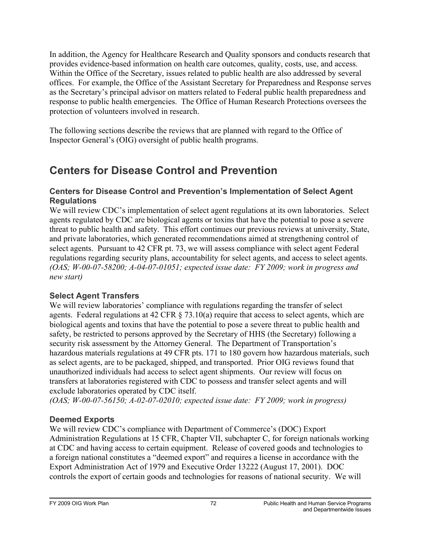In addition, the Agency for Healthcare Research and Quality sponsors and conducts research that provides evidence-based information on health care outcomes, quality, costs, use, and access. Within the Office of the Secretary, issues related to public health are also addressed by several offices. For example, the Office of the Assistant Secretary for Preparedness and Response serves as the Secretary's principal advisor on matters related to Federal public health preparedness and response to public health emergencies. The Office of Human Research Protections oversees the protection of volunteers involved in research.

The following sections describe the reviews that are planned with regard to the Office of Inspector General's (OIG) oversight of public health programs.

## **Centers for Disease Control and Prevention**

#### **Centers for Disease Control and Prevention's Implementation of Select Agent Regulations**

We will review CDC's implementation of select agent regulations at its own laboratories. Select agents regulated by CDC are biological agents or toxins that have the potential to pose a severe threat to public health and safety. This effort continues our previous reviews at university, State, and private laboratories, which generated recommendations aimed at strengthening control of select agents. Pursuant to 42 CFR pt. 73, we will assess compliance with select agent Federal regulations regarding security plans, accountability for select agents, and access to select agents. *(OAS; W-00-07-58200; A-04-07-01051; expected issue date: FY 2009; work in progress and new start)* 

## **Select Agent Transfers**

We will review laboratories' compliance with regulations regarding the transfer of select agents. Federal regulations at 42 CFR § 73.10(a) require that access to select agents, which are biological agents and toxins that have the potential to pose a severe threat to public health and safety, be restricted to persons approved by the Secretary of HHS (the Secretary) following a security risk assessment by the Attorney General. The Department of Transportation's hazardous materials regulations at 49 CFR pts. 171 to 180 govern how hazardous materials, such as select agents, are to be packaged, shipped, and transported. Prior OIG reviews found that unauthorized individuals had access to select agent shipments. Our review will focus on transfers at laboratories registered with CDC to possess and transfer select agents and will exclude laboratories operated by CDC itself.

*(OAS; W-00-07-56150; A-02-07-02010; expected issue date: FY 2009; work in progress)* 

## **Deemed Exports**

We will review CDC's compliance with Department of Commerce's (DOC) Export Administration Regulations at 15 CFR, Chapter VII, subchapter C, for foreign nationals working at CDC and having access to certain equipment. Release of covered goods and technologies to a foreign national constitutes a "deemed export" and requires a license in accordance with the Export Administration Act of 1979 and Executive Order 13222 (August 17, 2001). DOC controls the export of certain goods and technologies for reasons of national security. We will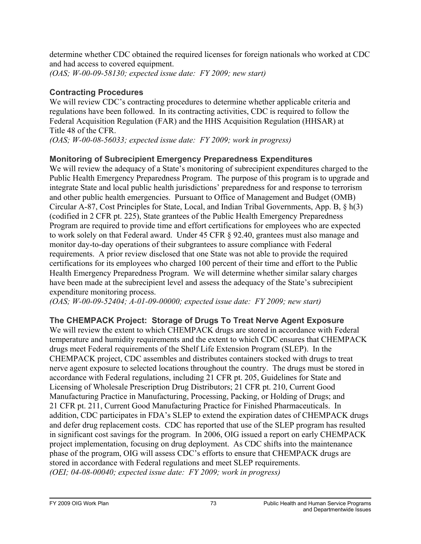determine whether CDC obtained the required licenses for foreign nationals who worked at CDC and had access to covered equipment. *(OAS; W-00-09-58130; expected issue date: FY 2009; new start)* 

#### **Contracting Procedures**

We will review CDC's contracting procedures to determine whether applicable criteria and regulations have been followed. In its contracting activities, CDC is required to follow the Federal Acquisition Regulation (FAR) and the HHS Acquisition Regulation (HHSAR) at Title 48 of the CFR.

*(OAS; W-00-08-56033; expected issue date: FY 2009; work in progress)* 

## **Monitoring of Subrecipient Emergency Preparedness Expenditures**

We will review the adequacy of a State's monitoring of subrecipient expenditures charged to the Public Health Emergency Preparedness Program. The purpose of this program is to upgrade and integrate State and local public health jurisdictions' preparedness for and response to terrorism and other public health emergencies. Pursuant to Office of Management and Budget (OMB) Circular A-87, Cost Principles for State, Local, and Indian Tribal Governments, App. B, § h(3) (codified in 2 CFR pt. 225), State grantees of the Public Health Emergency Preparedness Program are required to provide time and effort certifications for employees who are expected to work solely on that Federal award. Under 45 CFR § 92.40, grantees must also manage and monitor day-to-day operations of their subgrantees to assure compliance with Federal requirements. A prior review disclosed that one State was not able to provide the required certifications for its employees who charged 100 percent of their time and effort to the Public Health Emergency Preparedness Program. We will determine whether similar salary charges have been made at the subrecipient level and assess the adequacy of the State's subrecipient expenditure monitoring process.

*(OAS; W-00-09-52404; A-01-09-00000; expected issue date: FY 2009; new start)* 

## **The CHEMPACK Project: Storage of Drugs To Treat Nerve Agent Exposure**

We will review the extent to which CHEMPACK drugs are stored in accordance with Federal temperature and humidity requirements and the extent to which CDC ensures that CHEMPACK drugs meet Federal requirements of the Shelf Life Extension Program (SLEP). In the CHEMPACK project, CDC assembles and distributes containers stocked with drugs to treat nerve agent exposure to selected locations throughout the country. The drugs must be stored in accordance with Federal regulations, including 21 CFR pt. 205, Guidelines for State and Licensing of Wholesale Prescription Drug Distributors; 21 CFR pt. 210, Current Good Manufacturing Practice in Manufacturing, Processing, Packing, or Holding of Drugs; and 21 CFR pt. 211, Current Good Manufacturing Practice for Finished Pharmaceuticals. In addition, CDC participates in FDA's SLEP to extend the expiration dates of CHEMPACK drugs and defer drug replacement costs. CDC has reported that use of the SLEP program has resulted in significant cost savings for the program. In 2006, OIG issued a report on early CHEMPACK project implementation, focusing on drug deployment. As CDC shifts into the maintenance phase of the program, OIG will assess CDC's efforts to ensure that CHEMPACK drugs are stored in accordance with Federal regulations and meet SLEP requirements. *(OEI; 04-08-00040; expected issue date: FY 2009; work in progress)*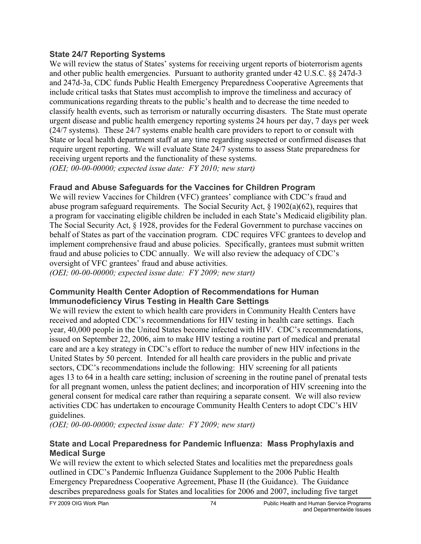#### **State 24/7 Reporting Systems**

We will review the status of States' systems for receiving urgent reports of bioterrorism agents and other public health emergencies. Pursuant to authority granted under 42 U.S.C. §§ 247d-3 and 247d-3a, CDC funds Public Health Emergency Preparedness Cooperative Agreements that include critical tasks that States must accomplish to improve the timeliness and accuracy of communications regarding threats to the public's health and to decrease the time needed to classify health events, such as terrorism or naturally occurring disasters. The State must operate urgent disease and public health emergency reporting systems 24 hours per day, 7 days per week (24/7 systems). These 24/7 systems enable health care providers to report to or consult with State or local health department staff at any time regarding suspected or confirmed diseases that require urgent reporting. We will evaluate State 24/7 systems to assess State preparedness for receiving urgent reports and the functionality of these systems. *(OEI; 00-00-00000; expected issue date: FY 2010; new start)* 

## **Fraud and Abuse Safeguards for the Vaccines for Children Program**

We will review Vaccines for Children (VFC) grantees' compliance with CDC's fraud and abuse program safeguard requirements. The Social Security Act, § 1902(a)(62), requires that a program for vaccinating eligible children be included in each State's Medicaid eligibility plan. The Social Security Act, § 1928, provides for the Federal Government to purchase vaccines on behalf of States as part of the vaccination program. CDC requires VFC grantees to develop and implement comprehensive fraud and abuse policies. Specifically, grantees must submit written fraud and abuse policies to CDC annually. We will also review the adequacy of CDC's oversight of VFC grantees' fraud and abuse activities.

*(OEI; 00-00-00000; expected issue date: FY 2009; new start)* 

#### **Community Health Center Adoption of Recommendations for Human Immunodeficiency Virus Testing in Health Care Settings**

We will review the extent to which health care providers in Community Health Centers have received and adopted CDC's recommendations for HIV testing in health care settings. Each year, 40,000 people in the United States become infected with HIV. CDC's recommendations, issued on September 22, 2006, aim to make HIV testing a routine part of medical and prenatal care and are a key strategy in CDC's effort to reduce the number of new HIV infections in the United States by 50 percent. Intended for all health care providers in the public and private sectors, CDC's recommendations include the following: HIV screening for all patients ages 13 to 64 in a health care setting; inclusion of screening in the routine panel of prenatal tests for all pregnant women, unless the patient declines; and incorporation of HIV screening into the general consent for medical care rather than requiring a separate consent. We will also review activities CDC has undertaken to encourage Community Health Centers to adopt CDC's HIV guidelines.

*(OEI; 00-00-00000; expected issue date: FY 2009; new start)* 

#### **State and Local Preparedness for Pandemic Influenza: Mass Prophylaxis and Medical Surge**

We will review the extent to which selected States and localities met the preparedness goals outlined in CDC's Pandemic Influenza Guidance Supplement to the 2006 Public Health Emergency Preparedness Cooperative Agreement, Phase II (the Guidance). The Guidance describes preparedness goals for States and localities for 2006 and 2007, including five target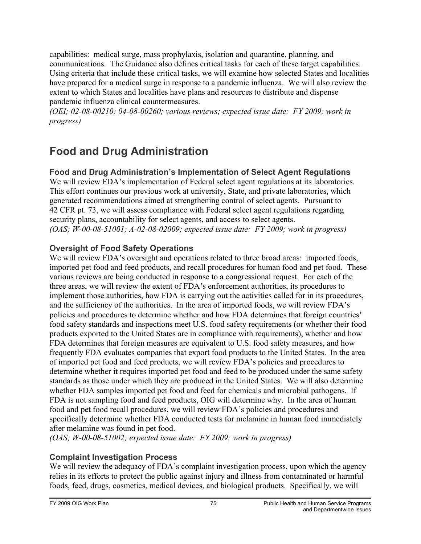capabilities: medical surge, mass prophylaxis, isolation and quarantine, planning, and communications. The Guidance also defines critical tasks for each of these target capabilities. Using criteria that include these critical tasks, we will examine how selected States and localities have prepared for a medical surge in response to a pandemic influenza. We will also review the extent to which States and localities have plans and resources to distribute and dispense pandemic influenza clinical countermeasures.

*(OEI; 02-08-00210; 04-08-00260; various reviews; expected issue date: FY 2009; work in progress)* 

## **Food and Drug Administration**

## **Food and Drug Administration's Implementation of Select Agent Regulations**

We will review FDA's implementation of Federal select agent regulations at its laboratories. This effort continues our previous work at university, State, and private laboratories, which generated recommendations aimed at strengthening control of select agents. Pursuant to 42 CFR pt. 73, we will assess compliance with Federal select agent regulations regarding security plans, accountability for select agents, and access to select agents. *(OAS; W-00-08-51001; A-02-08-02009; expected issue date: FY 2009; work in progress)* 

## **Oversight of Food Safety Operations**

We will review FDA's oversight and operations related to three broad areas: imported foods, imported pet food and feed products, and recall procedures for human food and pet food. These various reviews are being conducted in response to a congressional request. For each of the three areas, we will review the extent of FDA's enforcement authorities, its procedures to implement those authorities, how FDA is carrying out the activities called for in its procedures, and the sufficiency of the authorities. In the area of imported foods, we will review FDA's policies and procedures to determine whether and how FDA determines that foreign countries' food safety standards and inspections meet U.S. food safety requirements (or whether their food products exported to the United States are in compliance with requirements), whether and how FDA determines that foreign measures are equivalent to U.S. food safety measures, and how frequently FDA evaluates companies that export food products to the United States. In the area of imported pet food and feed products, we will review FDA's policies and procedures to determine whether it requires imported pet food and feed to be produced under the same safety standards as those under which they are produced in the United States. We will also determine whether FDA samples imported pet food and feed for chemicals and microbial pathogens. If FDA is not sampling food and feed products, OIG will determine why. In the area of human food and pet food recall procedures, we will review FDA's policies and procedures and specifically determine whether FDA conducted tests for melamine in human food immediately after melamine was found in pet food.

*(OAS; W-00-08-51002; expected issue date: FY 2009; work in progress)* 

## **Complaint Investigation Process**

We will review the adequacy of FDA's complaint investigation process, upon which the agency relies in its efforts to protect the public against injury and illness from contaminated or harmful foods, feed, drugs, cosmetics, medical devices, and biological products. Specifically, we will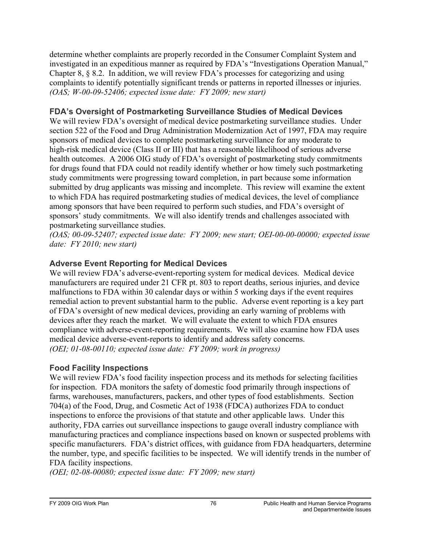determine whether complaints are properly recorded in the Consumer Complaint System and investigated in an expeditious manner as required by FDA's "Investigations Operation Manual," Chapter 8, § 8.2. In addition, we will review FDA's processes for categorizing and using complaints to identify potentially significant trends or patterns in reported illnesses or injuries. *(OAS; W-00-09-52406; expected issue date: FY 2009; new start)* 

#### **FDA's Oversight of Postmarketing Surveillance Studies of Medical Devices**

We will review FDA's oversight of medical device postmarketing surveillance studies. Under section 522 of the Food and Drug Administration Modernization Act of 1997, FDA may require sponsors of medical devices to complete postmarketing surveillance for any moderate to high-risk medical device (Class II or III) that has a reasonable likelihood of serious adverse health outcomes. A 2006 OIG study of FDA's oversight of postmarketing study commitments for drugs found that FDA could not readily identify whether or how timely such postmarketing study commitments were progressing toward completion, in part because some information submitted by drug applicants was missing and incomplete. This review will examine the extent to which FDA has required postmarketing studies of medical devices, the level of compliance among sponsors that have been required to perform such studies, and FDA's oversight of sponsors' study commitments. We will also identify trends and challenges associated with postmarketing surveillance studies.

*(OAS; 00-09-52407; expected issue date: FY 2009; new start; OEI-00-00-00000; expected issue date: FY 2010; new start)* 

#### **Adverse Event Reporting for Medical Devices**

We will review FDA's adverse-event-reporting system for medical devices. Medical device manufacturers are required under 21 CFR pt. 803 to report deaths, serious injuries, and device malfunctions to FDA within 30 calendar days or within 5 working days if the event requires remedial action to prevent substantial harm to the public. Adverse event reporting is a key part of FDA's oversight of new medical devices, providing an early warning of problems with devices after they reach the market. We will evaluate the extent to which FDA ensures compliance with adverse-event-reporting requirements. We will also examine how FDA uses medical device adverse-event-reports to identify and address safety concerns. *(OEI; 01-08-00110; expected issue date: FY 2009; work in progress)* 

#### **Food Facility Inspections**

We will review FDA's food facility inspection process and its methods for selecting facilities for inspection. FDA monitors the safety of domestic food primarily through inspections of farms, warehouses, manufacturers, packers, and other types of food establishments. Section 704(a) of the Food, Drug, and Cosmetic Act of 1938 (FDCA) authorizes FDA to conduct inspections to enforce the provisions of that statute and other applicable laws. Under this authority, FDA carries out surveillance inspections to gauge overall industry compliance with manufacturing practices and compliance inspections based on known or suspected problems with specific manufacturers. FDA's district offices, with guidance from FDA headquarters, determine the number, type, and specific facilities to be inspected. We will identify trends in the number of FDA facility inspections.

*(OEI; 02-08-00080; expected issue date: FY 2009; new start)*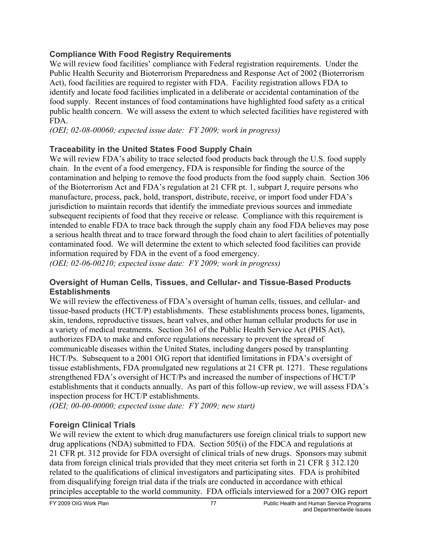## **Compliance With Food Registry Requirements**

We will review food facilities' compliance with Federal registration requirements. Under the Public Health Security and Bioterrorism Preparedness and Response Act of 2002 (Bioterrorism Act), food facilities are required to register with FDA. Facility registration allows FDA to identify and locate food facilities implicated in a deliberate or accidental contamination of the food supply. Recent instances of food contaminations have highlighted food safety as a critical public health concern. We will assess the extent to which selected facilities have registered with FDA.

*(OEI; 02-08-00060; expected issue date: FY 2009; work in progress)* 

## **Traceability in the United States Food Supply Chain**

We will review FDA's ability to trace selected food products back through the U.S. food supply chain. In the event of a food emergency, FDA is responsible for finding the source of the contamination and helping to remove the food products from the food supply chain. Section 306 of the Bioterrorism Act and FDA's regulation at 21 CFR pt. 1, subpart J, require persons who manufacture, process, pack, hold, transport, distribute, receive, or import food under FDA's jurisdiction to maintain records that identify the immediate previous sources and immediate subsequent recipients of food that they receive or release. Compliance with this requirement is intended to enable FDA to trace back through the supply chain any food FDA believes may pose a serious health threat and to trace forward through the food chain to alert facilities of potentially contaminated food. We will determine the extent to which selected food facilities can provide information required by FDA in the event of a food emergency.

*(OEI; 02-06-00210; expected issue date: FY 2009; work in progress)* 

#### **Oversight of Human Cells, Tissues, and Cellular- and Tissue-Based Products Establishments**

We will review the effectiveness of FDA's oversight of human cells, tissues, and cellular- and tissue-based products (HCT/P) establishments. These establishments process bones, ligaments, skin, tendons, reproductive tissues, heart valves, and other human cellular products for use in a variety of medical treatments. Section 361 of the Public Health Service Act (PHS Act), authorizes FDA to make and enforce regulations necessary to prevent the spread of communicable diseases within the United States, including dangers posed by transplanting HCT/Ps. Subsequent to a 2001 OIG report that identified limitations in FDA's oversight of tissue establishments, FDA promulgated new regulations at 21 CFR pt. 1271. These regulations strengthened FDA's oversight of HCT/Ps and increased the number of inspections of HCT/P establishments that it conducts annually. As part of this follow-up review, we will assess FDA's inspection process for HCT/P establishments.

*(OEI; 00-00-00000; expected issue date: FY 2009; new start)* 

## **Foreign Clinical Trials**

We will review the extent to which drug manufacturers use foreign clinical trials to support new drug applications (NDA) submitted to FDA. Section 505(i) of the FDCA and regulations at 21 CFR pt. 312 provide for FDA oversight of clinical trials of new drugs. Sponsors may submit data from foreign clinical trials provided that they meet criteria set forth in 21 CFR § 312.120 related to the qualifications of clinical investigators and participating sites. FDA is prohibited from disqualifying foreign trial data if the trials are conducted in accordance with ethical principles acceptable to the world community. FDA officials interviewed for a 2007 OIG report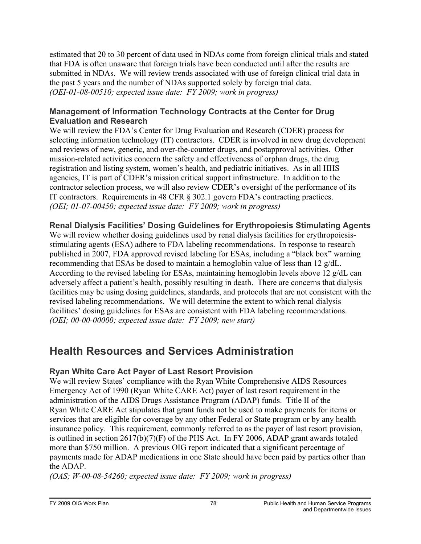estimated that 20 to 30 percent of data used in NDAs come from foreign clinical trials and stated that FDA is often unaware that foreign trials have been conducted until after the results are submitted in NDAs. We will review trends associated with use of foreign clinical trial data in the past 5 years and the number of NDAs supported solely by foreign trial data. *(OEI-01-08-00510; expected issue date: FY 2009; work in progress)* 

#### **Management of Information Technology Contracts at the Center for Drug Evaluation and Research**

We will review the FDA's Center for Drug Evaluation and Research (CDER) process for selecting information technology (IT) contractors. CDER is involved in new drug development and reviews of new, generic, and over-the-counter drugs, and postapproval activities. Other mission-related activities concern the safety and effectiveness of orphan drugs, the drug registration and listing system, women's health, and pediatric initiatives. As in all HHS agencies, IT is part of CDER's mission critical support infrastructure. In addition to the contractor selection process, we will also review CDER's oversight of the performance of its IT contractors. Requirements in 48 CFR § 302.1 govern FDA's contracting practices. *(OEI; 01-07-00450; expected issue date: FY 2009; work in progress)* 

## **Renal Dialysis Facilities' Dosing Guidelines for Erythropoiesis Stimulating Agents**

We will review whether dosing guidelines used by renal dialysis facilities for erythropoiesisstimulating agents (ESA) adhere to FDA labeling recommendations. In response to research published in 2007, FDA approved revised labeling for ESAs, including a "black box" warning recommending that ESAs be dosed to maintain a hemoglobin value of less than 12 g/dL. According to the revised labeling for ESAs, maintaining hemoglobin levels above 12 g/dL can adversely affect a patient's health, possibly resulting in death. There are concerns that dialysis facilities may be using dosing guidelines, standards, and protocols that are not consistent with the revised labeling recommendations. We will determine the extent to which renal dialysis facilities' dosing guidelines for ESAs are consistent with FDA labeling recommendations. *(OEI; 00-00-00000; expected issue date: FY 2009; new start)* 

## **Health Resources and Services Administration**

## **Ryan White Care Act Payer of Last Resort Provision**

We will review States' compliance with the Ryan White Comprehensive AIDS Resources Emergency Act of 1990 (Ryan White CARE Act) payer of last resort requirement in the administration of the AIDS Drugs Assistance Program (ADAP) funds. Title II of the Ryan White CARE Act stipulates that grant funds not be used to make payments for items or services that are eligible for coverage by any other Federal or State program or by any health insurance policy. This requirement, commonly referred to as the payer of last resort provision, is outlined in section 2617(b)(7)(F) of the PHS Act. In FY 2006, ADAP grant awards totaled more than \$750 million. A previous OIG report indicated that a significant percentage of payments made for ADAP medications in one State should have been paid by parties other than the ADAP.

*(OAS; W-00-08-54260; expected issue date: FY 2009; work in progress)*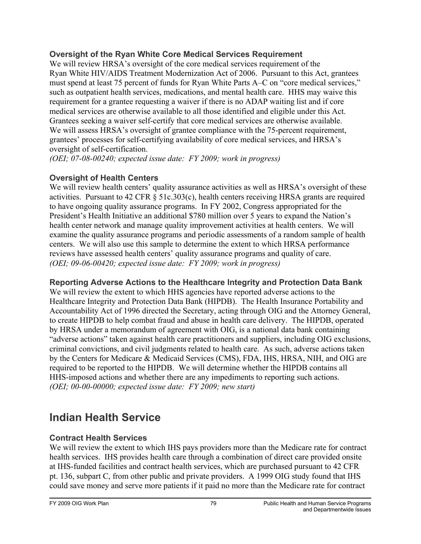## **Oversight of the Ryan White Core Medical Services Requirement**

We will review HRSA's oversight of the core medical services requirement of the Ryan White HIV/AIDS Treatment Modernization Act of 2006. Pursuant to this Act, grantees must spend at least 75 percent of funds for Ryan White Parts A–C on "core medical services," such as outpatient health services, medications, and mental health care. HHS may waive this requirement for a grantee requesting a waiver if there is no ADAP waiting list and if core medical services are otherwise available to all those identified and eligible under this Act. Grantees seeking a waiver self-certify that core medical services are otherwise available. We will assess HRSA's oversight of grantee compliance with the 75-percent requirement, grantees' processes for self-certifying availability of core medical services, and HRSA's oversight of self-certification.

*(OEI; 07-08-00240; expected issue date: FY 2009; work in progress)* 

## **Oversight of Health Centers**

We will review health centers' quality assurance activities as well as HRSA's oversight of these activities. Pursuant to 42 CFR § 51c.303(c), health centers receiving HRSA grants are required to have ongoing quality assurance programs. In FY 2002, Congress appropriated for the President's Health Initiative an additional \$780 million over 5 years to expand the Nation's health center network and manage quality improvement activities at health centers. We will examine the quality assurance programs and periodic assessments of a random sample of health centers. We will also use this sample to determine the extent to which HRSA performance reviews have assessed health centers' quality assurance programs and quality of care. *(OEI; 09-06-00420; expected issue date: FY 2009; work in progress)* 

## **Reporting Adverse Actions to the Healthcare Integrity and Protection Data Bank**

We will review the extent to which HHS agencies have reported adverse actions to the Healthcare Integrity and Protection Data Bank (HIPDB). The Health Insurance Portability and Accountability Act of 1996 directed the Secretary, acting through OIG and the Attorney General, to create HIPDB to help combat fraud and abuse in health care delivery. The HIPDB, operated by HRSA under a memorandum of agreement with OIG, is a national data bank containing "adverse actions" taken against health care practitioners and suppliers, including OIG exclusions, criminal convictions, and civil judgments related to health care. As such, adverse actions taken by the Centers for Medicare & Medicaid Services (CMS), FDA, IHS, HRSA, NIH, and OIG are required to be reported to the HIPDB. We will determine whether the HIPDB contains all HHS-imposed actions and whether there are any impediments to reporting such actions. *(OEI; 00-00-00000; expected issue date: FY 2009; new start)* 

## **Indian Health Service**

## **Contract Health Services**

We will review the extent to which IHS pays providers more than the Medicare rate for contract health services. IHS provides health care through a combination of direct care provided onsite at IHS-funded facilities and contract health services, which are purchased pursuant to 42 CFR pt. 136, subpart C, from other public and private providers. A 1999 OIG study found that IHS could save money and serve more patients if it paid no more than the Medicare rate for contract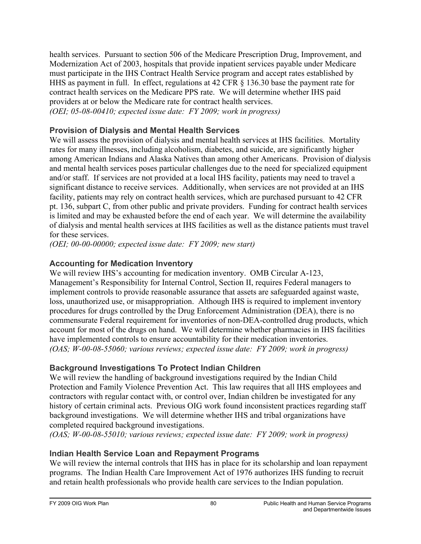health services. Pursuant to section 506 of the Medicare Prescription Drug, Improvement, and Modernization Act of 2003, hospitals that provide inpatient services payable under Medicare must participate in the IHS Contract Health Service program and accept rates established by HHS as payment in full. In effect, regulations at 42 CFR § 136.30 base the payment rate for contract health services on the Medicare PPS rate. We will determine whether IHS paid providers at or below the Medicare rate for contract health services. *(OEI; 05-08-00410; expected issue date: FY 2009; work in progress)* 

## **Provision of Dialysis and Mental Health Services**

We will assess the provision of dialysis and mental health services at IHS facilities. Mortality rates for many illnesses, including alcoholism, diabetes, and suicide, are significantly higher among American Indians and Alaska Natives than among other Americans. Provision of dialysis and mental health services poses particular challenges due to the need for specialized equipment and/or staff. If services are not provided at a local IHS facility, patients may need to travel a significant distance to receive services. Additionally, when services are not provided at an IHS facility, patients may rely on contract health services, which are purchased pursuant to 42 CFR pt. 136, subpart C, from other public and private providers. Funding for contract health services is limited and may be exhausted before the end of each year. We will determine the availability of dialysis and mental health services at IHS facilities as well as the distance patients must travel for these services.

*(OEI; 00-00-00000; expected issue date: FY 2009; new start)* 

## **Accounting for Medication Inventory**

We will review IHS's accounting for medication inventory. OMB Circular A-123, Management's Responsibility for Internal Control, Section II, requires Federal managers to implement controls to provide reasonable assurance that assets are safeguarded against waste, loss, unauthorized use, or misappropriation. Although IHS is required to implement inventory procedures for drugs controlled by the Drug Enforcement Administration (DEA), there is no commensurate Federal requirement for inventories of non-DEA-controlled drug products, which account for most of the drugs on hand. We will determine whether pharmacies in IHS facilities have implemented controls to ensure accountability for their medication inventories. *(OAS; W-00-08-55060; various reviews; expected issue date: FY 2009; work in progress)* 

## **Background Investigations To Protect Indian Children**

We will review the handling of background investigations required by the Indian Child Protection and Family Violence Prevention Act. This law requires that all IHS employees and contractors with regular contact with, or control over, Indian children be investigated for any history of certain criminal acts. Previous OIG work found inconsistent practices regarding staff background investigations. We will determine whether IHS and tribal organizations have completed required background investigations.

*(OAS; W-00-08-55010; various reviews; expected issue date: FY 2009; work in progress)* 

## **Indian Health Service Loan and Repayment Programs**

We will review the internal controls that IHS has in place for its scholarship and loan repayment programs. The Indian Health Care Improvement Act of 1976 authorizes IHS funding to recruit and retain health professionals who provide health care services to the Indian population.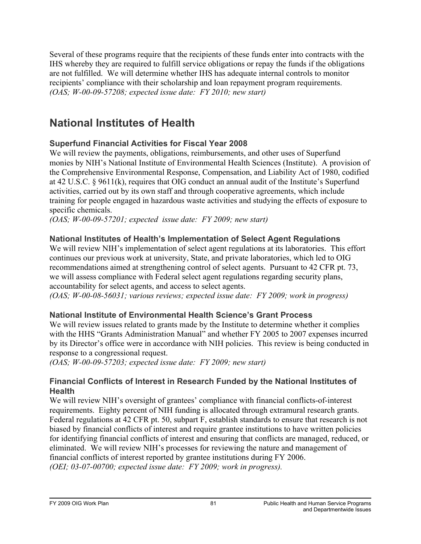Several of these programs require that the recipients of these funds enter into contracts with the IHS whereby they are required to fulfill service obligations or repay the funds if the obligations are not fulfilled. We will determine whether IHS has adequate internal controls to monitor recipients' compliance with their scholarship and loan repayment program requirements. *(OAS; W-00-09-57208; expected issue date: FY 2010; new start)* 

## **National Institutes of Health**

## **Superfund Financial Activities for Fiscal Year 2008**

We will review the payments, obligations, reimbursements, and other uses of Superfund monies by NIH's National Institute of Environmental Health Sciences (Institute). A provision of the Comprehensive Environmental Response, Compensation, and Liability Act of 1980, codified at 42 U.S.C. § 9611(k), requires that OIG conduct an annual audit of the Institute's Superfund activities, carried out by its own staff and through cooperative agreements, which include training for people engaged in hazardous waste activities and studying the effects of exposure to specific chemicals.

*(OAS; W-00-09-57201; expected issue date: FY 2009; new start)* 

## **National Institutes of Health's Implementation of Select Agent Regulations**

We will review NIH's implementation of select agent regulations at its laboratories. This effort continues our previous work at university, State, and private laboratories, which led to OIG recommendations aimed at strengthening control of select agents. Pursuant to 42 CFR pt. 73, we will assess compliance with Federal select agent regulations regarding security plans, accountability for select agents, and access to select agents.

*(OAS; W-00-08-56031; various reviews; expected issue date: FY 2009; work in progress)* 

## **National Institute of Environmental Health Science's Grant Process**

We will review issues related to grants made by the Institute to determine whether it complies with the HHS "Grants Administration Manual" and whether FY 2005 to 2007 expenses incurred by its Director's office were in accordance with NIH policies. This review is being conducted in response to a congressional request.

*(OAS; W-00-09-57203; expected issue date: FY 2009; new start)* 

## **Financial Conflicts of Interest in Research Funded by the National Institutes of Health**

We will review NIH's oversight of grantees' compliance with financial conflicts-of-interest requirements. Eighty percent of NIH funding is allocated through extramural research grants. Federal regulations at 42 CFR pt. 50, subpart F, establish standards to ensure that research is not biased by financial conflicts of interest and require grantee institutions to have written policies for identifying financial conflicts of interest and ensuring that conflicts are managed, reduced, or eliminated. We will review NIH's processes for reviewing the nature and management of financial conflicts of interest reported by grantee institutions during FY 2006. *(OEI; 03-07-00700; expected issue date: FY 2009; work in progress).*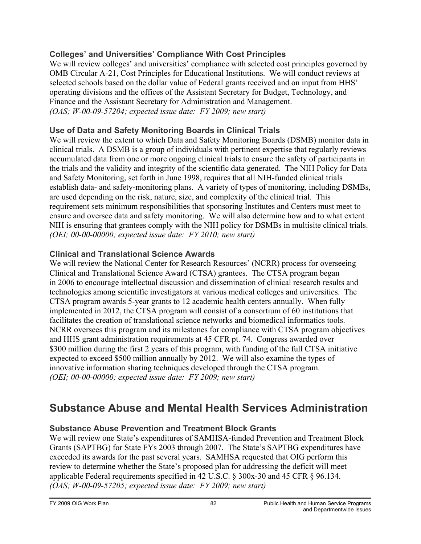## **Colleges' and Universities' Compliance With Cost Principles**

We will review colleges' and universities' compliance with selected cost principles governed by OMB Circular A-21, Cost Principles for Educational Institutions. We will conduct reviews at selected schools based on the dollar value of Federal grants received and on input from HHS' operating divisions and the offices of the Assistant Secretary for Budget, Technology, and Finance and the Assistant Secretary for Administration and Management. *(OAS; W-00-09-57204; expected issue date: FY 2009; new start)* 

## **Use of Data and Safety Monitoring Boards in Clinical Trials**

We will review the extent to which Data and Safety Monitoring Boards (DSMB) monitor data in clinical trials. A DSMB is a group of individuals with pertinent expertise that regularly reviews accumulated data from one or more ongoing clinical trials to ensure the safety of participants in the trials and the validity and integrity of the scientific data generated. The NIH Policy for Data and Safety Monitoring, set forth in June 1998, requires that all NIH-funded clinical trials establish data- and safety-monitoring plans. A variety of types of monitoring, including DSMBs, are used depending on the risk, nature, size, and complexity of the clinical trial. This requirement sets minimum responsibilities that sponsoring Institutes and Centers must meet to ensure and oversee data and safety monitoring. We will also determine how and to what extent NIH is ensuring that grantees comply with the NIH policy for DSMBs in multisite clinical trials. *(OEI; 00-00-00000; expected issue date: FY 2010; new start)* 

## **Clinical and Translational Science Awards**

We will review the National Center for Research Resources' (NCRR) process for overseeing Clinical and Translational Science Award (CTSA) grantees. The CTSA program began in 2006 to encourage intellectual discussion and dissemination of clinical research results and technologies among scientific investigators at various medical colleges and universities. The CTSA program awards 5-year grants to 12 academic health centers annually. When fully implemented in 2012, the CTSA program will consist of a consortium of 60 institutions that facilitates the creation of translational science networks and biomedical informatics tools. NCRR oversees this program and its milestones for compliance with CTSA program objectives and HHS grant administration requirements at 45 CFR pt. 74. Congress awarded over \$300 million during the first 2 years of this program, with funding of the full CTSA initiative expected to exceed \$500 million annually by 2012. We will also examine the types of innovative information sharing techniques developed through the CTSA program. *(OEI; 00-00-00000; expected issue date: FY 2009; new start)* 

## **Substance Abuse and Mental Health Services Administration**

## **Substance Abuse Prevention and Treatment Block Grants**

We will review one State's expenditures of SAMHSA-funded Prevention and Treatment Block Grants (SAPTBG) for State FYs 2003 through 2007. The State's SAPTBG expenditures have exceeded its awards for the past several years. SAMHSA requested that OIG perform this review to determine whether the State's proposed plan for addressing the deficit will meet applicable Federal requirements specified in 42 U.S.C. § 300x-30 and 45 CFR § 96.134. *(OAS; W-00-09-57205; expected issue date: FY 2009; new start)*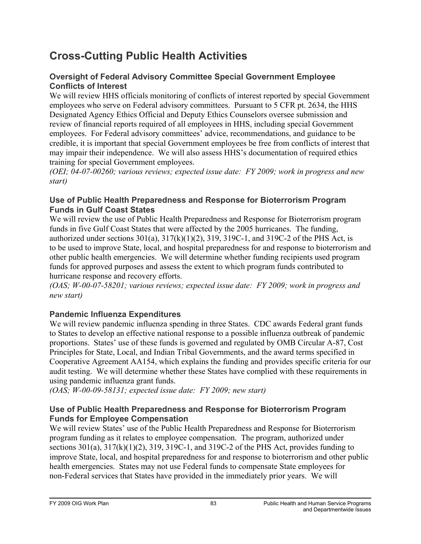## **Cross-Cutting Public Health Activities**

## **Oversight of Federal Advisory Committee Special Government Employee Conflicts of Interest**

We will review HHS officials monitoring of conflicts of interest reported by special Government employees who serve on Federal advisory committees. Pursuant to 5 CFR pt. 2634, the HHS Designated Agency Ethics Official and Deputy Ethics Counselors oversee submission and review of financial reports required of all employees in HHS, including special Government employees. For Federal advisory committees' advice, recommendations, and guidance to be credible, it is important that special Government employees be free from conflicts of interest that may impair their independence. We will also assess HHS's documentation of required ethics training for special Government employees.

*(OEI; 04-07-00260; various reviews; expected issue date: FY 2009; work in progress and new start)* 

#### **Use of Public Health Preparedness and Response for Bioterrorism Program Funds in Gulf Coast States**

We will review the use of Public Health Preparedness and Response for Bioterrorism program funds in five Gulf Coast States that were affected by the 2005 hurricanes. The funding, authorized under sections  $301(a)$ ,  $317(k)(1)(2)$ ,  $319$ ,  $319C-1$ , and  $319C-2$  of the PHS Act, is to be used to improve State, local, and hospital preparedness for and response to bioterrorism and other public health emergencies. We will determine whether funding recipients used program funds for approved purposes and assess the extent to which program funds contributed to hurricane response and recovery efforts.

*(OAS; W-00-07-58201; various reviews; expected issue date: FY 2009; work in progress and new start)* 

## **Pandemic Influenza Expenditures**

We will review pandemic influenza spending in three States. CDC awards Federal grant funds to States to develop an effective national response to a possible influenza outbreak of pandemic proportions. States' use of these funds is governed and regulated by OMB Circular A-87, Cost Principles for State, Local, and Indian Tribal Governments, and the award terms specified in Cooperative Agreement AA154, which explains the funding and provides specific criteria for our audit testing. We will determine whether these States have complied with these requirements in using pandemic influenza grant funds.

*(OAS; W-00-09-58131; expected issue date: FY 2009; new start)* 

## **Use of Public Health Preparedness and Response for Bioterrorism Program Funds for Employee Compensation**

We will review States' use of the Public Health Preparedness and Response for Bioterrorism program funding as it relates to employee compensation. The program, authorized under sections  $301(a)$ ,  $317(k)(1)(2)$ ,  $319$ ,  $319C-1$ , and  $319C-2$  of the PHS Act, provides funding to improve State, local, and hospital preparedness for and response to bioterrorism and other public health emergencies. States may not use Federal funds to compensate State employees for non-Federal services that States have provided in the immediately prior years. We will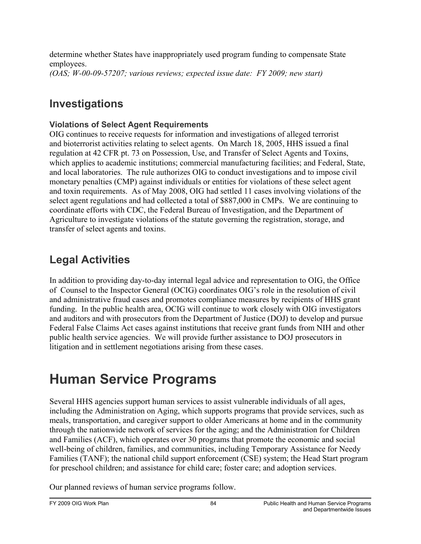determine whether States have inappropriately used program funding to compensate State employees. *(OAS; W-00-09-57207; various reviews; expected issue date: FY 2009; new start)* 

## **Investigations**

## **Violations of Select Agent Requirements**

OIG continues to receive requests for information and investigations of alleged terrorist and bioterrorist activities relating to select agents. On March 18, 2005, HHS issued a final regulation at 42 CFR pt. 73 on Possession, Use, and Transfer of Select Agents and Toxins, which applies to academic institutions; commercial manufacturing facilities; and Federal, State, and local laboratories. The rule authorizes OIG to conduct investigations and to impose civil monetary penalties (CMP) against individuals or entities for violations of these select agent and toxin requirements. As of May 2008, OIG had settled 11 cases involving violations of the select agent regulations and had collected a total of \$887,000 in CMPs. We are continuing to coordinate efforts with CDC, the Federal Bureau of Investigation, and the Department of Agriculture to investigate violations of the statute governing the registration, storage, and transfer of select agents and toxins.

## **Legal Activities**

In addition to providing day-to-day internal legal advice and representation to OIG, the Office of Counsel to the Inspector General (OCIG) coordinates OIG's role in the resolution of civil and administrative fraud cases and promotes compliance measures by recipients of HHS grant funding. In the public health area, OCIG will continue to work closely with OIG investigators and auditors and with prosecutors from the Department of Justice (DOJ) to develop and pursue Federal False Claims Act cases against institutions that receive grant funds from NIH and other public health service agencies. We will provide further assistance to DOJ prosecutors in litigation and in settlement negotiations arising from these cases.

# **Human Service Programs**

Several HHS agencies support human services to assist vulnerable individuals of all ages, including the Administration on Aging, which supports programs that provide services, such as meals, transportation, and caregiver support to older Americans at home and in the community through the nationwide network of services for the aging; and the Administration for Children and Families (ACF), which operates over 30 programs that promote the economic and social well-being of children, families, and communities, including Temporary Assistance for Needy Families (TANF); the national child support enforcement (CSE) system; the Head Start program for preschool children; and assistance for child care; foster care; and adoption services.

Our planned reviews of human service programs follow.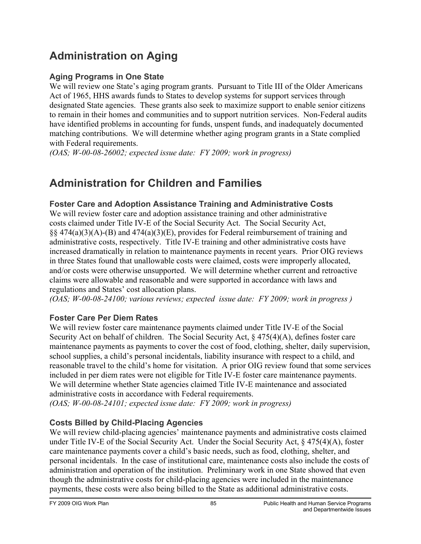## **Administration on Aging**

## **Aging Programs in One State**

We will review one State's aging program grants. Pursuant to Title III of the Older Americans Act of 1965, HHS awards funds to States to develop systems for support services through designated State agencies. These grants also seek to maximize support to enable senior citizens to remain in their homes and communities and to support nutrition services. Non-Federal audits have identified problems in accounting for funds, unspent funds, and inadequately documented matching contributions. We will determine whether aging program grants in a State complied with Federal requirements.

*(OAS; W-00-08-26002; expected issue date: FY 2009; work in progress)* 

## **Administration for Children and Families**

## **Foster Care and Adoption Assistance Training and Administrative Costs**

We will review foster care and adoption assistance training and other administrative costs claimed under Title IV-E of the Social Security Act. The Social Security Act,  $\S$ § 474(a)(3)(A)-(B) and 474(a)(3)(E), provides for Federal reimbursement of training and administrative costs, respectively. Title IV-E training and other administrative costs have increased dramatically in relation to maintenance payments in recent years. Prior OIG reviews in three States found that unallowable costs were claimed, costs were improperly allocated, and/or costs were otherwise unsupported. We will determine whether current and retroactive claims were allowable and reasonable and were supported in accordance with laws and regulations and States' cost allocation plans.

*(OAS; W-00-08-24100; various reviews; expected issue date: FY 2009; work in progress )* 

## **Foster Care Per Diem Rates**

We will review foster care maintenance payments claimed under Title IV-E of the Social Security Act on behalf of children. The Social Security Act, § 475(4)(A), defines foster care maintenance payments as payments to cover the cost of food, clothing, shelter, daily supervision, school supplies, a child's personal incidentals, liability insurance with respect to a child, and reasonable travel to the child's home for visitation. A prior OIG review found that some services included in per diem rates were not eligible for Title IV-E foster care maintenance payments. We will determine whether State agencies claimed Title IV-E maintenance and associated administrative costs in accordance with Federal requirements.

*(OAS; W-00-08-24101; expected issue date: FY 2009; work in progress)* 

## **Costs Billed by Child-Placing Agencies**

We will review child-placing agencies' maintenance payments and administrative costs claimed under Title IV-E of the Social Security Act. Under the Social Security Act, § 475(4)(A), foster care maintenance payments cover a child's basic needs, such as food, clothing, shelter, and personal incidentals. In the case of institutional care, maintenance costs also include the costs of administration and operation of the institution. Preliminary work in one State showed that even though the administrative costs for child-placing agencies were included in the maintenance payments, these costs were also being billed to the State as additional administrative costs.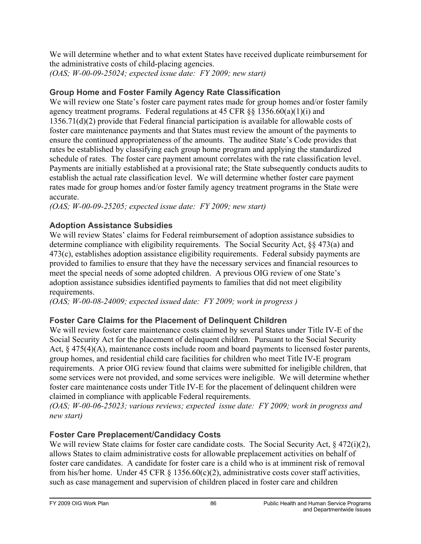We will determine whether and to what extent States have received duplicate reimbursement for the administrative costs of child-placing agencies.

*(OAS; W-00-09-25024; expected issue date: FY 2009; new start)* 

## **Group Home and Foster Family Agency Rate Classification**

We will review one State's foster care payment rates made for group homes and/or foster family agency treatment programs. Federal regulations at 45 CFR §§ 1356.60(a)(1)(i) and 1356.71(d)(2) provide that Federal financial participation is available for allowable costs of foster care maintenance payments and that States must review the amount of the payments to ensure the continued appropriateness of the amounts. The auditee State's Code provides that rates be established by classifying each group home program and applying the standardized schedule of rates. The foster care payment amount correlates with the rate classification level. Payments are initially established at a provisional rate; the State subsequently conducts audits to establish the actual rate classification level. We will determine whether foster care payment rates made for group homes and/or foster family agency treatment programs in the State were accurate.

*(OAS; W-00-09-25205; expected issue date: FY 2009; new start)* 

## **Adoption Assistance Subsidies**

We will review States' claims for Federal reimbursement of adoption assistance subsidies to determine compliance with eligibility requirements. The Social Security Act, §§ 473(a) and 473(c), establishes adoption assistance eligibility requirements. Federal subsidy payments are provided to families to ensure that they have the necessary services and financial resources to meet the special needs of some adopted children. A previous OIG review of one State's adoption assistance subsidies identified payments to families that did not meet eligibility requirements.

*(OAS; W-00-08-24009; expected issued date: FY 2009; work in progress )* 

## **Foster Care Claims for the Placement of Delinquent Children**

We will review foster care maintenance costs claimed by several States under Title IV-E of the Social Security Act for the placement of delinquent children. Pursuant to the Social Security Act,  $\S 475(4)(A)$ , maintenance costs include room and board payments to licensed foster parents, group homes, and residential child care facilities for children who meet Title IV-E program requirements. A prior OIG review found that claims were submitted for ineligible children, that some services were not provided, and some services were ineligible. We will determine whether foster care maintenance costs under Title IV-E for the placement of delinquent children were claimed in compliance with applicable Federal requirements.

*(OAS; W-00-06-25023; various reviews; expected issue date: FY 2009; work in progress and new start)* 

## **Foster Care Preplacement/Candidacy Costs**

We will review State claims for foster care candidate costs. The Social Security Act,  $\frac{8472(i)(2)}{2}$ , allows States to claim administrative costs for allowable preplacement activities on behalf of foster care candidates. A candidate for foster care is a child who is at imminent risk of removal from his/her home. Under 45 CFR § 1356.60(c)(2), administrative costs cover staff activities, such as case management and supervision of children placed in foster care and children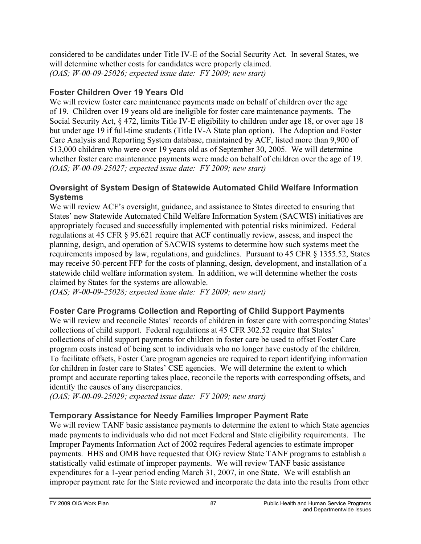considered to be candidates under Title IV-E of the Social Security Act. In several States, we will determine whether costs for candidates were properly claimed. *(OAS; W-00-09-25026; expected issue date: FY 2009; new start)* 

## **Foster Children Over 19 Years Old**

We will review foster care maintenance payments made on behalf of children over the age of 19. Children over 19 years old are ineligible for foster care maintenance payments. The Social Security Act, § 472, limits Title IV-E eligibility to children under age 18, or over age 18 but under age 19 if full-time students (Title IV-A State plan option). The Adoption and Foster Care Analysis and Reporting System database, maintained by ACF, listed more than 9,900 of 513,000 children who were over 19 years old as of September 30, 2005. We will determine whether foster care maintenance payments were made on behalf of children over the age of 19. *(OAS; W-00-09-25027; expected issue date: FY 2009; new start)* 

#### **Oversight of System Design of Statewide Automated Child Welfare Information Systems**

We will review ACF's oversight, guidance, and assistance to States directed to ensuring that States' new Statewide Automated Child Welfare Information System (SACWIS) initiatives are appropriately focused and successfully implemented with potential risks minimized. Federal regulations at 45 CFR § 95.621 require that ACF continually review, assess, and inspect the planning, design, and operation of SACWIS systems to determine how such systems meet the requirements imposed by law, regulations, and guidelines. Pursuant to 45 CFR § 1355.52, States may receive 50-percent FFP for the costs of planning, design, development, and installation of a statewide child welfare information system. In addition, we will determine whether the costs claimed by States for the systems are allowable.

*(OAS; W-00-09-25028; expected issue date: FY 2009; new start)* 

## **Foster Care Programs Collection and Reporting of Child Support Payments**

We will review and reconcile States' records of children in foster care with corresponding States' collections of child support. Federal regulations at 45 CFR 302.52 require that States' collections of child support payments for children in foster care be used to offset Foster Care program costs instead of being sent to individuals who no longer have custody of the children. To facilitate offsets, Foster Care program agencies are required to report identifying information for children in foster care to States' CSE agencies. We will determine the extent to which prompt and accurate reporting takes place, reconcile the reports with corresponding offsets, and identify the causes of any discrepancies.

*(OAS; W-00-09-25029; expected issue date: FY 2009; new start)* 

## **Temporary Assistance for Needy Families Improper Payment Rate**

We will review TANF basic assistance payments to determine the extent to which State agencies made payments to individuals who did not meet Federal and State eligibility requirements. The Improper Payments Information Act of 2002 requires Federal agencies to estimate improper payments. HHS and OMB have requested that OIG review State TANF programs to establish a statistically valid estimate of improper payments. We will review TANF basic assistance expenditures for a 1-year period ending March 31, 2007, in one State. We will establish an improper payment rate for the State reviewed and incorporate the data into the results from other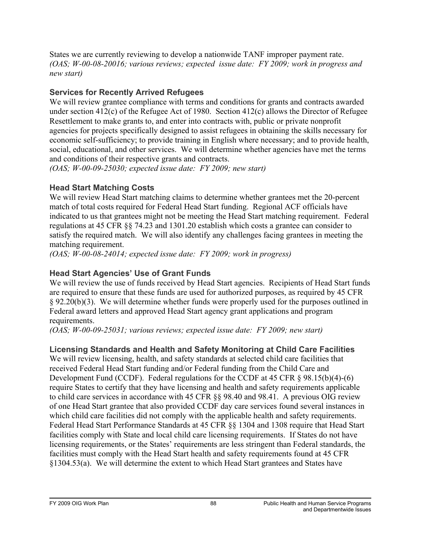States we are currently reviewing to develop a nationwide TANF improper payment rate. *(OAS; W-00-08-20016; various reviews; expected issue date: FY 2009; work in progress and new start)* 

## **Services for Recently Arrived Refugees**

We will review grantee compliance with terms and conditions for grants and contracts awarded under section 412(c) of the Refugee Act of 1980. Section 412(c) allows the Director of Refugee Resettlement to make grants to, and enter into contracts with, public or private nonprofit agencies for projects specifically designed to assist refugees in obtaining the skills necessary for economic self-sufficiency; to provide training in English where necessary; and to provide health, social, educational, and other services. We will determine whether agencies have met the terms and conditions of their respective grants and contracts.

*(OAS; W-00-09-25030; expected issue date: FY 2009; new start)* 

## **Head Start Matching Costs**

We will review Head Start matching claims to determine whether grantees met the 20-percent match of total costs required for Federal Head Start funding. Regional ACF officials have indicated to us that grantees might not be meeting the Head Start matching requirement. Federal regulations at 45 CFR §§ 74.23 and 1301.20 establish which costs a grantee can consider to satisfy the required match. We will also identify any challenges facing grantees in meeting the matching requirement.

*(OAS; W-00-08-24014; expected issue date: FY 2009; work in progress)* 

## **Head Start Agencies' Use of Grant Funds**

We will review the use of funds received by Head Start agencies. Recipients of Head Start funds are required to ensure that these funds are used for authorized purposes, as required by 45 CFR § 92.20(b)(3). We will determine whether funds were properly used for the purposes outlined in Federal award letters and approved Head Start agency grant applications and program requirements.

*(OAS; W-00-09-25031; various reviews; expected issue date: FY 2009; new start)* 

## **Licensing Standards and Health and Safety Monitoring at Child Care Facilities**

We will review licensing, health, and safety standards at selected child care facilities that received Federal Head Start funding and/or Federal funding from the Child Care and Development Fund (CCDF). Federal regulations for the CCDF at 45 CFR § 98.15(b)(4)-(6) require States to certify that they have licensing and health and safety requirements applicable to child care services in accordance with 45 CFR §§ 98.40 and 98.41. A previous OIG review of one Head Start grantee that also provided CCDF day care services found several instances in which child care facilities did not comply with the applicable health and safety requirements. Federal Head Start Performance Standards at 45 CFR §§ 1304 and 1308 require that Head Start facilities comply with State and local child care licensing requirements. If States do not have licensing requirements, or the States' requirements are less stringent than Federal standards, the facilities must comply with the Head Start health and safety requirements found at 45 CFR §1304.53(a). We will determine the extent to which Head Start grantees and States have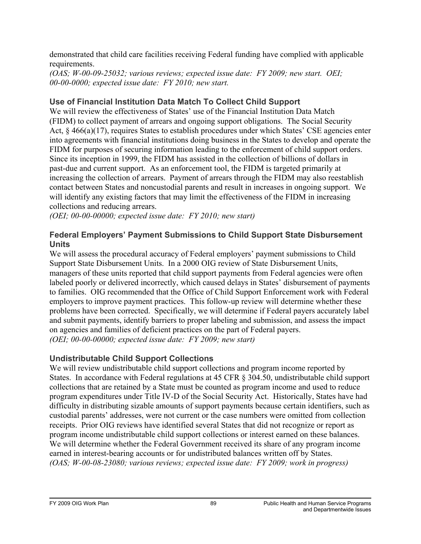demonstrated that child care facilities receiving Federal funding have complied with applicable requirements.

*(OAS; W-00-09-25032; various reviews; expected issue date: FY 2009; new start. OEI; 00-00-0000; expected issue date: FY 2010; new start.* 

## **Use of Financial Institution Data Match To Collect Child Support**

We will review the effectiveness of States' use of the Financial Institution Data Match (FIDM) to collect payment of arrears and ongoing support obligations. The Social Security Act, § 466(a)(17), requires States to establish procedures under which States' CSE agencies enter into agreements with financial institutions doing business in the States to develop and operate the FIDM for purposes of securing information leading to the enforcement of child support orders. Since its inception in 1999, the FIDM has assisted in the collection of billions of dollars in past-due and current support. As an enforcement tool, the FIDM is targeted primarily at increasing the collection of arrears. Payment of arrears through the FIDM may also reestablish contact between States and noncustodial parents and result in increases in ongoing support. We will identify any existing factors that may limit the effectiveness of the FIDM in increasing collections and reducing arrears.

*(OEI; 00-00-00000; expected issue date: FY 2010; new start)* 

#### **Federal Employers' Payment Submissions to Child Support State Disbursement Units**

We will assess the procedural accuracy of Federal employers' payment submissions to Child Support State Disbursement Units. In a 2000 OIG review of State Disbursement Units, managers of these units reported that child support payments from Federal agencies were often labeled poorly or delivered incorrectly, which caused delays in States' disbursement of payments to families. OIG recommended that the Office of Child Support Enforcement work with Federal employers to improve payment practices. This follow-up review will determine whether these problems have been corrected. Specifically, we will determine if Federal payers accurately label and submit payments, identify barriers to proper labeling and submission, and assess the impact on agencies and families of deficient practices on the part of Federal payers. *(OEI; 00-00-00000; expected issue date: FY 2009; new start)* 

## **Undistributable Child Support Collections**

We will review undistributable child support collections and program income reported by States. In accordance with Federal regulations at 45 CFR § 304.50, undistributable child support collections that are retained by a State must be counted as program income and used to reduce program expenditures under Title IV-D of the Social Security Act. Historically, States have had difficulty in distributing sizable amounts of support payments because certain identifiers, such as custodial parents' addresses, were not current or the case numbers were omitted from collection receipts. Prior OIG reviews have identified several States that did not recognize or report as program income undistributable child support collections or interest earned on these balances. We will determine whether the Federal Government received its share of any program income earned in interest-bearing accounts or for undistributed balances written off by States. *(OAS; W-00-08-23080; various reviews; expected issue date: FY 2009; work in progress)*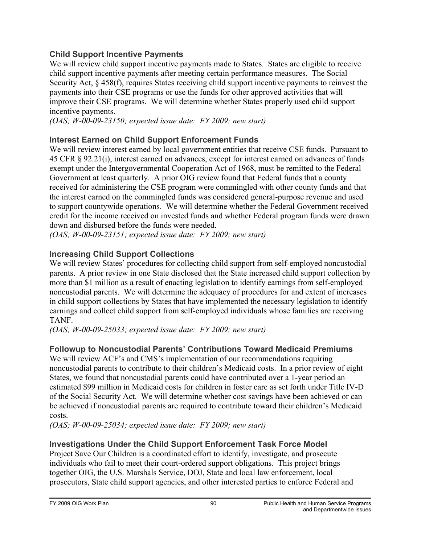## **Child Support Incentive Payments**

We will review child support incentive payments made to States. States are eligible to receive child support incentive payments after meeting certain performance measures. The Social Security Act, § 458(f), requires States receiving child support incentive payments to reinvest the payments into their CSE programs or use the funds for other approved activities that will improve their CSE programs. We will determine whether States properly used child support incentive payments.

*(OAS; W-00-09-23150; expected issue date: FY 2009; new start)* 

## **Interest Earned on Child Support Enforcement Funds**

We will review interest earned by local government entities that receive CSE funds. Pursuant to 45 CFR § 92.21(i), interest earned on advances, except for interest earned on advances of funds exempt under the Intergovernmental Cooperation Act of 1968, must be remitted to the Federal Government at least quarterly. A prior OIG review found that Federal funds that a county received for administering the CSE program were commingled with other county funds and that the interest earned on the commingled funds was considered general-purpose revenue and used to support countywide operations. We will determine whether the Federal Government received credit for the income received on invested funds and whether Federal program funds were drawn down and disbursed before the funds were needed.

*(OAS; W-00-09-23151; expected issue date: FY 2009; new start)* 

## **Increasing Child Support Collections**

We will review States' procedures for collecting child support from self-employed noncustodial parents. A prior review in one State disclosed that the State increased child support collection by more than \$1 million as a result of enacting legislation to identify earnings from self-employed noncustodial parents. We will determine the adequacy of procedures for and extent of increases in child support collections by States that have implemented the necessary legislation to identify earnings and collect child support from self-employed individuals whose families are receiving TANF.

*(OAS; W-00-09-25033; expected issue date: FY 2009; new start)* 

## **Followup to Noncustodial Parents' Contributions Toward Medicaid Premiums**

We will review ACF's and CMS's implementation of our recommendations requiring noncustodial parents to contribute to their children's Medicaid costs. In a prior review of eight States, we found that noncustodial parents could have contributed over a 1-year period an estimated \$99 million in Medicaid costs for children in foster care as set forth under Title IV-D of the Social Security Act. We will determine whether cost savings have been achieved or can be achieved if noncustodial parents are required to contribute toward their children's Medicaid costs.

*(OAS; W-00-09-25034; expected issue date: FY 2009; new start)* 

## **Investigations Under the Child Support Enforcement Task Force Model**

Project Save Our Children is a coordinated effort to identify, investigate, and prosecute individuals who fail to meet their court-ordered support obligations. This project brings together OIG, the U.S. Marshals Service, DOJ, State and local law enforcement, local prosecutors, State child support agencies, and other interested parties to enforce Federal and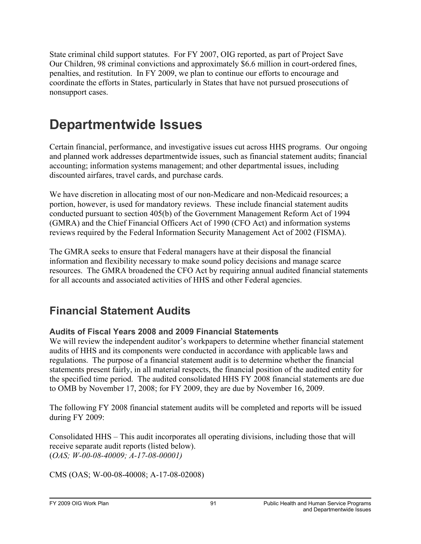State criminal child support statutes. For FY 2007, OIG reported, as part of Project Save Our Children, 98 criminal convictions and approximately \$6.6 million in court-ordered fines, penalties, and restitution. In FY 2009, we plan to continue our efforts to encourage and coordinate the efforts in States, particularly in States that have not pursued prosecutions of nonsupport cases.

# **Departmentwide Issues**

Certain financial, performance, and investigative issues cut across HHS programs. Our ongoing and planned work addresses departmentwide issues, such as financial statement audits; financial accounting; information systems management; and other departmental issues, including discounted airfares, travel cards, and purchase cards.

We have discretion in allocating most of our non-Medicare and non-Medicaid resources; a portion, however, is used for mandatory reviews. These include financial statement audits conducted pursuant to section 405(b) of the Government Management Reform Act of 1994 (GMRA) and the Chief Financial Officers Act of 1990 (CFO Act) and information systems reviews required by the Federal Information Security Management Act of 2002 (FISMA).

The GMRA seeks to ensure that Federal managers have at their disposal the financial information and flexibility necessary to make sound policy decisions and manage scarce resources. The GMRA broadened the CFO Act by requiring annual audited financial statements for all accounts and associated activities of HHS and other Federal agencies.

## **Financial Statement Audits**

## **Audits of Fiscal Years 2008 and 2009 Financial Statements**

We will review the independent auditor's workpapers to determine whether financial statement audits of HHS and its components were conducted in accordance with applicable laws and regulations. The purpose of a financial statement audit is to determine whether the financial statements present fairly, in all material respects, the financial position of the audited entity for the specified time period. The audited consolidated HHS FY 2008 financial statements are due to OMB by November 17, 2008; for FY 2009, they are due by November 16, 2009.

The following FY 2008 financial statement audits will be completed and reports will be issued during FY 2009:

Consolidated HHS – This audit incorporates all operating divisions, including those that will receive separate audit reports (listed below). (*OAS; W-00-08-40009; A-17-08-00001)* 

CMS (OAS; W-00-08-40008; A-17-08-02008)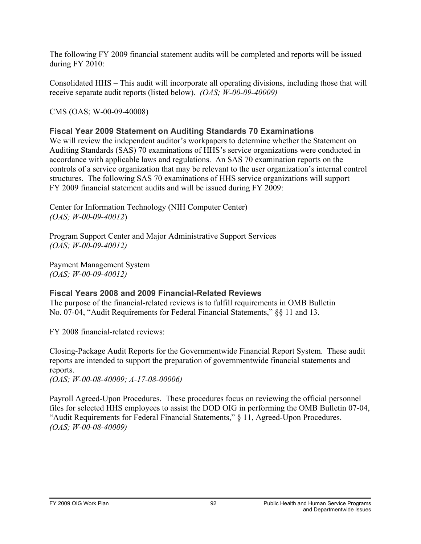The following FY 2009 financial statement audits will be completed and reports will be issued during FY 2010:

Consolidated HHS – This audit will incorporate all operating divisions, including those that will receive separate audit reports (listed below). *(OAS; W-00-09-40009)*

CMS (OAS; W-00-09-40008)

#### **Fiscal Year 2009 Statement on Auditing Standards 70 Examinations**

We will review the independent auditor's workpapers to determine whether the Statement on Auditing Standards (SAS) 70 examinations of HHS's service organizations were conducted in accordance with applicable laws and regulations. An SAS 70 examination reports on the controls of a service organization that may be relevant to the user organization's internal control structures. The following SAS 70 examinations of HHS service organizations will support FY 2009 financial statement audits and will be issued during FY 2009:

Center for Information Technology (NIH Computer Center) *(OAS; W-00-09-40012*)

Program Support Center and Major Administrative Support Services *(OAS; W-00-09-40012)*

Payment Management System *(OAS; W-00-09-40012)*

#### **Fiscal Years 2008 and 2009 Financial-Related Reviews**

The purpose of the financial-related reviews is to fulfill requirements in OMB Bulletin No. 07-04, "Audit Requirements for Federal Financial Statements," §§ 11 and 13.

FY 2008 financial-related reviews:

Closing-Package Audit Reports for the Governmentwide Financial Report System. These audit reports are intended to support the preparation of governmentwide financial statements and reports.

*(OAS; W-00-08-40009; A-17-08-00006)*

Payroll Agreed-Upon Procedures. These procedures focus on reviewing the official personnel files for selected HHS employees to assist the DOD OIG in performing the OMB Bulletin 07-04, "Audit Requirements for Federal Financial Statements," § 11, Agreed-Upon Procedures. *(OAS; W-00-08-40009)*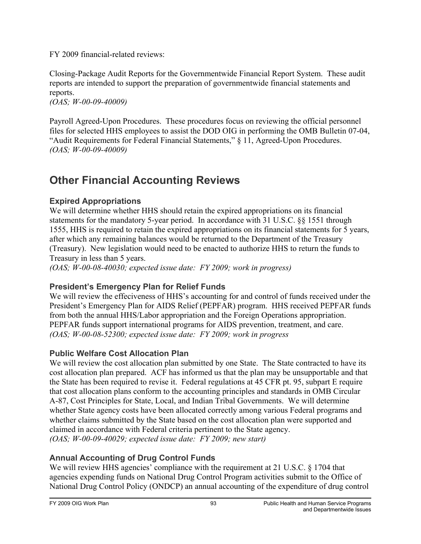FY 2009 financial-related reviews:

Closing-Package Audit Reports for the Governmentwide Financial Report System. These audit reports are intended to support the preparation of governmentwide financial statements and reports.

*(OAS; W-00-09-40009)*

Payroll Agreed-Upon Procedures. These procedures focus on reviewing the official personnel files for selected HHS employees to assist the DOD OIG in performing the OMB Bulletin 07-04, "Audit Requirements for Federal Financial Statements," § 11, Agreed-Upon Procedures. *(OAS; W-00-09-40009)*

## **Other Financial Accounting Reviews**

## **Expired Appropriations**

We will determine whether HHS should retain the expired appropriations on its financial statements for the mandatory 5-year period. In accordance with 31 U.S.C. §§ 1551 through 1555, HHS is required to retain the expired appropriations on its financial statements for 5 years, after which any remaining balances would be returned to the Department of the Treasury (Treasury). New legislation would need to be enacted to authorize HHS to return the funds to Treasury in less than 5 years.

*(OAS; W-00-08-40030; expected issue date: FY 2009; work in progress)* 

## **President's Emergency Plan for Relief Funds**

We will review the effeciveness of HHS's accounting for and control of funds received under the President's Emergency Plan for AIDS Relief (PEPFAR) program. HHS received PEPFAR funds from both the annual HHS/Labor appropriation and the Foreign Operations appropriation. PEPFAR funds support international programs for AIDS prevention, treatment, and care. *(OAS; W-00-08-52300; expected issue date: FY 2009; work in progress* 

## **Public Welfare Cost Allocation Plan**

We will review the cost allocation plan submitted by one State. The State contracted to have its cost allocation plan prepared. ACF has informed us that the plan may be unsupportable and that the State has been required to revise it. Federal regulations at 45 CFR pt. 95, subpart E require that cost allocation plans conform to the accounting principles and standards in OMB Circular A-87, Cost Principles for State, Local, and Indian Tribal Governments. We will determine whether State agency costs have been allocated correctly among various Federal programs and whether claims submitted by the State based on the cost allocation plan were supported and claimed in accordance with Federal criteria pertinent to the State agency. *(OAS; W-00-09-40029; expected issue date: FY 2009; new start)* 

## **Annual Accounting of Drug Control Funds**

We will review HHS agencies' compliance with the requirement at 21 U.S.C. § 1704 that agencies expending funds on National Drug Control Program activities submit to the Office of National Drug Control Policy (ONDCP) an annual accounting of the expenditure of drug control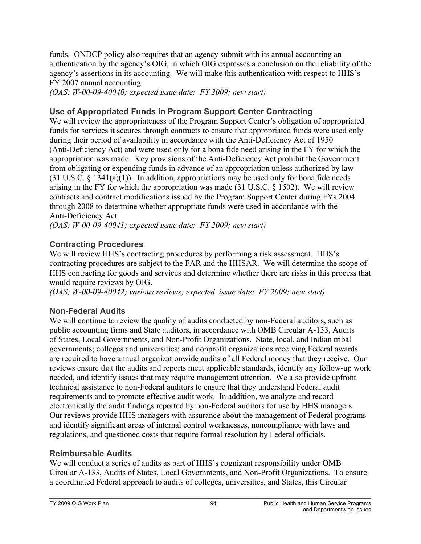funds. ONDCP policy also requires that an agency submit with its annual accounting an authentication by the agency's OIG, in which OIG expresses a conclusion on the reliability of the agency's assertions in its accounting. We will make this authentication with respect to HHS's FY 2007 annual accounting.

*(OAS; W-00-09-40040; expected issue date: FY 2009; new start)* 

#### **Use of Appropriated Funds in Program Support Center Contracting**

We will review the appropriateness of the Program Support Center's obligation of appropriated funds for services it secures through contracts to ensure that appropriated funds were used only during their period of availability in accordance with the Anti-Deficiency Act of 1950 (Anti-Deficiency Act) and were used only for a bona fide need arising in the FY for which the appropriation was made. Key provisions of the Anti-Deficiency Act prohibit the Government from obligating or expending funds in advance of an appropriation unless authorized by law  $(31 U.S.C. § 1341(a)(1))$ . In addition, appropriations may be used only for bona fide needs arising in the FY for which the appropriation was made (31 U.S.C. § 1502). We will review contracts and contract modifications issued by the Program Support Center during FYs 2004 through 2008 to determine whether appropriate funds were used in accordance with the Anti-Deficiency Act.

*(OAS; W-00-09-40041; expected issue date: FY 2009; new start)* 

#### **Contracting Procedures**

We will review HHS's contracting procedures by performing a risk assessment. HHS's contracting procedures are subject to the FAR and the HHSAR. We will determine the scope of HHS contracting for goods and services and determine whether there are risks in this process that would require reviews by OIG.

*(OAS; W-00-09-40042; various reviews; expected issue date: FY 2009; new start)* 

## **Non-Federal Audits**

We will continue to review the quality of audits conducted by non-Federal auditors, such as public accounting firms and State auditors, in accordance with OMB Circular A-133, Audits of States, Local Governments, and Non-Profit Organizations. State, local, and Indian tribal governments; colleges and universities; and nonprofit organizations receiving Federal awards are required to have annual organizationwide audits of all Federal money that they receive. Our reviews ensure that the audits and reports meet applicable standards, identify any follow-up work needed, and identify issues that may require management attention. We also provide upfront technical assistance to non-Federal auditors to ensure that they understand Federal audit requirements and to promote effective audit work. In addition, we analyze and record electronically the audit findings reported by non-Federal auditors for use by HHS managers. Our reviews provide HHS managers with assurance about the management of Federal programs and identify significant areas of internal control weaknesses, noncompliance with laws and regulations, and questioned costs that require formal resolution by Federal officials.

#### **Reimbursable Audits**

We will conduct a series of audits as part of HHS's cognizant responsibility under OMB Circular A-133, Audits of States, Local Governments, and Non-Profit Organizations. To ensure a coordinated Federal approach to audits of colleges, universities, and States, this Circular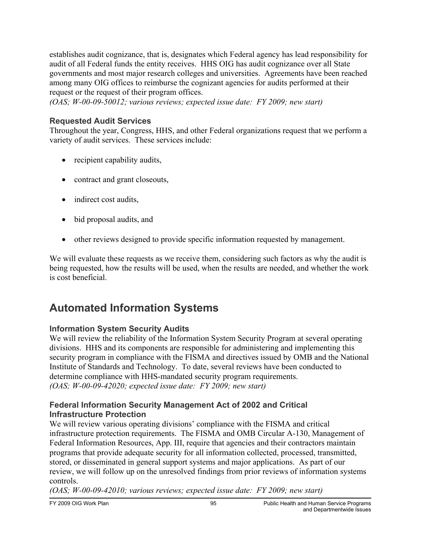establishes audit cognizance, that is, designates which Federal agency has lead responsibility for audit of all Federal funds the entity receives. HHS OIG has audit cognizance over all State governments and most major research colleges and universities. Agreements have been reached among many OIG offices to reimburse the cognizant agencies for audits performed at their request or the request of their program offices.

*(OAS; W-00-09-50012; various reviews; expected issue date: FY 2009; new start)* 

#### **Requested Audit Services**

Throughout the year, Congress, HHS, and other Federal organizations request that we perform a variety of audit services. These services include:

- recipient capability audits,
- contract and grant closeouts,
- indirect cost audits,
- bid proposal audits, and
- other reviews designed to provide specific information requested by management.

We will evaluate these requests as we receive them, considering such factors as why the audit is being requested, how the results will be used, when the results are needed, and whether the work is cost beneficial.

## **Automated Information Systems**

#### **Information System Security Audits**

We will review the reliability of the Information System Security Program at several operating divisions. HHS and its components are responsible for administering and implementing this security program in compliance with the FISMA and directives issued by OMB and the National Institute of Standards and Technology. To date, several reviews have been conducted to determine compliance with HHS-mandated security program requirements. *(OAS; W-00-09-42020; expected issue date: FY 2009; new start)* 

#### **Federal Information Security Management Act of 2002 and Critical Infrastructure Protection**

We will review various operating divisions' compliance with the FISMA and critical infrastructure protection requirements. The FISMA and OMB Circular A-130, Management of Federal Information Resources, App. III, require that agencies and their contractors maintain programs that provide adequate security for all information collected, processed, transmitted, stored, or disseminated in general support systems and major applications. As part of our review, we will follow up on the unresolved findings from prior reviews of information systems controls.

*(OAS; W-00-09-42010; various reviews; expected issue date: FY 2009; new start)*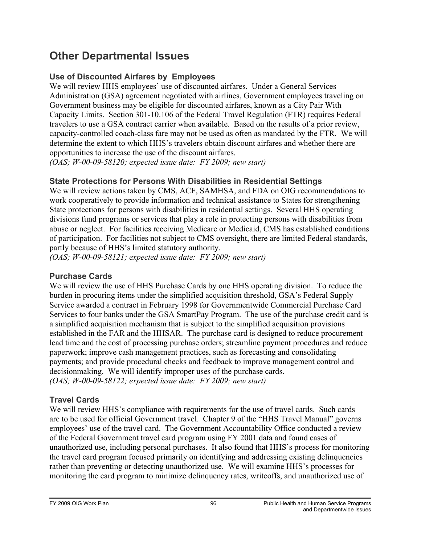## **Other Departmental Issues**

## **Use of Discounted Airfares by Employees**

We will review HHS employees' use of discounted airfares. Under a General Services Administration (GSA) agreement negotiated with airlines, Government employees traveling on Government business may be eligible for discounted airfares, known as a City Pair With Capacity Limits. Section 301-10.106 of the Federal Travel Regulation (FTR) requires Federal travelers to use a GSA contract carrier when available. Based on the results of a prior review, capacity-controlled coach-class fare may not be used as often as mandated by the FTR. We will determine the extent to which HHS's travelers obtain discount airfares and whether there are opportunities to increase the use of the discount airfares.

*(OAS; W-00-09-58120; expected issue date: FY 2009; new start)* 

## **State Protections for Persons With Disabilities in Residential Settings**

We will review actions taken by CMS, ACF, SAMHSA, and FDA on OIG recommendations to work cooperatively to provide information and technical assistance to States for strengthening State protections for persons with disabilities in residential settings. Several HHS operating divisions fund programs or services that play a role in protecting persons with disabilities from abuse or neglect. For facilities receiving Medicare or Medicaid, CMS has established conditions of participation. For facilities not subject to CMS oversight, there are limited Federal standards, partly because of HHS's limited statutory authority.

*(OAS; W-00-09-58121; expected issue date: FY 2009; new start)* 

#### **Purchase Cards**

We will review the use of HHS Purchase Cards by one HHS operating division. To reduce the burden in procuring items under the simplified acquisition threshold, GSA's Federal Supply Service awarded a contract in February 1998 for Governmentwide Commercial Purchase Card Services to four banks under the GSA SmartPay Program. The use of the purchase credit card is a simplified acquisition mechanism that is subject to the simplified acquisition provisions established in the FAR and the HHSAR. The purchase card is designed to reduce procurement lead time and the cost of processing purchase orders; streamline payment procedures and reduce paperwork; improve cash management practices, such as forecasting and consolidating payments; and provide procedural checks and feedback to improve management control and decisionmaking. We will identify improper uses of the purchase cards. *(OAS; W-00-09-58122; expected issue date: FY 2009; new start)* 

## **Travel Cards**

We will review HHS's compliance with requirements for the use of travel cards. Such cards are to be used for official Government travel. Chapter 9 of the "HHS Travel Manual" governs employees' use of the travel card. The Government Accountability Office conducted a review of the Federal Government travel card program using FY 2001 data and found cases of unauthorized use, including personal purchases. It also found that HHS's process for monitoring the travel card program focused primarily on identifying and addressing existing delinquencies rather than preventing or detecting unauthorized use. We will examine HHS's processes for monitoring the card program to minimize delinquency rates, writeoffs, and unauthorized use of